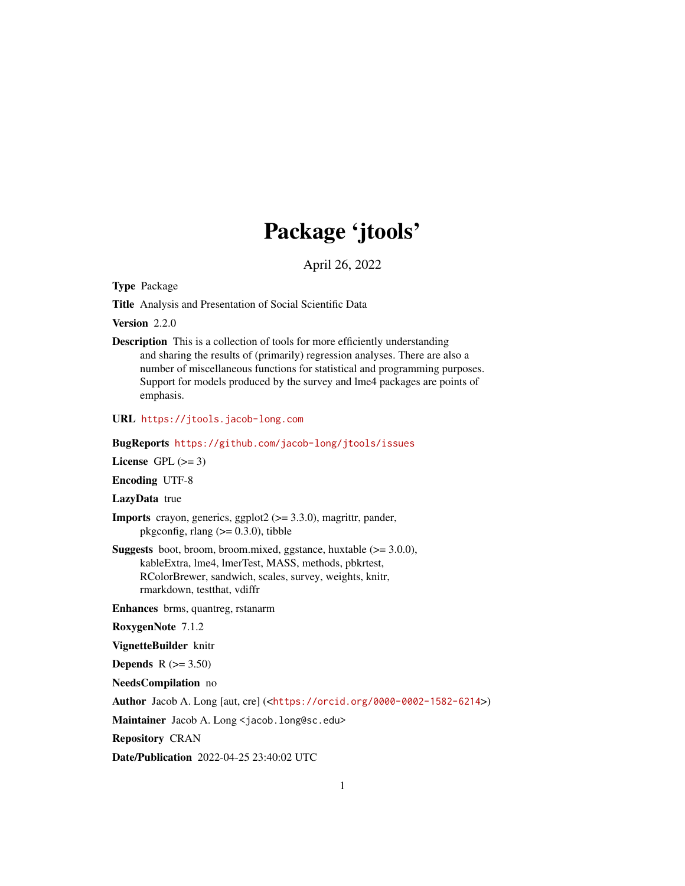# Package 'jtools'

April 26, 2022

<span id="page-0-0"></span>Type Package

Title Analysis and Presentation of Social Scientific Data

Version 2.2.0

Description This is a collection of tools for more efficiently understanding and sharing the results of (primarily) regression analyses. There are also a number of miscellaneous functions for statistical and programming purposes. Support for models produced by the survey and lme4 packages are points of emphasis.

URL <https://jtools.jacob-long.com>

BugReports <https://github.com/jacob-long/jtools/issues>

License GPL  $(>= 3)$ 

Encoding UTF-8

LazyData true

- **Imports** crayon, generics, ggplot $2$  ( $> = 3.3.0$ ), magrittr, pander, pkgconfig, rlang  $(>= 0.3.0)$ , tibble
- **Suggests** boot, broom, broom, mixed, ggstance, huxtable  $(>= 3.0.0)$ , kableExtra, lme4, lmerTest, MASS, methods, pbkrtest, RColorBrewer, sandwich, scales, survey, weights, knitr, rmarkdown, testthat, vdiffr

Enhances brms, quantreg, rstanarm

RoxygenNote 7.1.2

VignetteBuilder knitr

Depends  $R$  ( $>= 3.50$ )

NeedsCompilation no

Author Jacob A. Long [aut, cre] (<<https://orcid.org/0000-0002-1582-6214>>)

Maintainer Jacob A. Long <jacob.long@sc.edu>

Repository CRAN

Date/Publication 2022-04-25 23:40:02 UTC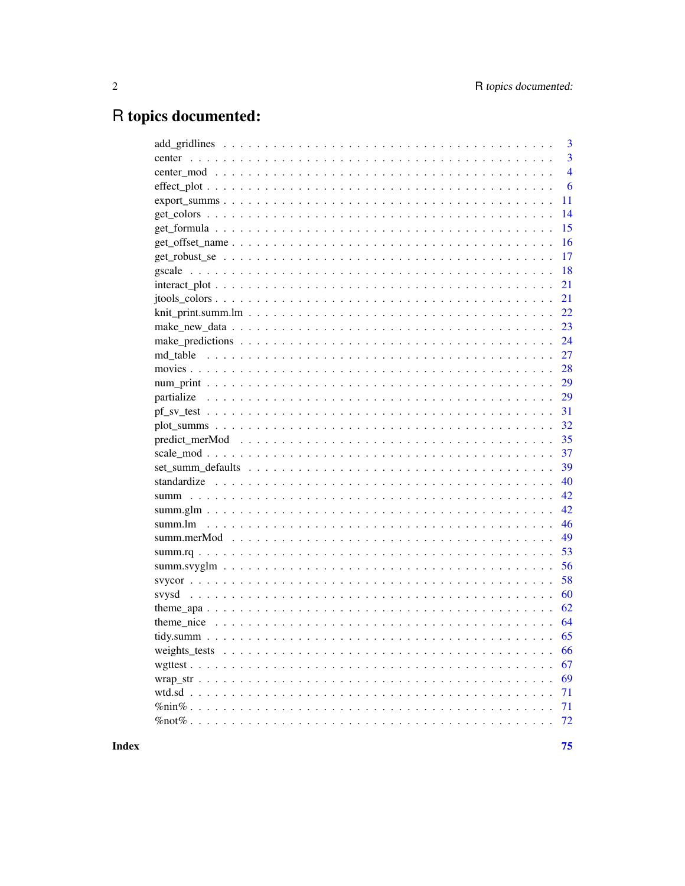# R topics documented:

|        | 3              |
|--------|----------------|
|        | 3              |
|        | $\overline{4}$ |
|        | 6              |
|        | 11             |
|        | 14             |
|        | 15             |
|        | 16             |
|        | 17             |
|        | 18             |
| 21     |                |
| 21     |                |
|        | 22             |
| 23     |                |
|        | 24             |
|        | 27             |
|        | 28             |
|        | 29             |
|        | 29             |
|        | 31             |
|        | 32             |
|        | 35             |
|        | 37             |
|        | 39             |
|        | 40             |
|        | 42             |
|        | 42             |
|        | 46             |
|        | 49             |
|        | 53             |
|        | 56             |
|        | 58             |
|        | 60             |
|        | 62             |
|        | 64             |
| 65     |                |
|        | 66             |
|        | 67             |
|        | 69             |
| wtd.sd | 71             |
|        | 71             |
|        | 72             |
|        |                |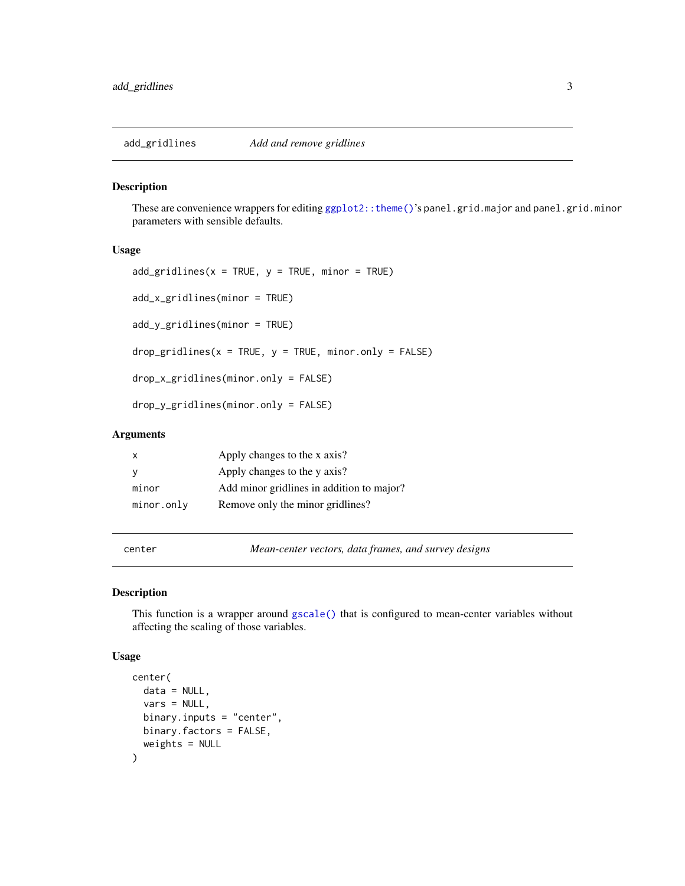<span id="page-2-0"></span>

These are convenience wrappers for editing [ggplot2::theme\(\)](#page-0-0)'s panel.grid.major and panel.grid.minor parameters with sensible defaults.

#### Usage

```
add\_gridlines(x = TRUE, y = TRUE, minor = TRUE)add_x_gridlines(minor = TRUE)
add_y_gridlines(minor = TRUE)
drop\_gridlines(x = TRUE, y = TRUE, minor-only = FALSE)drop_x_gridlines(minor.only = FALSE)
drop_y_gridlines(minor.only = FALSE)
```
# Arguments

| x           | Apply changes to the x axis?              |
|-------------|-------------------------------------------|
|             | Apply changes to the y axis?              |
| minor       | Add minor gridlines in addition to major? |
| minor. only | Remove only the minor gridlines?          |

<span id="page-2-1"></span>

center *Mean-center vectors, data frames, and survey designs*

#### Description

This function is a wrapper around [gscale\(\)](#page-17-1) that is configured to mean-center variables without affecting the scaling of those variables.

#### Usage

```
center(
  data = NULL,vars = NULL,
 binary.inputs = "center",
 binary.factors = FALSE,
 weights = NULL
)
```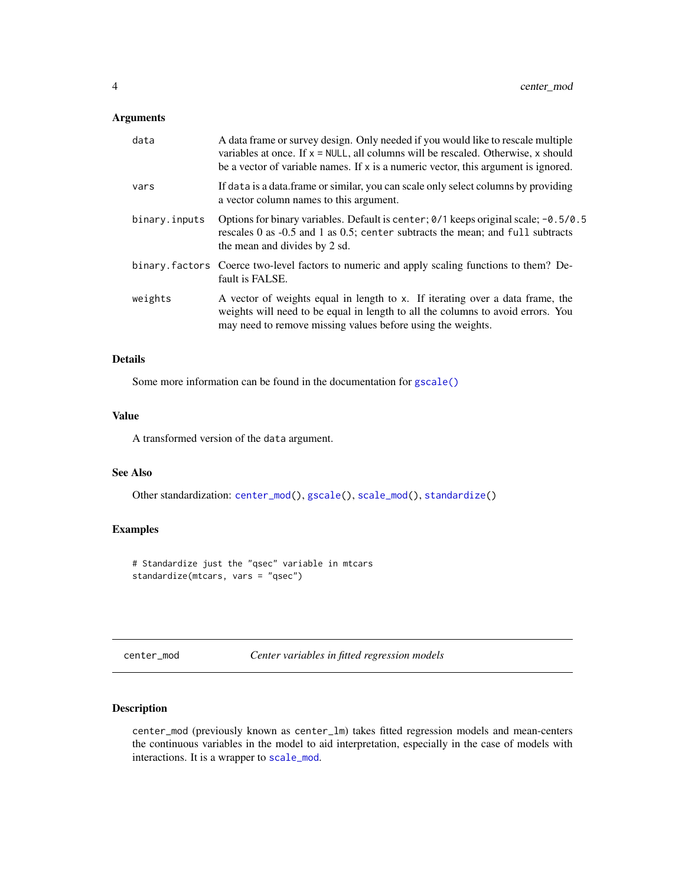# <span id="page-3-0"></span>Arguments

| data          | A data frame or survey design. Only needed if you would like to rescale multiple<br>variables at once. If $x = NULL$ , all columns will be rescaled. Otherwise, x should<br>be a vector of variable names. If x is a numeric vector, this argument is ignored. |
|---------------|----------------------------------------------------------------------------------------------------------------------------------------------------------------------------------------------------------------------------------------------------------------|
| vars          | If data is a data. frame or similar, you can scale only select columns by providing<br>a vector column names to this argument.                                                                                                                                 |
| binary.inputs | Options for binary variables. Default is center; $0/1$ keeps original scale; $-0.5/0.5$<br>rescales 0 as -0.5 and 1 as 0.5; center subtracts the mean; and full subtracts<br>the mean and divides by 2 sd.                                                     |
|               | binary factors Coerce two-level factors to numeric and apply scaling functions to them? De-<br>fault is FALSE.                                                                                                                                                 |
| weights       | A vector of weights equal in length to x. If iterating over a data frame, the<br>weights will need to be equal in length to all the columns to avoid errors. You<br>may need to remove missing values before using the weights.                                |

# Details

Some more information can be found in the documentation for [gscale\(\)](#page-17-1)

#### Value

A transformed version of the data argument.

# See Also

Other standardization: [center\\_mod\(](#page-3-1)), [gscale\(](#page-17-1)), [scale\\_mod\(](#page-36-1)), [standardize\(](#page-39-1))

# Examples

# Standardize just the "qsec" variable in mtcars standardize(mtcars, vars = "qsec")

<span id="page-3-1"></span>center\_mod *Center variables in fitted regression models*

# Description

center\_mod (previously known as center\_lm) takes fitted regression models and mean-centers the continuous variables in the model to aid interpretation, especially in the case of models with interactions. It is a wrapper to [scale\\_mod](#page-36-1).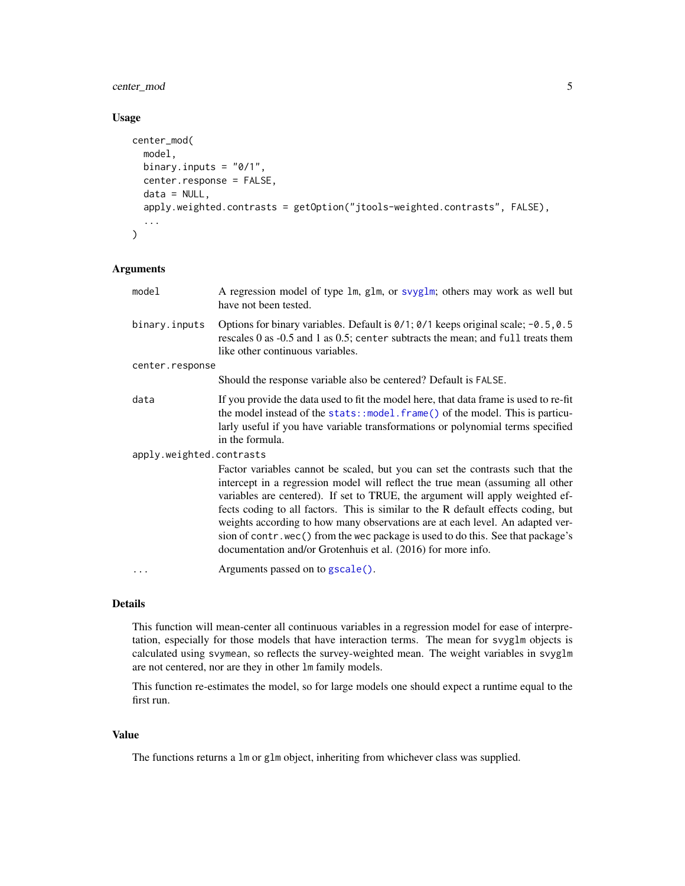# center\_mod 5

# Usage

```
center_mod(
  model,
 binary.inputs = "0/1",center.response = FALSE,
  data = NULL,
  apply.weighted.contrasts = getOption("jtools-weighted.contrasts", FALSE),
  ...
\mathcal{L}
```
# Arguments

| model                    | A regression model of type 1m, g1m, or svyg1m; others may work as well but<br>have not been tested.                                                                                                                                                                                                                                                                                                                                                                                                                                                                         |
|--------------------------|-----------------------------------------------------------------------------------------------------------------------------------------------------------------------------------------------------------------------------------------------------------------------------------------------------------------------------------------------------------------------------------------------------------------------------------------------------------------------------------------------------------------------------------------------------------------------------|
| binary.inputs            | Options for binary variables. Default is 0/1; 0/1 keeps original scale; -0.5, 0.5<br>rescales 0 as -0.5 and 1 as 0.5; center subtracts the mean; and full treats them<br>like other continuous variables.                                                                                                                                                                                                                                                                                                                                                                   |
| center.response          |                                                                                                                                                                                                                                                                                                                                                                                                                                                                                                                                                                             |
|                          | Should the response variable also be centered? Default is FALSE.                                                                                                                                                                                                                                                                                                                                                                                                                                                                                                            |
| data                     | If you provide the data used to fit the model here, that data frame is used to re-fit<br>the model instead of the stats::model.frame() of the model. This is particu-<br>larly useful if you have variable transformations or polynomial terms specified<br>in the formula.                                                                                                                                                                                                                                                                                                 |
| apply.weighted.contrasts |                                                                                                                                                                                                                                                                                                                                                                                                                                                                                                                                                                             |
|                          | Factor variables cannot be scaled, but you can set the contrasts such that the<br>intercept in a regression model will reflect the true mean (assuming all other<br>variables are centered). If set to TRUE, the argument will apply weighted ef-<br>fects coding to all factors. This is similar to the R default effects coding, but<br>weights according to how many observations are at each level. An adapted ver-<br>sion of contr. wec() from the wec package is used to do this. See that package's<br>documentation and/or Grotenhuis et al. (2016) for more info. |
| .                        | Arguments passed on to gscale().                                                                                                                                                                                                                                                                                                                                                                                                                                                                                                                                            |
|                          |                                                                                                                                                                                                                                                                                                                                                                                                                                                                                                                                                                             |

# Details

This function will mean-center all continuous variables in a regression model for ease of interpretation, especially for those models that have interaction terms. The mean for svyglm objects is calculated using svymean, so reflects the survey-weighted mean. The weight variables in svyglm are not centered, nor are they in other lm family models.

This function re-estimates the model, so for large models one should expect a runtime equal to the first run.

## Value

The functions returns a lm or glm object, inheriting from whichever class was supplied.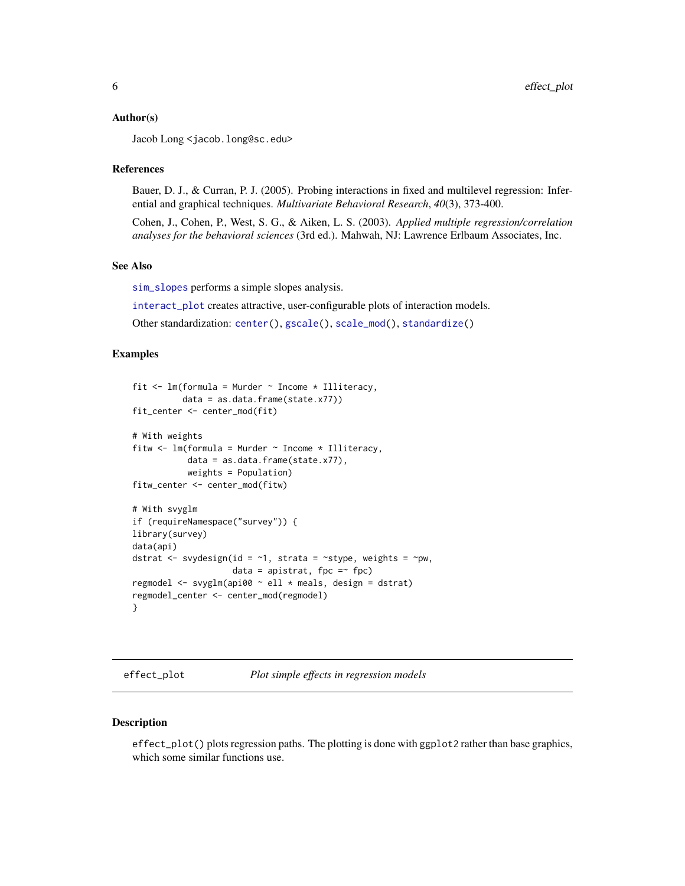#### <span id="page-5-0"></span>Author(s)

Jacob Long <jacob.long@sc.edu>

#### References

Bauer, D. J., & Curran, P. J. (2005). Probing interactions in fixed and multilevel regression: Inferential and graphical techniques. *Multivariate Behavioral Research*, *40*(3), 373-400.

Cohen, J., Cohen, P., West, S. G., & Aiken, L. S. (2003). *Applied multiple regression/correlation analyses for the behavioral sciences* (3rd ed.). Mahwah, NJ: Lawrence Erlbaum Associates, Inc.

#### See Also

[sim\\_slopes](#page-20-1) performs a simple slopes analysis.

[interact\\_plot](#page-20-2) creates attractive, user-configurable plots of interaction models.

Other standardization: [center\(](#page-2-1)), [gscale\(](#page-17-1)), [scale\\_mod\(](#page-36-1)), [standardize\(](#page-39-1))

#### Examples

```
fit \leq lm(formula = Murder \sim Income * Illiteracy,
          data = as.data.frame(state.x77))
fit_center <- center_mod(fit)
# With weights
fitw \leq lm(formula = Murder \sim Income \star Illiteracy,
           data = as.data.frame(state.x77),
           weights = Population)
fitw_center <- center_mod(fitw)
# With svyglm
if (requireNamespace("survey")) {
library(survey)
data(api)
dstrat \leq svydesign(id = \sim1, strata = \simstype, weights = \simpw,
                     data = apistrat, fpc =\sim fpc)
regmodel <- svyglm(api00 ~ ell * meals, design = dstrat)
regmodel_center <- center_mod(regmodel)
}
```
<span id="page-5-1"></span>effect\_plot *Plot simple effects in regression models*

#### Description

effect\_plot() plots regression paths. The plotting is done with ggplot2 rather than base graphics, which some similar functions use.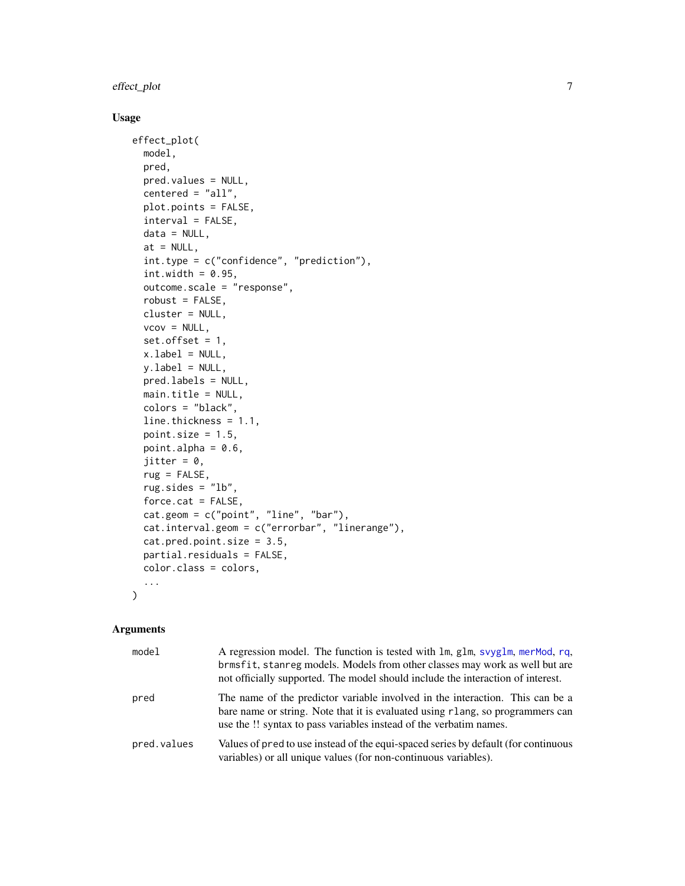# effect\_plot 7

# Usage

```
effect_plot(
  model,
 pred,
 pred.values = NULL,
  centered = "all",plot.points = FALSE,
  interval = FALSE,
 data = NULL,at = NULL,int.type = c("confidence", "prediction"),
  int.width = 0.95,
 outcome.scale = "response",
  robust = FALSE,cluster = NULL,
  vcov = NULL,set.offset = 1,
  x.label = NULL,
 yu.label = NULL,
 pred.labels = NULL,
 main.title = NULL,
  colors = "black",
  line.thickness = 1.1,
 point.size = 1.5,
 point.alpha = 0.6,
  jitter = 0,
  rug = FALSE,rug.sides = "lb",
  force.cat = FALSE,cat.geom = c("point", "line", "bar"),
  cat.interval.geom = c("errorbar", "linerange"),
  cat.pred.point.size = 3.5,
  partial.residuals = FALSE,
 color.class = colors,
  ...
\mathcal{L}
```

| model       | A regression model. The function is tested with lm, glm, svyglm, merMod, rq,<br>brmsfit, stanreg models. Models from other classes may work as well but are<br>not officially supported. The model should include the interaction of interest. |
|-------------|------------------------------------------------------------------------------------------------------------------------------------------------------------------------------------------------------------------------------------------------|
| pred        | The name of the predictor variable involved in the interaction. This can be a<br>bare name or string. Note that it is evaluated using rlang, so programmers can<br>use the !! syntax to pass variables instead of the verbatim names.          |
| pred.values | Values of pred to use instead of the equi-spaced series by default (for continuous<br>variables) or all unique values (for non-continuous variables).                                                                                          |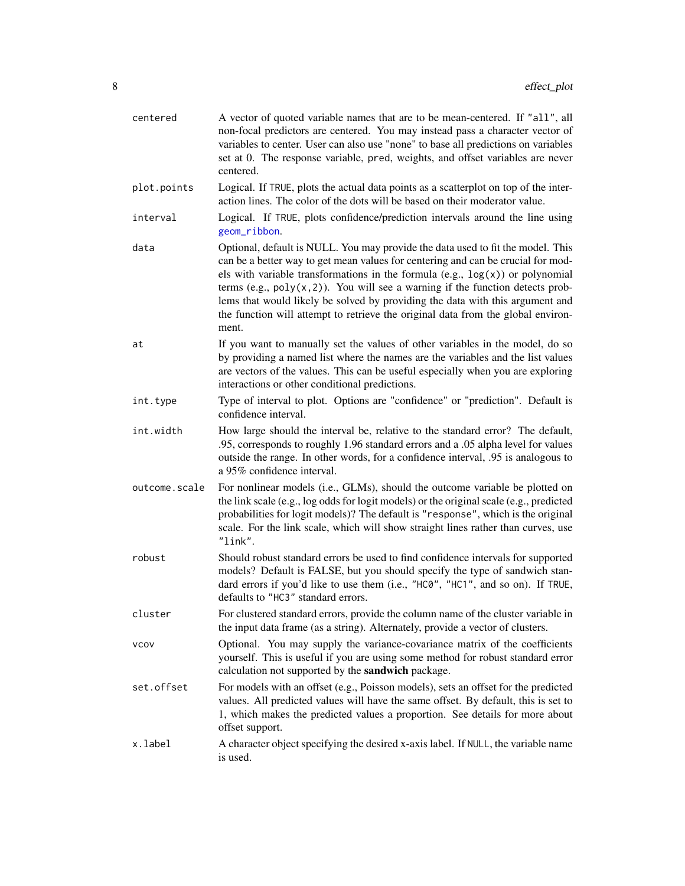| centered      | A vector of quoted variable names that are to be mean-centered. If "all", all<br>non-focal predictors are centered. You may instead pass a character vector of<br>variables to center. User can also use "none" to base all predictions on variables<br>set at 0. The response variable, pred, weights, and offset variables are never<br>centered.                                                                                                                                                                       |
|---------------|---------------------------------------------------------------------------------------------------------------------------------------------------------------------------------------------------------------------------------------------------------------------------------------------------------------------------------------------------------------------------------------------------------------------------------------------------------------------------------------------------------------------------|
| plot.points   | Logical. If TRUE, plots the actual data points as a scatterplot on top of the inter-<br>action lines. The color of the dots will be based on their moderator value.                                                                                                                                                                                                                                                                                                                                                       |
| interval      | Logical. If TRUE, plots confidence/prediction intervals around the line using<br>geom_ribbon.                                                                                                                                                                                                                                                                                                                                                                                                                             |
| data          | Optional, default is NULL. You may provide the data used to fit the model. This<br>can be a better way to get mean values for centering and can be crucial for mod-<br>els with variable transformations in the formula $(e.g., log(x))$ or polynomial<br>terms (e.g., $poly(x, 2)$ ). You will see a warning if the function detects prob-<br>lems that would likely be solved by providing the data with this argument and<br>the function will attempt to retrieve the original data from the global environ-<br>ment. |
| at            | If you want to manually set the values of other variables in the model, do so<br>by providing a named list where the names are the variables and the list values<br>are vectors of the values. This can be useful especially when you are exploring<br>interactions or other conditional predictions.                                                                                                                                                                                                                     |
| int.type      | Type of interval to plot. Options are "confidence" or "prediction". Default is<br>confidence interval.                                                                                                                                                                                                                                                                                                                                                                                                                    |
| int.width     | How large should the interval be, relative to the standard error? The default,<br>.95, corresponds to roughly 1.96 standard errors and a .05 alpha level for values<br>outside the range. In other words, for a confidence interval, .95 is analogous to<br>a 95% confidence interval.                                                                                                                                                                                                                                    |
| outcome.scale | For nonlinear models (i.e., GLMs), should the outcome variable be plotted on<br>the link scale (e.g., log odds for logit models) or the original scale (e.g., predicted<br>probabilities for logit models)? The default is "response", which is the original<br>scale. For the link scale, which will show straight lines rather than curves, use<br>"link".                                                                                                                                                              |
| robust        | Should robust standard errors be used to find confidence intervals for supported<br>models? Default is FALSE, but you should specify the type of sandwich stan-<br>dard errors if you'd like to use them (i.e., "HC0", "HC1", and so on). If TRUE,<br>defaults to "HC3" standard errors.                                                                                                                                                                                                                                  |
| cluster       | For clustered standard errors, provide the column name of the cluster variable in<br>the input data frame (as a string). Alternately, provide a vector of clusters.                                                                                                                                                                                                                                                                                                                                                       |
| <b>VCOV</b>   | Optional. You may supply the variance-covariance matrix of the coefficients<br>yourself. This is useful if you are using some method for robust standard error<br>calculation not supported by the sandwich package.                                                                                                                                                                                                                                                                                                      |
| set.offset    | For models with an offset (e.g., Poisson models), sets an offset for the predicted<br>values. All predicted values will have the same offset. By default, this is set to<br>1, which makes the predicted values a proportion. See details for more about<br>offset support.                                                                                                                                                                                                                                               |
| x.label       | A character object specifying the desired x-axis label. If NULL, the variable name<br>is used.                                                                                                                                                                                                                                                                                                                                                                                                                            |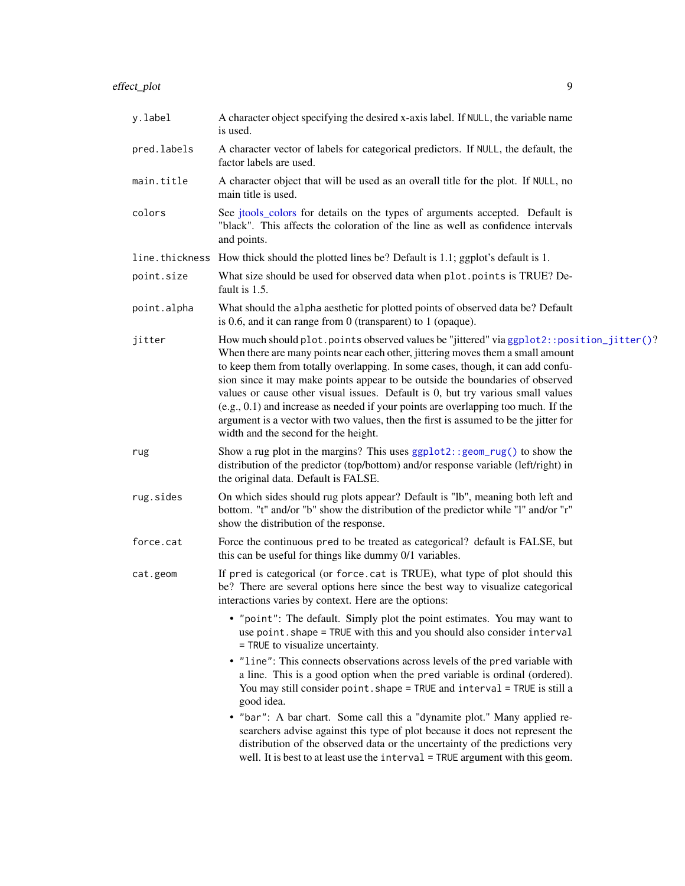| y.label     | A character object specifying the desired x-axis label. If NULL, the variable name<br>is used.                                                                                                                                                                                                                                                                                                                                                                                                                                                                                                                                                              |
|-------------|-------------------------------------------------------------------------------------------------------------------------------------------------------------------------------------------------------------------------------------------------------------------------------------------------------------------------------------------------------------------------------------------------------------------------------------------------------------------------------------------------------------------------------------------------------------------------------------------------------------------------------------------------------------|
| pred.labels | A character vector of labels for categorical predictors. If NULL, the default, the<br>factor labels are used.                                                                                                                                                                                                                                                                                                                                                                                                                                                                                                                                               |
| main.title  | A character object that will be used as an overall title for the plot. If NULL, no<br>main title is used.                                                                                                                                                                                                                                                                                                                                                                                                                                                                                                                                                   |
| colors      | See jtools_colors for details on the types of arguments accepted. Default is<br>"black". This affects the coloration of the line as well as confidence intervals<br>and points.                                                                                                                                                                                                                                                                                                                                                                                                                                                                             |
|             | line. thickness How thick should the plotted lines be? Default is 1.1; ggplot's default is 1.                                                                                                                                                                                                                                                                                                                                                                                                                                                                                                                                                               |
| point.size  | What size should be used for observed data when plot.points is TRUE? De-<br>fault is 1.5.                                                                                                                                                                                                                                                                                                                                                                                                                                                                                                                                                                   |
| point.alpha | What should the alpha aesthetic for plotted points of observed data be? Default<br>is 0.6, and it can range from 0 (transparent) to 1 (opaque).                                                                                                                                                                                                                                                                                                                                                                                                                                                                                                             |
| jitter      | How much should plot.points observed values be "jittered" via ggplot2::position_jitter()?<br>When there are many points near each other, jittering moves them a small amount<br>to keep them from totally overlapping. In some cases, though, it can add confu-<br>sion since it may make points appear to be outside the boundaries of observed<br>values or cause other visual issues. Default is 0, but try various small values<br>$(e.g., 0.1)$ and increase as needed if your points are overlapping too much. If the<br>argument is a vector with two values, then the first is assumed to be the jitter for<br>width and the second for the height. |
| rug         | Show a rug plot in the margins? This uses ggplot2:: geom_rug() to show the<br>distribution of the predictor (top/bottom) and/or response variable (left/right) in<br>the original data. Default is FALSE.                                                                                                                                                                                                                                                                                                                                                                                                                                                   |
| rug.sides   | On which sides should rug plots appear? Default is "lb", meaning both left and<br>bottom. "t" and/or "b" show the distribution of the predictor while "l" and/or "r"<br>show the distribution of the response.                                                                                                                                                                                                                                                                                                                                                                                                                                              |
| force.cat   | Force the continuous pred to be treated as categorical? default is FALSE, but<br>this can be useful for things like dummy 0/1 variables.                                                                                                                                                                                                                                                                                                                                                                                                                                                                                                                    |
| cat.geom    | If pred is categorical (or force.cat is TRUE), what type of plot should this<br>be? There are several options here since the best way to visualize categorical<br>interactions varies by context. Here are the options:                                                                                                                                                                                                                                                                                                                                                                                                                                     |
|             | • "point": The default. Simply plot the point estimates. You may want to<br>use point. shape = TRUE with this and you should also consider interval<br>= TRUE to visualize uncertainty.                                                                                                                                                                                                                                                                                                                                                                                                                                                                     |
|             | • "line": This connects observations across levels of the pred variable with<br>a line. This is a good option when the pred variable is ordinal (ordered).<br>You may still consider point. shape = TRUE and interval = TRUE is still a<br>good idea.                                                                                                                                                                                                                                                                                                                                                                                                       |
|             | • "bar": A bar chart. Some call this a "dynamite plot." Many applied re-<br>searchers advise against this type of plot because it does not represent the<br>distribution of the observed data or the uncertainty of the predictions very<br>well. It is best to at least use the $interval = TRUE$ argument with this geom.                                                                                                                                                                                                                                                                                                                                 |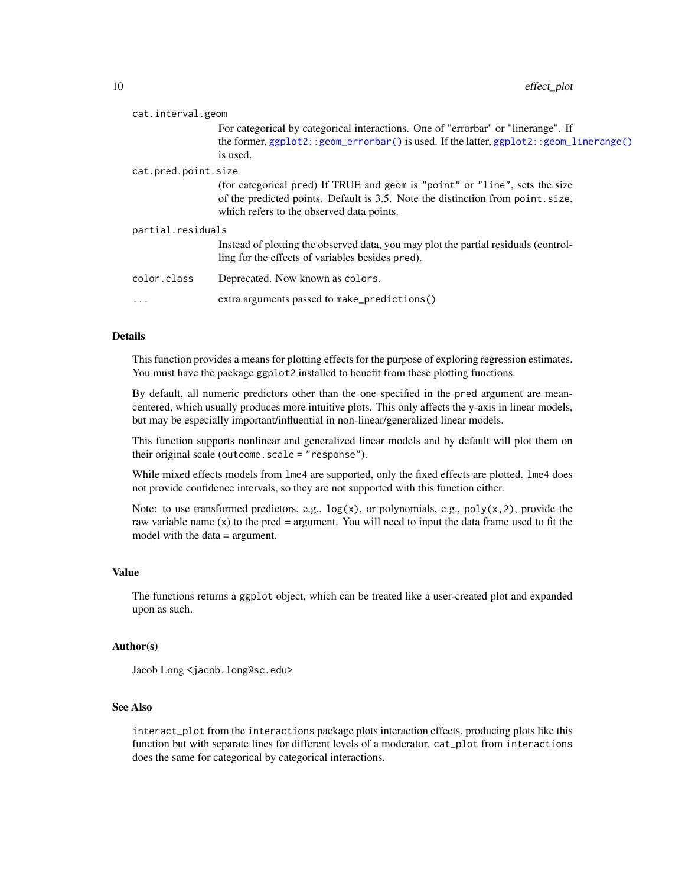| cat.interval.geom |                     |                                                                                                                                         |  |
|-------------------|---------------------|-----------------------------------------------------------------------------------------------------------------------------------------|--|
|                   |                     | For categorical by categorical interactions. One of "errorbar" or "linerange". If                                                       |  |
|                   |                     | the former, $ggplot2$ : : $geom_errorbar()$ is used. If the latter, $ggplot2$ : : $geom_linerange()$<br>is used.                        |  |
|                   | cat.pred.point.size |                                                                                                                                         |  |
|                   |                     | (for categorical pred) If TRUE and geom is "point" or "line", sets the size                                                             |  |
|                   |                     | of the predicted points. Default is 3.5. Note the distinction from point.size,<br>which refers to the observed data points.             |  |
|                   | partial.residuals   |                                                                                                                                         |  |
|                   |                     | Instead of plotting the observed data, you may plot the partial residuals (control-<br>ling for the effects of variables besides pred). |  |
|                   | color.class         | Deprecated. Now known as colors.                                                                                                        |  |
|                   | $\ddotsc$           | extra arguments passed to make_predictions()                                                                                            |  |
|                   |                     |                                                                                                                                         |  |

### Details

This function provides a means for plotting effects for the purpose of exploring regression estimates. You must have the package ggplot2 installed to benefit from these plotting functions.

By default, all numeric predictors other than the one specified in the pred argument are meancentered, which usually produces more intuitive plots. This only affects the y-axis in linear models, but may be especially important/influential in non-linear/generalized linear models.

This function supports nonlinear and generalized linear models and by default will plot them on their original scale (outcome.scale = "response").

While mixed effects models from  $\text{Im}e4$  are supported, only the fixed effects are plotted.  $\text{Im}e4$  does not provide confidence intervals, so they are not supported with this function either.

Note: to use transformed predictors, e.g.,  $log(x)$ , or polynomials, e.g.,  $poly(x, 2)$ , provide the raw variable name  $(x)$  to the pred = argument. You will need to input the data frame used to fit the model with the data = argument.

#### Value

The functions returns a ggplot object, which can be treated like a user-created plot and expanded upon as such.

#### Author(s)

Jacob Long <jacob.long@sc.edu>

# See Also

interact\_plot from the interactions package plots interaction effects, producing plots like this function but with separate lines for different levels of a moderator. cat\_plot from interactions does the same for categorical by categorical interactions.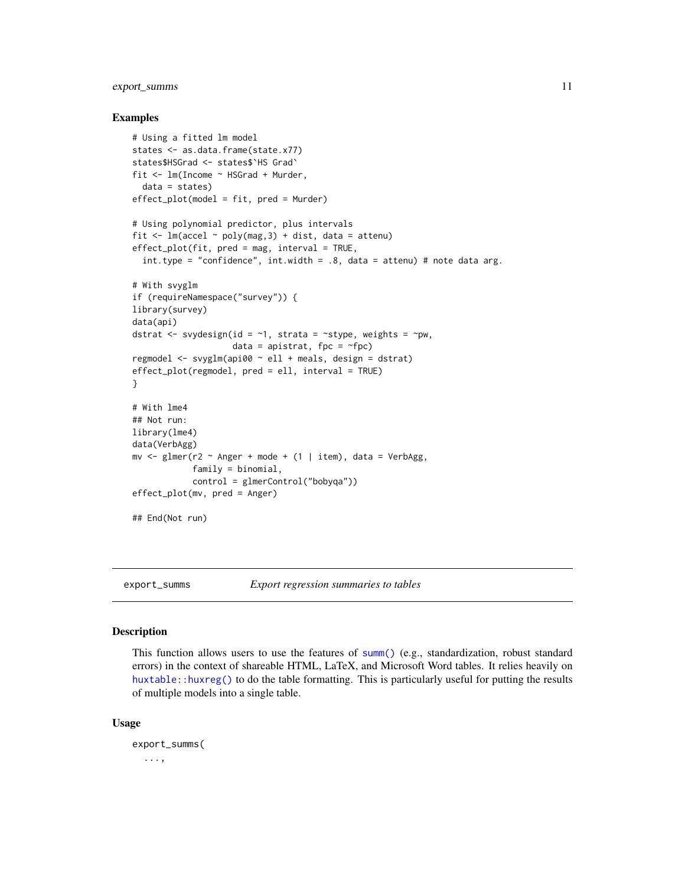# <span id="page-10-0"></span>export\_summs 11

#### Examples

```
# Using a fitted lm model
states <- as.data.frame(state.x77)
states$HSGrad <- states$`HS Grad`
fit <- lm(Income ~ HSGrad + Murder,
  data = states)
effect_plot(model = fit, pred = Murder)
# Using polynomial predictor, plus intervals
fit \leq lm(accel \sim poly(mag, 3) + dist, data = attenu)
effect_plot(fit, pred = mag, interval = TRUE,
  int.type = "confidence", int.width = .8, data = attenu) # note data arg.
# With svyglm
if (requireNamespace("survey")) {
library(survey)
data(api)
dstrat \leq svydesign(id = \sim1, strata = \simstype, weights = \simpw,
                     data = apistrat, fpc = \simfpc)
regmodel <- svyglm(api00 ~ ell + meals, design = dstrat)
effect_plot(regmodel, pred = ell, interval = TRUE)
}
# With lme4
## Not run:
library(lme4)
data(VerbAgg)
mv \leq glmer(r2 \sim Anger + mode + (1 | item), data = VerbAgg,
            family = binomial,
            control = glmerControl("bobyqa"))
effect_plot(mv, pred = Anger)
## End(Not run)
```
export\_summs *Export regression summaries to tables*

#### Description

This function allows users to use the features of [summ\(\)](#page-41-1) (e.g., standardization, robust standard errors) in the context of shareable HTML, LaTeX, and Microsoft Word tables. It relies heavily on [huxtable::huxreg\(\)](#page-0-0) to do the table formatting. This is particularly useful for putting the results of multiple models into a single table.

#### Usage

```
export_summs(
  ...,
```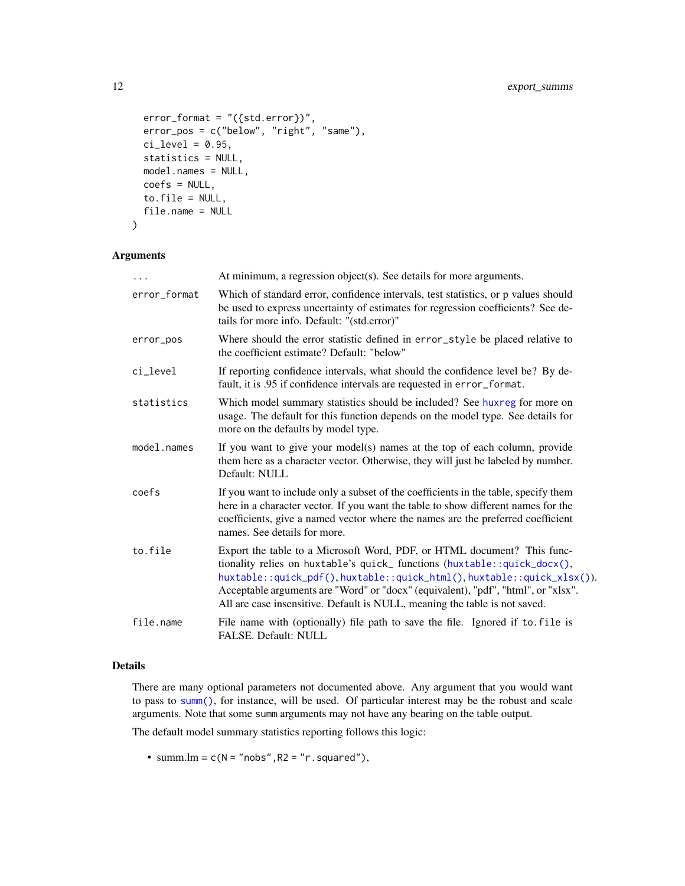```
error_{format} = "({std_error})",error_pos = c("below", "right", "same"),
 ci<sup>= 0.95</sup>,
 statistics = NULL,
 model.names = NULL,
 coefs = NULL,
  to.file = NULL,
  file.name = NULL
)
```
# Arguments

| $\ddots$     | At minimum, a regression object(s). See details for more arguments.                                                                                                                                                                                                                                                                                                                            |
|--------------|------------------------------------------------------------------------------------------------------------------------------------------------------------------------------------------------------------------------------------------------------------------------------------------------------------------------------------------------------------------------------------------------|
| error_format | Which of standard error, confidence intervals, test statistics, or p values should<br>be used to express uncertainty of estimates for regression coefficients? See de-<br>tails for more info. Default: "(std.error)"                                                                                                                                                                          |
| error_pos    | Where should the error statistic defined in error_style be placed relative to<br>the coefficient estimate? Default: "below"                                                                                                                                                                                                                                                                    |
| ci_level     | If reporting confidence intervals, what should the confidence level be? By de-<br>fault, it is .95 if confidence intervals are requested in error_format.                                                                                                                                                                                                                                      |
| statistics   | Which model summary statistics should be included? See huxreg for more on<br>usage. The default for this function depends on the model type. See details for<br>more on the defaults by model type.                                                                                                                                                                                            |
| model.names  | If you want to give your model(s) names at the top of each column, provide<br>them here as a character vector. Otherwise, they will just be labeled by number.<br>Default: NULL                                                                                                                                                                                                                |
| coefs        | If you want to include only a subset of the coefficients in the table, specify them<br>here in a character vector. If you want the table to show different names for the<br>coefficients, give a named vector where the names are the preferred coefficient<br>names. See details for more.                                                                                                    |
| to.file      | Export the table to a Microsoft Word, PDF, or HTML document? This func-<br>tionality relies on huxtable's quick_functions (huxtable::quick_docx(),<br>huxtable::quick_pdf(),huxtable::quick_html(),huxtable::quick_xlsx()).<br>Acceptable arguments are "Word" or "docx" (equivalent), "pdf", "html", or "xlsx".<br>All are case insensitive. Default is NULL, meaning the table is not saved. |
| file.name    | File name with (optionally) file path to save the file. Ignored if to file is<br>FALSE. Default: NULL                                                                                                                                                                                                                                                                                          |

# Details

There are many optional parameters not documented above. Any argument that you would want to pass to [summ\(\)](#page-41-1), for instance, will be used. Of particular interest may be the robust and scale arguments. Note that some summ arguments may not have any bearing on the table output.

The default model summary statistics reporting follows this logic:

• summ. $lm = c(N = "nobs", R2 = "r,squared"),$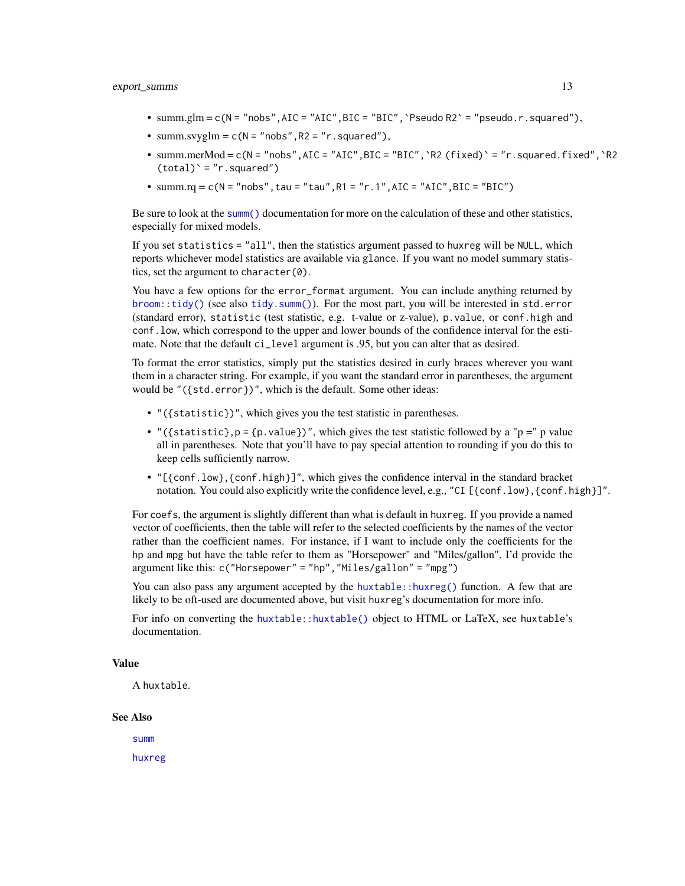#### export\_summs 13

- $summ,glm = c(N = "nobs", AIC = "AIC", BIC = "BIC", 'Pseudo R2' = "pseudo.r.squared"),$
- summ.svyglm =  $c(N = "nobs", R2 = "r,squared"),$
- summ.merMod =  $c(N = "nobs", AIC = "AIC", BIC = "BIC", 'R2 (fixed)' = "r,squared.fixed", 'R2$  $(total)' = "r.squared")$
- summ.rq = c( $N = "nobs", \text{tau} = "tau", R1 = "r.1", AIC = "AIC", BIC = "BIC")$

Be sure to look at the [summ\(\)](#page-41-1) documentation for more on the calculation of these and other statistics, especially for mixed models.

If you set statistics = "all", then the statistics argument passed to huxreg will be NULL, which reports whichever model statistics are available via glance. If you want no model summary statistics, set the argument to character $(0)$ .

You have a few options for the error\_format argument. You can include anything returned by [broom::tidy\(\)](#page-0-0) (see also [tidy.summ\(\)](#page-64-1)). For the most part, you will be interested in std.error (standard error), statistic (test statistic, e.g. t-value or z-value), p.value, or conf.high and conf.low, which correspond to the upper and lower bounds of the confidence interval for the estimate. Note that the default ci\_level argument is .95, but you can alter that as desired.

To format the error statistics, simply put the statistics desired in curly braces wherever you want them in a character string. For example, if you want the standard error in parentheses, the argument would be "({std.error})", which is the default. Some other ideas:

- "({statistic})", which gives you the test statistic in parentheses.
- "({statistic},  $p = \{p.value\}$ )", which gives the test statistic followed by a "p =" p value all in parentheses. Note that you'll have to pay special attention to rounding if you do this to keep cells sufficiently narrow.
- "[{conf.low},{conf.high}]", which gives the confidence interval in the standard bracket notation. You could also explicitly write the confidence level, e.g., "CI [{conf.low},{conf.high}]".

For coefs, the argument is slightly different than what is default in huxreg. If you provide a named vector of coefficients, then the table will refer to the selected coefficients by the names of the vector rather than the coefficient names. For instance, if I want to include only the coefficients for the hp and mpg but have the table refer to them as "Horsepower" and "Miles/gallon", I'd provide the argument like this:  $c('Horsepower'' = "hp", "Miles/gallon" = "mpg")$ 

You can also pass any argument accepted by the huxtable:: $huxreg()$  function. A few that are likely to be oft-used are documented above, but visit huxreg's documentation for more info.

For info on converting the [huxtable::huxtable\(\)](#page-0-0) object to HTML or LaTeX, see huxtable's documentation.

# Value

A huxtable.

#### See Also

[summ](#page-41-1) [huxreg](#page-0-0)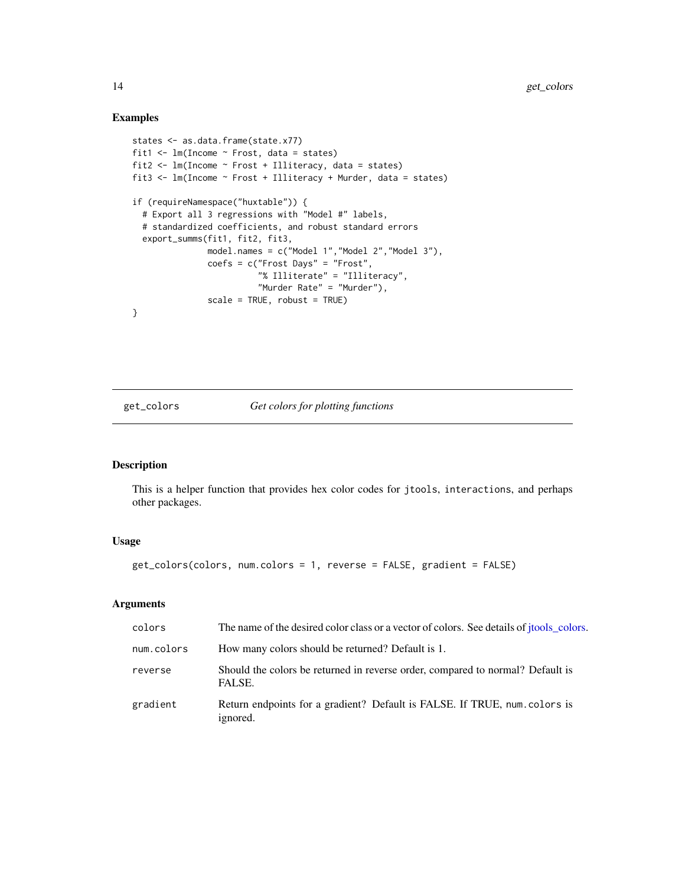#### Examples

```
states <- as.data.frame(state.x77)
fit1 <- lm(Income ~ Frost, data = states)
fit2 <- lm(Income ~ Frost + Illiteracy, data = states)
fit3 <- lm(Income ~ Frost + Illiteracy + Murder, data = states)
if (requireNamespace("huxtable")) {
  # Export all 3 regressions with "Model #" labels,
  # standardized coefficients, and robust standard errors
  export_summs(fit1, fit2, fit3,
               model.names = c("Model 1","Model 2","Model 3"),
               coefs = c("Frost Days" = "Frost",
                         "% Illiterate" = "Illiteracy",
                         "Murder Rate" = "Murder"),
               scale = TRUE, robust = TRUE)
}
```
get\_colors *Get colors for plotting functions*

#### Description

This is a helper function that provides hex color codes for jtools, interactions, and perhaps other packages.

# Usage

get\_colors(colors, num.colors = 1, reverse = FALSE, gradient = FALSE)

| colors     | The name of the desired color class or a vector of colors. See details of jtools_colors. |
|------------|------------------------------------------------------------------------------------------|
| num.colors | How many colors should be returned? Default is 1.                                        |
| reverse    | Should the colors be returned in reverse order, compared to normal? Default is<br>FALSE. |
| gradient   | Return endpoints for a gradient? Default is FALSE. If TRUE, num. colors is<br>ignored.   |

<span id="page-13-0"></span>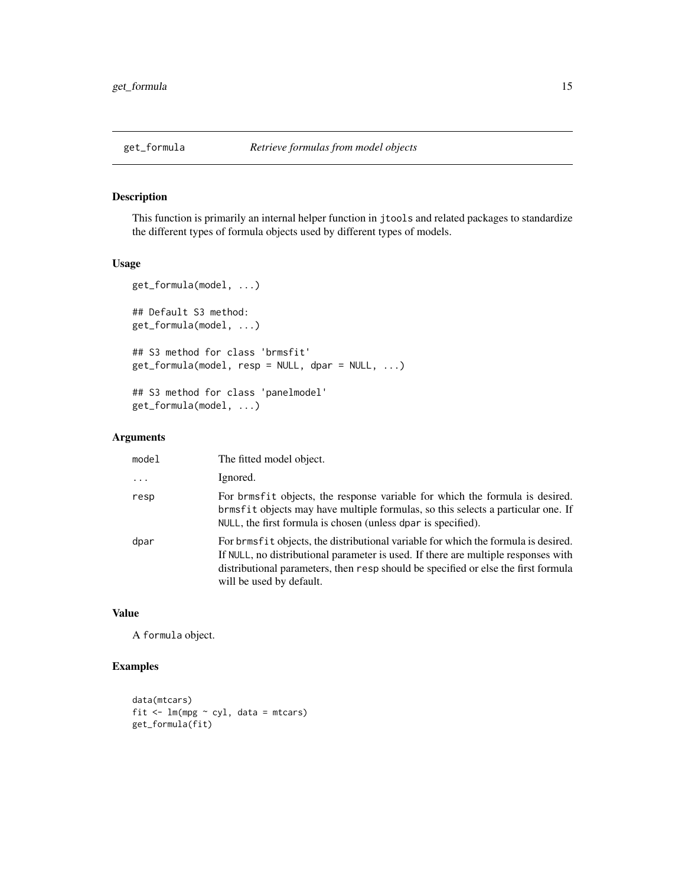<span id="page-14-0"></span>

This function is primarily an internal helper function in jtools and related packages to standardize the different types of formula objects used by different types of models.

#### Usage

```
get_formula(model, ...)
## Default S3 method:
get_formula(model, ...)
## S3 method for class 'brmsfit'
get_formula(model, resp = NULL, dpar = NULL, ...)## S3 method for class 'panelmodel'
get_formula(model, ...)
```
# Arguments

| model    | The fitted model object.                                                                                                                                                                                                                                                                   |
|----------|--------------------------------------------------------------------------------------------------------------------------------------------------------------------------------------------------------------------------------------------------------------------------------------------|
| $\cdots$ | Ignored.                                                                                                                                                                                                                                                                                   |
| resp     | For brmsfit objects, the response variable for which the formula is desired.<br>brmsfit objects may have multiple formulas, so this selects a particular one. If<br>NULL, the first formula is chosen (unless dpar is specified).                                                          |
| dpar     | For brmsfit objects, the distributional variable for which the formula is desired.<br>If NULL, no distributional parameter is used. If there are multiple responses with<br>distributional parameters, then resp should be specified or else the first formula<br>will be used by default. |

# Value

A formula object.

# Examples

```
data(mtcars)
fit \leq lm(mpg \sim cyl, data = mtcars)
get_formula(fit)
```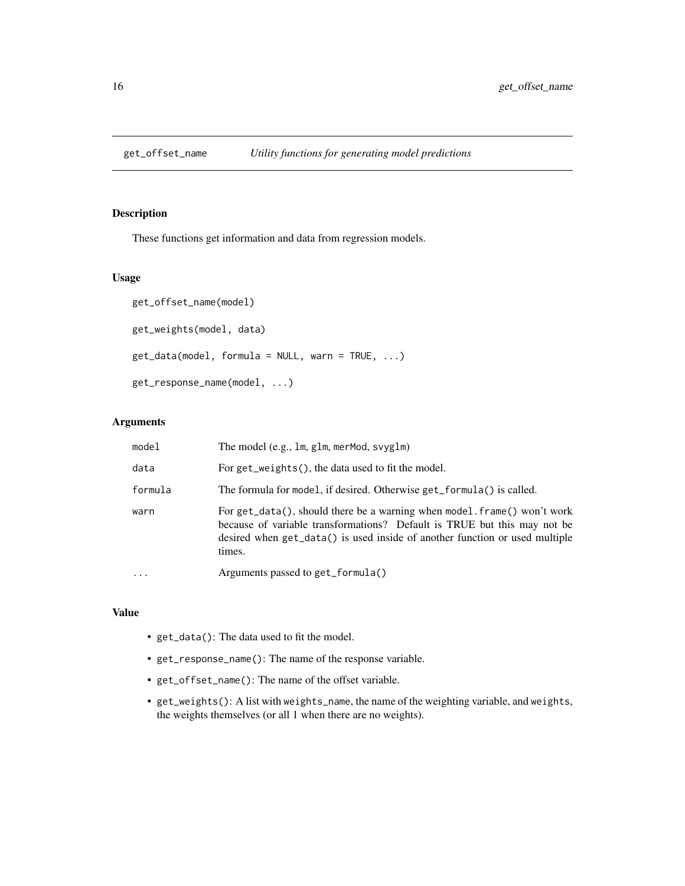<span id="page-15-0"></span>

These functions get information and data from regression models.

# Usage

```
get_offset_name(model)
get_weights(model, data)
get_data(model, formula = NULL, warn = TRUE, ...)get_response_name(model, ...)
```
#### Arguments

| model    | The model (e.g., 1m, g1m, merMod, svyg1m)                                                                                                                                                                                                    |
|----------|----------------------------------------------------------------------------------------------------------------------------------------------------------------------------------------------------------------------------------------------|
| data     | For get_weights(), the data used to fit the model.                                                                                                                                                                                           |
| formula  | The formula for model, if desired. Otherwise get_formula() is called.                                                                                                                                                                        |
| warn     | For get_data(), should there be a warning when model frame() won't work<br>because of variable transformations? Default is TRUE but this may not be<br>desired when get_data() is used inside of another function or used multiple<br>times. |
| $\cdots$ | Arguments passed to get_formula()                                                                                                                                                                                                            |

# Value

- get\_data(): The data used to fit the model.
- get\_response\_name(): The name of the response variable.
- get\_offset\_name(): The name of the offset variable.
- get\_weights(): A list with weights\_name, the name of the weighting variable, and weights, the weights themselves (or all 1 when there are no weights).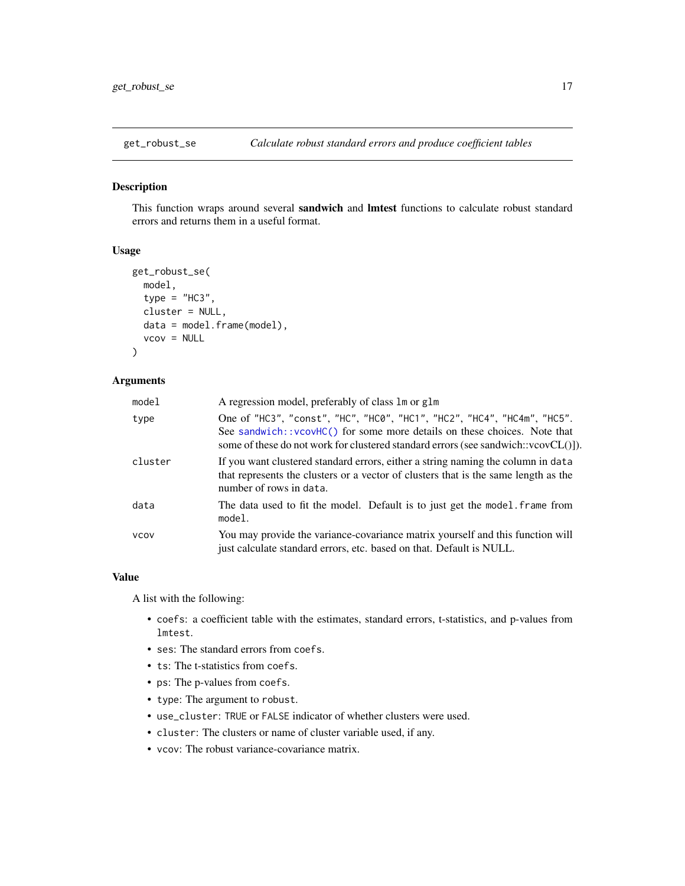<span id="page-16-0"></span>

This function wraps around several sandwich and lmtest functions to calculate robust standard errors and returns them in a useful format.

#### Usage

```
get_robust_se(
 model,
  type = "HC3",cluster = NULL,
  data = model.frame(model),
  vcov = NULL
)
```
# Arguments

| model       | A regression model, preferably of class 1 m or g1 m                                                                                                                                                                                            |
|-------------|------------------------------------------------------------------------------------------------------------------------------------------------------------------------------------------------------------------------------------------------|
| type        | One of "HC3", "const", "HC", "HC0", "HC1", "HC2", "HC4", "HC4m", "HC5".<br>See sandwich: : vcovHC() for some more details on these choices. Note that<br>some of these do not work for clustered standard errors (see sandwich:: $vcovCL()$ ). |
| cluster     | If you want clustered standard errors, either a string naming the column in data<br>that represents the clusters or a vector of clusters that is the same length as the<br>number of rows in data.                                             |
| data        | The data used to fit the model. Default is to just get the model. frame from<br>model.                                                                                                                                                         |
| <b>VCOV</b> | You may provide the variance-covariance matrix yourself and this function will<br>just calculate standard errors, etc. based on that. Default is NULL.                                                                                         |

#### Value

A list with the following:

- coefs: a coefficient table with the estimates, standard errors, t-statistics, and p-values from lmtest.
- ses: The standard errors from coefs.
- ts: The t-statistics from coefs.
- ps: The p-values from coefs.
- type: The argument to robust.
- use\_cluster: TRUE or FALSE indicator of whether clusters were used.
- cluster: The clusters or name of cluster variable used, if any.
- vcov: The robust variance-covariance matrix.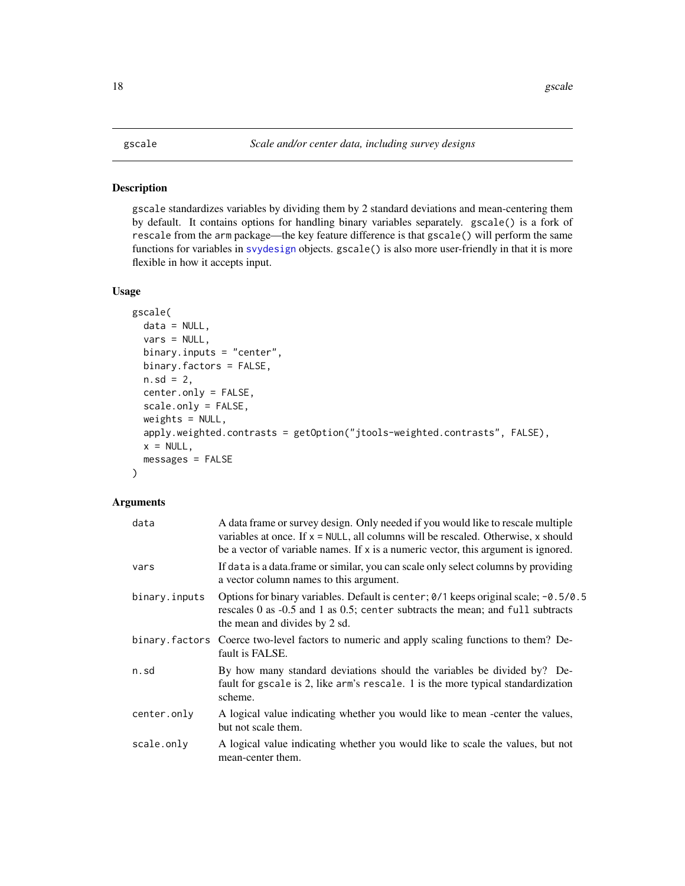<span id="page-17-1"></span><span id="page-17-0"></span>gscale standardizes variables by dividing them by 2 standard deviations and mean-centering them by default. It contains options for handling binary variables separately. gscale() is a fork of rescale from the arm package—the key feature difference is that gscale() will perform the same functions for variables in [svydesign](#page-0-0) objects. gscale() is also more user-friendly in that it is more flexible in how it accepts input.

# Usage

```
gscale(
 data = NULL,
 vars = NULL,
 binary.inputs = "center",
 binary.factors = FALSE,
 n.sd = 2,center.only = FALSE,
  scale.only = FALSE,
 weights = NULL,apply.weighted.contrasts = getOption("jtools-weighted.contrasts", FALSE),
 x = NULL,messages = FALSE
)
```

| data          | A data frame or survey design. Only needed if you would like to rescale multiple<br>variables at once. If $x = NULL$ , all columns will be rescaled. Otherwise, x should<br>be a vector of variable names. If x is a numeric vector, this argument is ignored. |
|---------------|----------------------------------------------------------------------------------------------------------------------------------------------------------------------------------------------------------------------------------------------------------------|
| vars          | If data is a data frame or similar, you can scale only select columns by providing<br>a vector column names to this argument.                                                                                                                                  |
| binary.inputs | Options for binary variables. Default is center; $\theta/1$ keeps original scale; -0.5/0.5<br>rescales 0 as -0.5 and 1 as 0.5; center subtracts the mean; and full subtracts<br>the mean and divides by 2 sd.                                                  |
|               | binary. factors Coerce two-level factors to numeric and apply scaling functions to them? De-<br>fault is FALSE.                                                                                                                                                |
| n.sd          | By how many standard deviations should the variables be divided by? De-<br>fault for gscale is 2, like arm's rescale. 1 is the more typical standardization<br>scheme.                                                                                         |
| center.only   | A logical value indicating whether you would like to mean -center the values,<br>but not scale them.                                                                                                                                                           |
| scale.only    | A logical value indicating whether you would like to scale the values, but not<br>mean-center them.                                                                                                                                                            |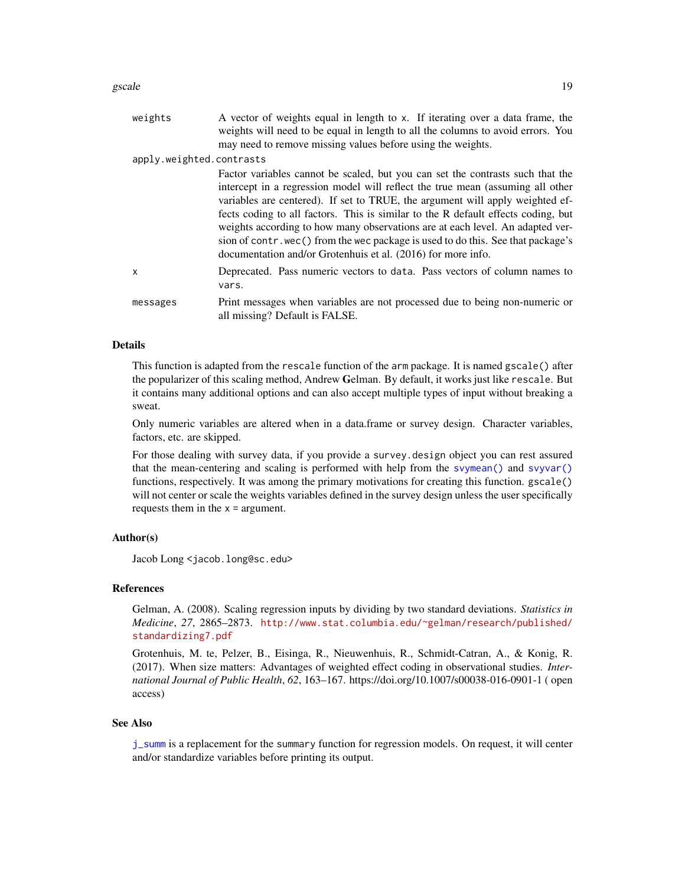| weights                  | A vector of weights equal in length to x. If iterating over a data frame, the<br>weights will need to be equal in length to all the columns to avoid errors. You<br>may need to remove missing values before using the weights.                                                                                                                                                                                                                                                                                                                                             |
|--------------------------|-----------------------------------------------------------------------------------------------------------------------------------------------------------------------------------------------------------------------------------------------------------------------------------------------------------------------------------------------------------------------------------------------------------------------------------------------------------------------------------------------------------------------------------------------------------------------------|
| apply.weighted.contrasts |                                                                                                                                                                                                                                                                                                                                                                                                                                                                                                                                                                             |
|                          | Factor variables cannot be scaled, but you can set the contrasts such that the<br>intercept in a regression model will reflect the true mean (assuming all other<br>variables are centered). If set to TRUE, the argument will apply weighted ef-<br>fects coding to all factors. This is similar to the R default effects coding, but<br>weights according to how many observations are at each level. An adapted ver-<br>sion of contr. wec() from the wec package is used to do this. See that package's<br>documentation and/or Grotenhuis et al. (2016) for more info. |
| x                        | Deprecated. Pass numeric vectors to data. Pass vectors of column names to<br>vars.                                                                                                                                                                                                                                                                                                                                                                                                                                                                                          |
| messages                 | Print messages when variables are not processed due to being non-numeric or<br>all missing? Default is FALSE.                                                                                                                                                                                                                                                                                                                                                                                                                                                               |

#### Details

This function is adapted from the rescale function of the arm package. It is named gscale() after the popularizer of this scaling method, Andrew Gelman. By default, it works just like rescale. But it contains many additional options and can also accept multiple types of input without breaking a sweat.

Only numeric variables are altered when in a data.frame or survey design. Character variables, factors, etc. are skipped.

For those dealing with survey data, if you provide a survey.design object you can rest assured that the mean-centering and scaling is performed with help from the [svymean\(\)](#page-0-0) and [svyvar\(\)](#page-0-0) functions, respectively. It was among the primary motivations for creating this function. gscale() will not center or scale the weights variables defined in the survey design unless the user specifically requests them in the  $x =$  argument.

# Author(s)

Jacob Long <jacob.long@sc.edu>

#### References

Gelman, A. (2008). Scaling regression inputs by dividing by two standard deviations. *Statistics in Medicine*, *27*, 2865–2873. [http://www.stat.columbia.edu/~gelman/research/published/](http://www.stat.columbia.edu/~gelman/research/published/standardizing7.pdf) [standardizing7.pdf](http://www.stat.columbia.edu/~gelman/research/published/standardizing7.pdf)

Grotenhuis, M. te, Pelzer, B., Eisinga, R., Nieuwenhuis, R., Schmidt-Catran, A., & Konig, R. (2017). When size matters: Advantages of weighted effect coding in observational studies. *International Journal of Public Health*, *62*, 163–167. https://doi.org/10.1007/s00038-016-0901-1 ( open access)

#### See Also

[j\\_summ](#page-41-2) is a replacement for the summary function for regression models. On request, it will center and/or standardize variables before printing its output.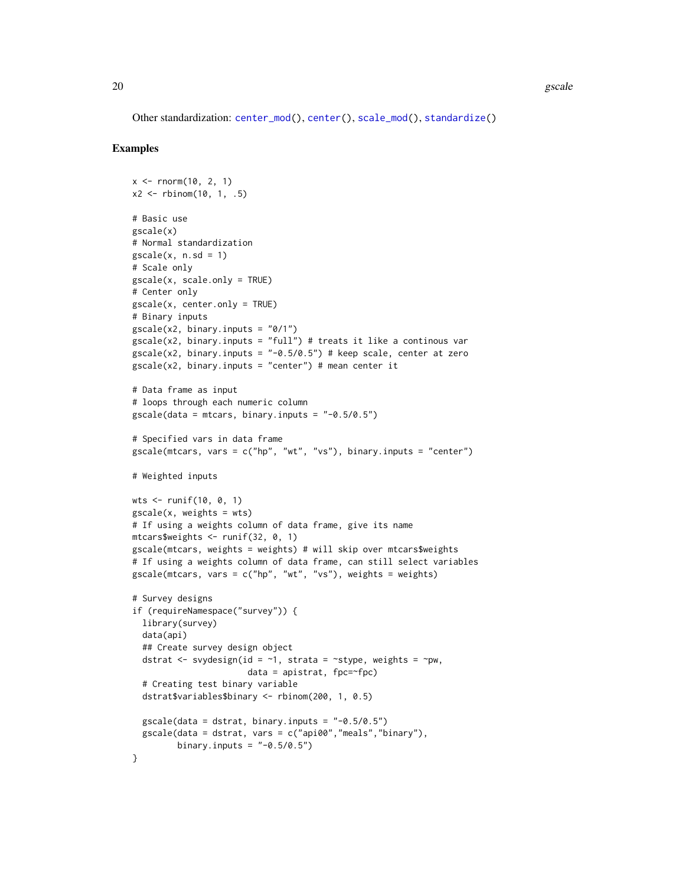Other standardization: [center\\_mod\(](#page-3-1)), [center\(](#page-2-1)), [scale\\_mod\(](#page-36-1)), [standardize\(](#page-39-1))

#### Examples

```
x \le - rnorm(10, 2, 1)
x2 \le - rbinom(10, 1, .5)
# Basic use
gscale(x)
# Normal standardization
\text{gscale}(x, n.sd = 1)# Scale only
gscale(x, scale.only = TRUE)
# Center only
gscale(x, center.only = TRUE)
# Binary inputs
gscale(x2, binary.inputs = "0/1")
\text{gscale}(x2, \text{ binary. inputs} = "full") # treats it like a continous var
gscale(x2, binary.inputs = " -0.5/0.5") # keep scale, center at zero
\text{gscale}(x2, \text{ binary.} inputs = "center") # mean center it
# Data frame as input
# loops through each numeric column
\text{gscale}(data = \text{mtcars}, \text{binary.inputs} = "-0.5/0.5")# Specified vars in data frame
gscale(mtcars, vars = c("hp", "wt", "vs"), binary.inputs = "center")
# Weighted inputs
wts <- runif(10, 0, 1)
\text{gscale}(x, \text{ weights} = \text{wts})# If using a weights column of data frame, give its name
mtcars$weights <- runif(32, 0, 1)
gscale(mtcars, weights = weights) # will skip over mtcars$weights
# If using a weights column of data frame, can still select variables
\text{gscale}(\text{mtcars}, \text{vars} = c("hp", "wt", "vs"), \text{weights} = \text{weights})# Survey designs
if (requireNamespace("survey")) {
  library(survey)
  data(api)
  ## Create survey design object
  dstrat <- svydesign(id = \sim1, strata = \simstype, weights = \simpw,
                         data = apistrat, fpc=~fpc)
  # Creating test binary variable
  dstrat$variables$binary <- rbinom(200, 1, 0.5)
  \text{gscale}(\text{data} = \text{dstrat}, \text{binary. inputs} = "0.5/0.5")gscale(data = dstrat, vars = c("api00","meals","binary"),
         binary.inputs = " -0.5/0.5")}
```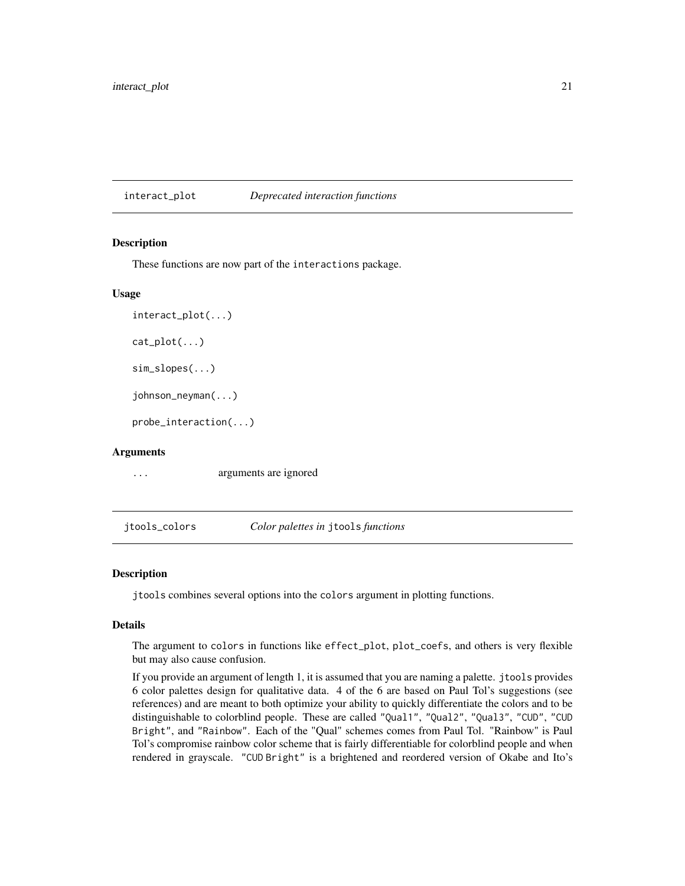<span id="page-20-2"></span><span id="page-20-0"></span>interact\_plot *Deprecated interaction functions*

#### <span id="page-20-1"></span>Description

These functions are now part of the interactions package.

# Usage

```
interact_plot(...)
cat\_plot(...)sim_slopes(...)
johnson_neyman(...)
probe_interaction(...)
```
#### Arguments

... arguments are ignored

<span id="page-20-3"></span>jtools\_colors *Color palettes in* jtools *functions*

# **Description**

jtools combines several options into the colors argument in plotting functions.

# Details

The argument to colors in functions like effect\_plot, plot\_coefs, and others is very flexible but may also cause confusion.

If you provide an argument of length 1, it is assumed that you are naming a palette. jtools provides 6 color palettes design for qualitative data. 4 of the 6 are based on Paul Tol's suggestions (see references) and are meant to both optimize your ability to quickly differentiate the colors and to be distinguishable to colorblind people. These are called "Qual1", "Qual2", "Qual3", "CUD", "CUD Bright", and "Rainbow". Each of the "Qual" schemes comes from Paul Tol. "Rainbow" is Paul Tol's compromise rainbow color scheme that is fairly differentiable for colorblind people and when rendered in grayscale. "CUD Bright" is a brightened and reordered version of Okabe and Ito's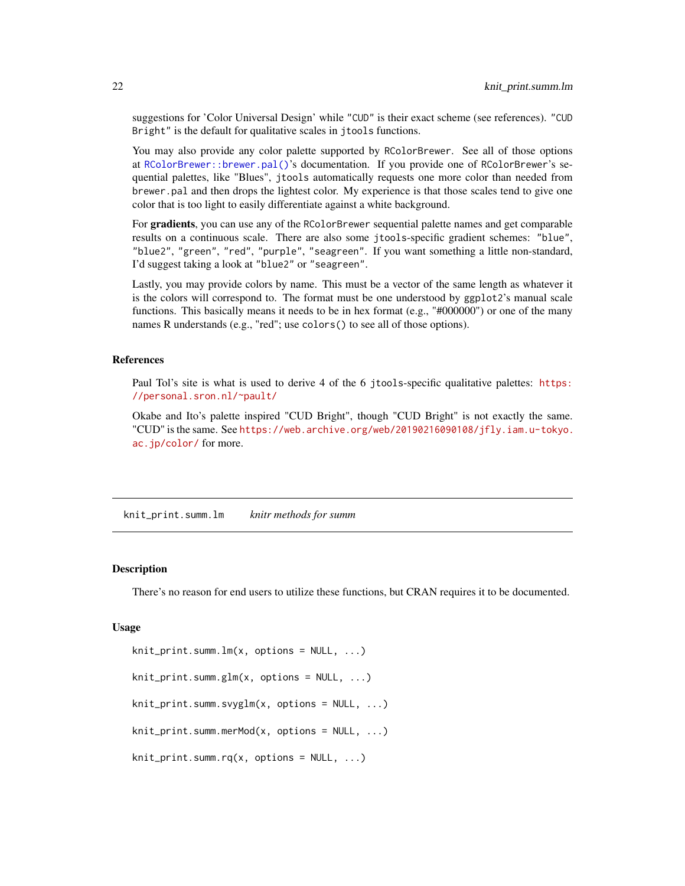<span id="page-21-0"></span>suggestions for 'Color Universal Design' while "CUD" is their exact scheme (see references). "CUD Bright" is the default for qualitative scales in jtools functions.

You may also provide any color palette supported by RColorBrewer. See all of those options at [RColorBrewer::brewer.pal\(\)](#page-0-0)'s documentation. If you provide one of RColorBrewer's sequential palettes, like "Blues", jtools automatically requests one more color than needed from brewer.pal and then drops the lightest color. My experience is that those scales tend to give one color that is too light to easily differentiate against a white background.

For **gradients**, you can use any of the RColorBrewer sequential palette names and get comparable results on a continuous scale. There are also some jtools-specific gradient schemes: "blue", "blue2", "green", "red", "purple", "seagreen". If you want something a little non-standard, I'd suggest taking a look at "blue2" or "seagreen".

Lastly, you may provide colors by name. This must be a vector of the same length as whatever it is the colors will correspond to. The format must be one understood by ggplot2's manual scale functions. This basically means it needs to be in hex format (e.g., "#000000") or one of the many names R understands (e.g., "red"; use colors() to see all of those options).

#### References

Paul Tol's site is what is used to derive 4 of the 6 jtools-specific qualitative palettes: [https:](https://personal.sron.nl/~pault/) [//personal.sron.nl/~pault/](https://personal.sron.nl/~pault/)

Okabe and Ito's palette inspired "CUD Bright", though "CUD Bright" is not exactly the same. "CUD" is the same. See [https://web.archive.org/web/20190216090108/jfly.iam.u-tokyo.](https://web.archive.org/web/20190216090108/jfly.iam.u-tokyo.ac.jp/color/) [ac.jp/color/](https://web.archive.org/web/20190216090108/jfly.iam.u-tokyo.ac.jp/color/) for more.

knit\_print.summ.lm *knitr methods for summ*

#### **Description**

There's no reason for end users to utilize these functions, but CRAN requires it to be documented.

#### Usage

```
knit_print.summ.lm(x, options = NULL, ...)
knit_print.summ.glm(x, \text{ options} = \text{NULL}, \ldots)knit_print.summ.svyglm(x, options = NULL, ...)
knit_print.summ.merMod(x, options = NULL, \dots)
knit_print.summ.rq(x, options = NULL, \ldots)
```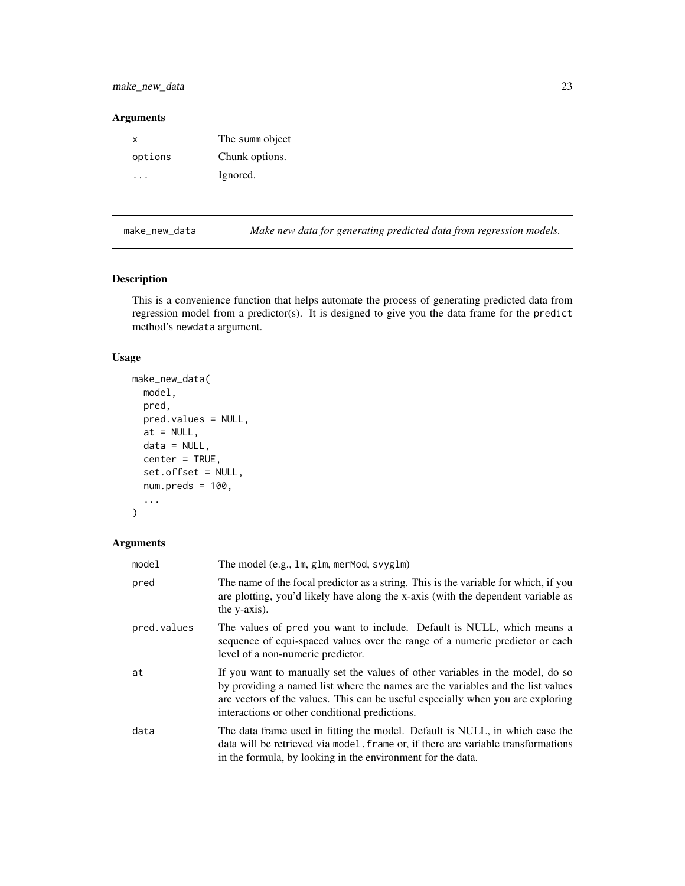<span id="page-22-0"></span>make\_new\_data 23

#### Arguments

| x       | The summ object |
|---------|-----------------|
| options | Chunk options.  |
|         | Ignored.        |

<span id="page-22-1"></span>make\_new\_data *Make new data for generating predicted data from regression models.*

# Description

This is a convenience function that helps automate the process of generating predicted data from regression model from a predictor(s). It is designed to give you the data frame for the predict method's newdata argument.

# Usage

```
make_new_data(
 model,
 pred,
 pred.values = NULL,
 at = NULL,data = NULL,
 center = TRUE,
  set.offset = NULL,
 num.preds = 100,...
```

```
\mathcal{L}
```

| model       | The model (e.g., 1m, g1m, merMod, svyg1m)                                                                                                                                                                                                                                                             |
|-------------|-------------------------------------------------------------------------------------------------------------------------------------------------------------------------------------------------------------------------------------------------------------------------------------------------------|
| pred        | The name of the focal predictor as a string. This is the variable for which, if you<br>are plotting, you'd likely have along the x-axis (with the dependent variable as<br>the y-axis).                                                                                                               |
| pred.values | The values of pred you want to include. Default is NULL, which means a<br>sequence of equi-spaced values over the range of a numeric predictor or each<br>level of a non-numeric predictor.                                                                                                           |
| at          | If you want to manually set the values of other variables in the model, do so<br>by providing a named list where the names are the variables and the list values<br>are vectors of the values. This can be useful especially when you are exploring<br>interactions or other conditional predictions. |
| data        | The data frame used in fitting the model. Default is NULL, in which case the<br>data will be retrieved via model. frame or, if there are variable transformations<br>in the formula, by looking in the environment for the data.                                                                      |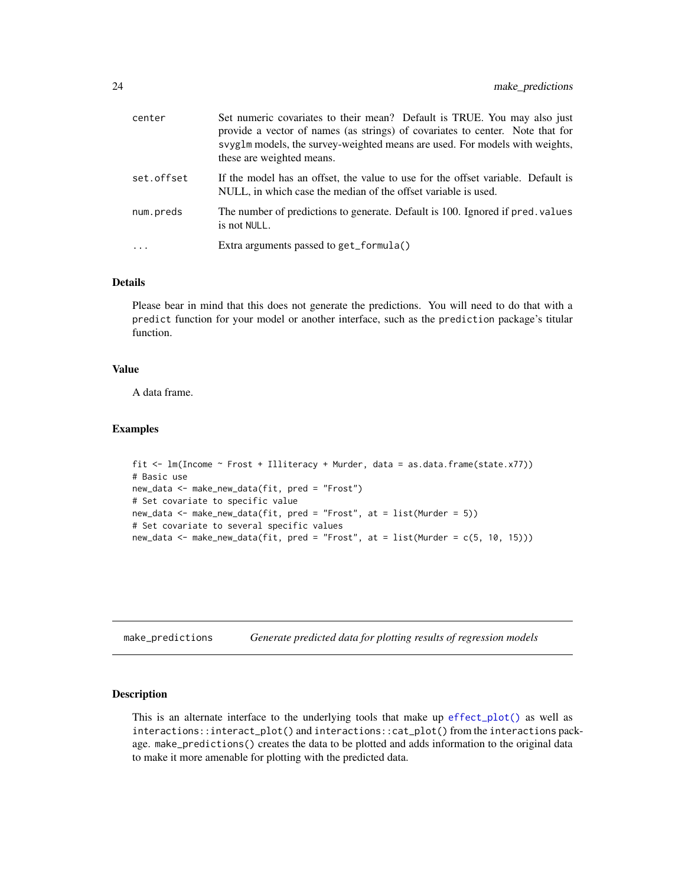<span id="page-23-0"></span>

| center     | Set numeric covariates to their mean? Default is TRUE. You may also just<br>provide a vector of names (as strings) of covariates to center. Note that for<br>syyglm models, the survey-weighted means are used. For models with weights,<br>these are weighted means. |
|------------|-----------------------------------------------------------------------------------------------------------------------------------------------------------------------------------------------------------------------------------------------------------------------|
| set.offset | If the model has an offset, the value to use for the offset variable. Default is<br>NULL, in which case the median of the offset variable is used.                                                                                                                    |
| num.preds  | The number of predictions to generate. Default is 100. Ignored if pred. values<br>is not NULL.                                                                                                                                                                        |
| $\ddots$ . | Extra arguments passed to get_formula()                                                                                                                                                                                                                               |

# Details

Please bear in mind that this does not generate the predictions. You will need to do that with a predict function for your model or another interface, such as the prediction package's titular function.

#### Value

A data frame.

#### Examples

```
fit <- lm(Income ~ Frost + Illiteracy + Murder, data = as.data.frame(state.x77))
# Basic use
new_data <- make_new_data(fit, pred = "Frost")
# Set covariate to specific value
new_data <- make_new_data(fit, pred = "Frost", at = list(Murder = 5))
# Set covariate to several specific values
new_data <- make_new_data(fit, pred = "Frost", at = list(Murder = c(5, 10, 15)))
```
make\_predictions *Generate predicted data for plotting results of regression models*

# Description

This is an alternate interface to the underlying tools that make up [effect\\_plot\(\)](#page-5-1) as well as interactions::interact\_plot() and interactions::cat\_plot() from the interactions package. make\_predictions() creates the data to be plotted and adds information to the original data to make it more amenable for plotting with the predicted data.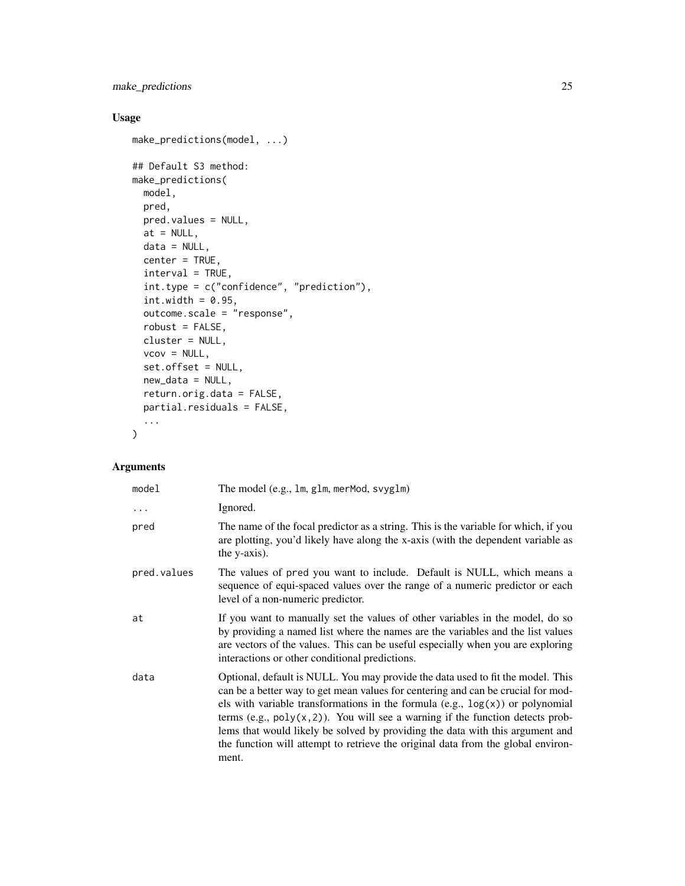make\_predictions 25

# Usage

```
make_predictions(model, ...)
## Default S3 method:
make_predictions(
 model,
 pred,
 pred.values = NULL,
 at = NULL,data = NULL,
 center = TRUE,
 interval = TRUE,
 int.type = c("confidence", "prediction"),
  int.width = 0.95,
 outcome.scale = "response",
 robust = FALSE,cluster = NULL,
 vcov = NULL,set.offset = NULL,
 new_data = NULL,
 return.orig.data = FALSE,
 partial.residuals = FALSE,
  ...
\mathcal{L}
```

| model       | The model (e.g., 1m, g1m, merMod, svyg1m)                                                                                                                                                                                                                                                                                                                                                                                                                                                                                 |
|-------------|---------------------------------------------------------------------------------------------------------------------------------------------------------------------------------------------------------------------------------------------------------------------------------------------------------------------------------------------------------------------------------------------------------------------------------------------------------------------------------------------------------------------------|
| $\cdots$    | Ignored.                                                                                                                                                                                                                                                                                                                                                                                                                                                                                                                  |
| pred        | The name of the focal predictor as a string. This is the variable for which, if you<br>are plotting, you'd likely have along the x-axis (with the dependent variable as<br>the y-axis).                                                                                                                                                                                                                                                                                                                                   |
| pred.values | The values of pred you want to include. Default is NULL, which means a<br>sequence of equi-spaced values over the range of a numeric predictor or each<br>level of a non-numeric predictor.                                                                                                                                                                                                                                                                                                                               |
| at          | If you want to manually set the values of other variables in the model, do so<br>by providing a named list where the names are the variables and the list values<br>are vectors of the values. This can be useful especially when you are exploring<br>interactions or other conditional predictions.                                                                                                                                                                                                                     |
| data        | Optional, default is NULL. You may provide the data used to fit the model. This<br>can be a better way to get mean values for centering and can be crucial for mod-<br>els with variable transformations in the formula $(e.g., log(x))$ or polynomial<br>terms (e.g., $poly(x, 2)$ ). You will see a warning if the function detects prob-<br>lems that would likely be solved by providing the data with this argument and<br>the function will attempt to retrieve the original data from the global environ-<br>ment. |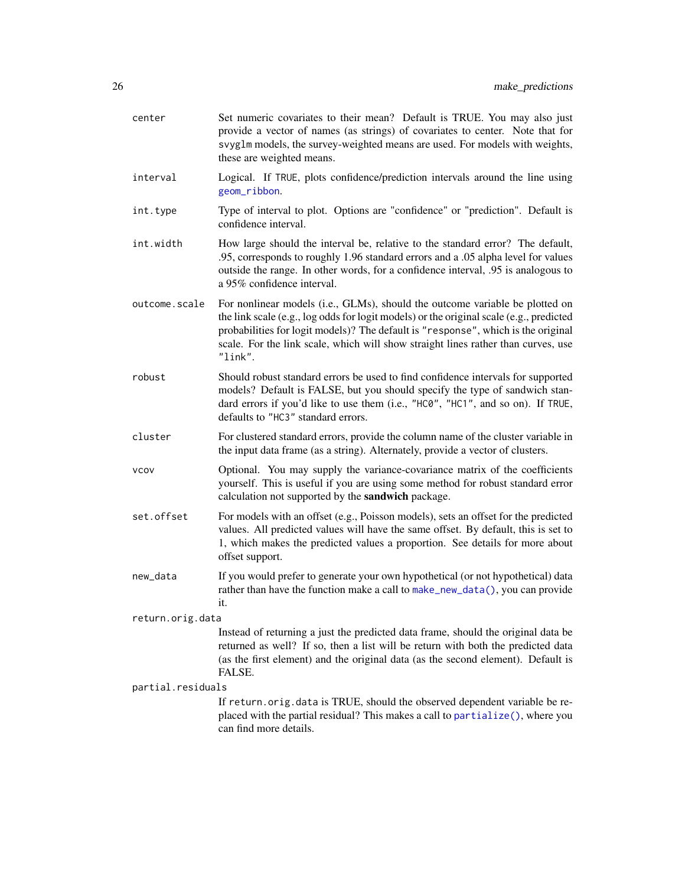| center            | Set numeric covariates to their mean? Default is TRUE. You may also just<br>provide a vector of names (as strings) of covariates to center. Note that for<br>svyglm models, the survey-weighted means are used. For models with weights,<br>these are weighted means.                                                                                        |
|-------------------|--------------------------------------------------------------------------------------------------------------------------------------------------------------------------------------------------------------------------------------------------------------------------------------------------------------------------------------------------------------|
| interval          | Logical. If TRUE, plots confidence/prediction intervals around the line using<br>geom_ribbon.                                                                                                                                                                                                                                                                |
| int.type          | Type of interval to plot. Options are "confidence" or "prediction". Default is<br>confidence interval.                                                                                                                                                                                                                                                       |
| int.width         | How large should the interval be, relative to the standard error? The default,<br>.95, corresponds to roughly 1.96 standard errors and a .05 alpha level for values<br>outside the range. In other words, for a confidence interval, 05 is analogous to<br>a 95% confidence interval.                                                                        |
| outcome.scale     | For nonlinear models (i.e., GLMs), should the outcome variable be plotted on<br>the link scale (e.g., log odds for logit models) or the original scale (e.g., predicted<br>probabilities for logit models)? The default is "response", which is the original<br>scale. For the link scale, which will show straight lines rather than curves, use<br>"link". |
| robust            | Should robust standard errors be used to find confidence intervals for supported<br>models? Default is FALSE, but you should specify the type of sandwich stan-<br>dard errors if you'd like to use them (i.e., "HC0", "HC1", and so on). If TRUE,<br>defaults to "HC3" standard errors.                                                                     |
| cluster           | For clustered standard errors, provide the column name of the cluster variable in<br>the input data frame (as a string). Alternately, provide a vector of clusters.                                                                                                                                                                                          |
| <b>VCOV</b>       | Optional. You may supply the variance-covariance matrix of the coefficients<br>yourself. This is useful if you are using some method for robust standard error<br>calculation not supported by the sandwich package.                                                                                                                                         |
| set.offset        | For models with an offset (e.g., Poisson models), sets an offset for the predicted<br>values. All predicted values will have the same offset. By default, this is set to<br>1, which makes the predicted values a proportion. See details for more about<br>offset support.                                                                                  |
| new_data          | If you would prefer to generate your own hypothetical (or not hypothetical) data<br>rather than have the function make a call to make_new_data(), you can provide<br>it.                                                                                                                                                                                     |
| return.orig.data  |                                                                                                                                                                                                                                                                                                                                                              |
|                   | Instead of returning a just the predicted data frame, should the original data be<br>returned as well? If so, then a list will be return with both the predicted data<br>(as the first element) and the original data (as the second element). Default is<br>FALSE.                                                                                          |
| partial.residuals | If return.orig.data is TRUE, should the observed dependent variable be re-<br>placed with the partial residual? This makes a call to partialize(), where you<br>can find more details.                                                                                                                                                                       |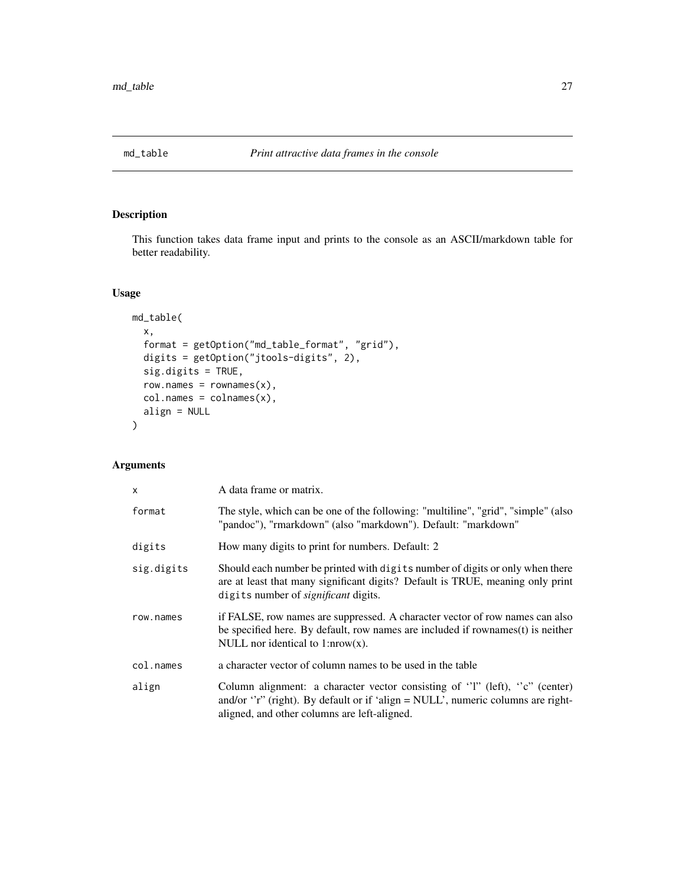<span id="page-26-0"></span>

This function takes data frame input and prints to the console as an ASCII/markdown table for better readability.

# Usage

```
md_table(
  x,
  format = getOption("md_table_format", "grid"),
  digits = getOption("jtools-digits", 2),
  sig.digits = TRUE,
  row.name s = row names(x),
  col.names = colnames(x),
  align = NULL
\overline{\phantom{a}}
```

| X          | A data frame or matrix.                                                                                                                                                                                               |
|------------|-----------------------------------------------------------------------------------------------------------------------------------------------------------------------------------------------------------------------|
| format     | The style, which can be one of the following: "multiline", "grid", "simple" (also<br>"pandoc"), "rmarkdown" (also "markdown"). Default: "markdown"                                                                    |
| digits     | How many digits to print for numbers. Default: 2                                                                                                                                                                      |
| sig.digits | Should each number be printed with digits number of digits or only when there<br>are at least that many significant digits? Default is TRUE, meaning only print<br>digits number of <i>significant</i> digits.        |
| row.names  | if FALSE, row names are suppressed. A character vector of row names can also<br>be specified here. By default, row names are included if rownames(t) is neither<br>NULL nor identical to $1: nrow(x)$ .               |
| col.names  | a character vector of column names to be used in the table                                                                                                                                                            |
| align      | Column alignment: a character vector consisting of " $l$ " (left), "c" (center)<br>and/or "r" (right). By default or if 'align = $NULL'$ , numeric columns are right-<br>aligned, and other columns are left-aligned. |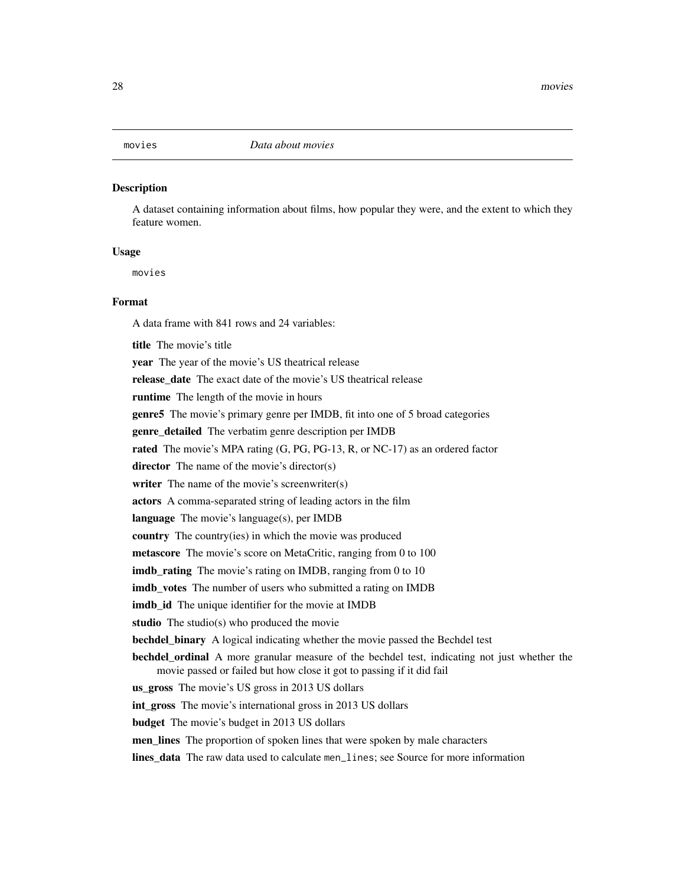<span id="page-27-0"></span>A dataset containing information about films, how popular they were, and the extent to which they feature women.

#### Usage

movies

# Format

A data frame with 841 rows and 24 variables:

title The movie's title year The year of the movie's US theatrical release release\_date The exact date of the movie's US theatrical release runtime The length of the movie in hours genre5 The movie's primary genre per IMDB, fit into one of 5 broad categories genre detailed The verbatim genre description per IMDB rated The movie's MPA rating (G, PG, PG-13, R, or NC-17) as an ordered factor director The name of the movie's director(s) writer The name of the movie's screenwriter(s) actors A comma-separated string of leading actors in the film language The movie's language(s), per IMDB country The country(ies) in which the movie was produced metascore The movie's score on MetaCritic, ranging from 0 to 100 imdb\_rating The movie's rating on IMDB, ranging from 0 to 10 imdb votes The number of users who submitted a rating on IMDB imdb\_id The unique identifier for the movie at IMDB studio The studio(s) who produced the movie bechdel\_binary A logical indicating whether the movie passed the Bechdel test bechdel\_ordinal A more granular measure of the bechdel test, indicating not just whether the movie passed or failed but how close it got to passing if it did fail us\_gross The movie's US gross in 2013 US dollars int\_gross The movie's international gross in 2013 US dollars budget The movie's budget in 2013 US dollars men\_lines The proportion of spoken lines that were spoken by male characters lines\_data The raw data used to calculate men\_lines; see Source for more information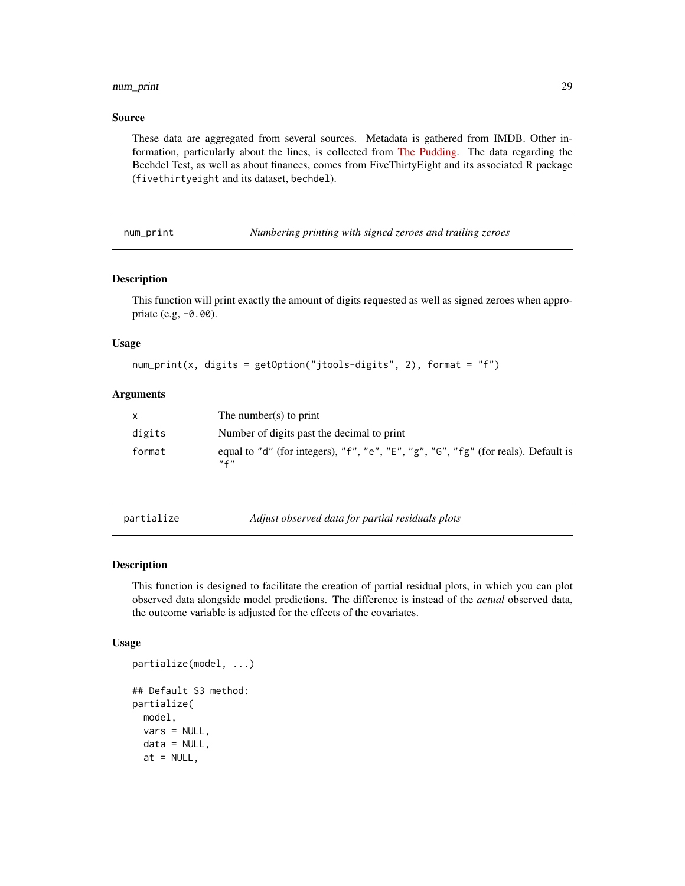# <span id="page-28-0"></span>num\_print 29

#### Source

These data are aggregated from several sources. Metadata is gathered from IMDB. Other information, particularly about the lines, is collected from [The Pudding.](https://github.com/matthewfdaniels/scripts/) The data regarding the Bechdel Test, as well as about finances, comes from FiveThirtyEight and its associated R package (fivethirtyeight and its dataset, bechdel).

num\_print *Numbering printing with signed zeroes and trailing zeroes*

#### Description

This function will print exactly the amount of digits requested as well as signed zeroes when appropriate (e.g, -0.00).

### Usage

```
num_print(x, digits = getOption("jtools-digits", 2), format = "f")
```
# Arguments

| X      | The number(s) to print                                                                          |
|--------|-------------------------------------------------------------------------------------------------|
| digits | Number of digits past the decimal to print                                                      |
| format | equal to "d" (for integers), "f", "e", "E", "g", "G", "fg" (for reals). Default is<br>$n \in n$ |

<span id="page-28-1"></span>partialize *Adjust observed data for partial residuals plots*

### Description

This function is designed to facilitate the creation of partial residual plots, in which you can plot observed data alongside model predictions. The difference is instead of the *actual* observed data, the outcome variable is adjusted for the effects of the covariates.

#### Usage

```
partialize(model, ...)
## Default S3 method:
partialize(
 model,
  vars = NULL,
  data = NULL,at = NULL,
```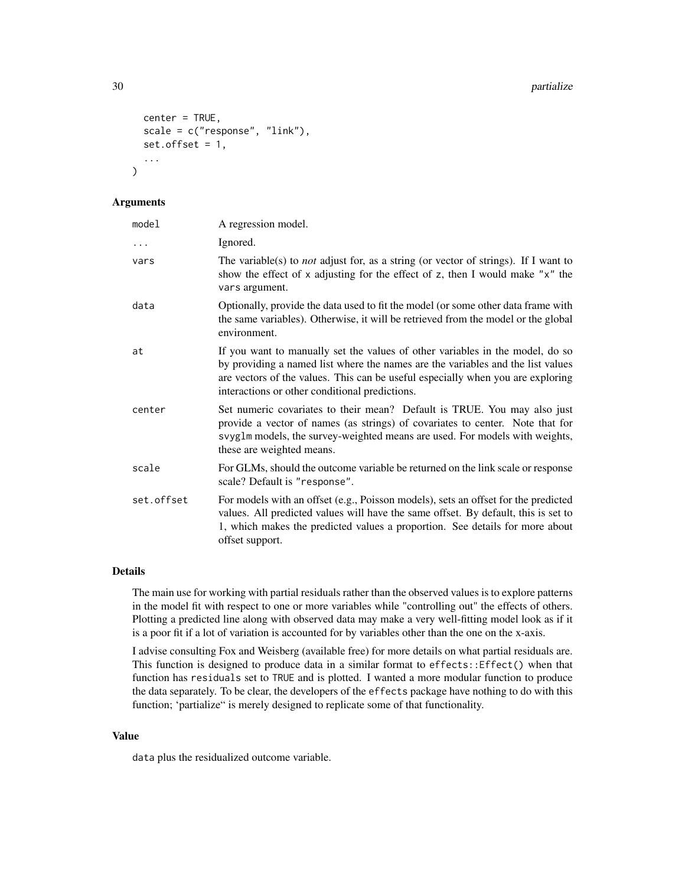```
center = TRUE,
  scale = c("response", "link"),
  set.offset = 1,
  ...
)
```
# Arguments

| model      | A regression model.                                                                                                                                                                                                                                                                                   |
|------------|-------------------------------------------------------------------------------------------------------------------------------------------------------------------------------------------------------------------------------------------------------------------------------------------------------|
| $\ddots$   | Ignored.                                                                                                                                                                                                                                                                                              |
| vars       | The variable(s) to <i>not</i> adjust for, as a string (or vector of strings). If I want to<br>show the effect of x adjusting for the effect of z, then I would make "x" the<br>vars argument.                                                                                                         |
| data       | Optionally, provide the data used to fit the model (or some other data frame with<br>the same variables). Otherwise, it will be retrieved from the model or the global<br>environment.                                                                                                                |
| at         | If you want to manually set the values of other variables in the model, do so<br>by providing a named list where the names are the variables and the list values<br>are vectors of the values. This can be useful especially when you are exploring<br>interactions or other conditional predictions. |
| center     | Set numeric covariates to their mean? Default is TRUE. You may also just<br>provide a vector of names (as strings) of covariates to center. Note that for<br>svyglm models, the survey-weighted means are used. For models with weights,<br>these are weighted means.                                 |
| scale      | For GLMs, should the outcome variable be returned on the link scale or response<br>scale? Default is "response".                                                                                                                                                                                      |
| set.offset | For models with an offset (e.g., Poisson models), sets an offset for the predicted<br>values. All predicted values will have the same offset. By default, this is set to<br>1, which makes the predicted values a proportion. See details for more about<br>offset support.                           |

# Details

The main use for working with partial residuals rather than the observed values is to explore patterns in the model fit with respect to one or more variables while "controlling out" the effects of others. Plotting a predicted line along with observed data may make a very well-fitting model look as if it is a poor fit if a lot of variation is accounted for by variables other than the one on the x-axis.

I advise consulting Fox and Weisberg (available free) for more details on what partial residuals are. This function is designed to produce data in a similar format to effects::Effect() when that function has residuals set to TRUE and is plotted. I wanted a more modular function to produce the data separately. To be clear, the developers of the effects package have nothing to do with this function; 'partialize" is merely designed to replicate some of that functionality.

# Value

data plus the residualized outcome variable.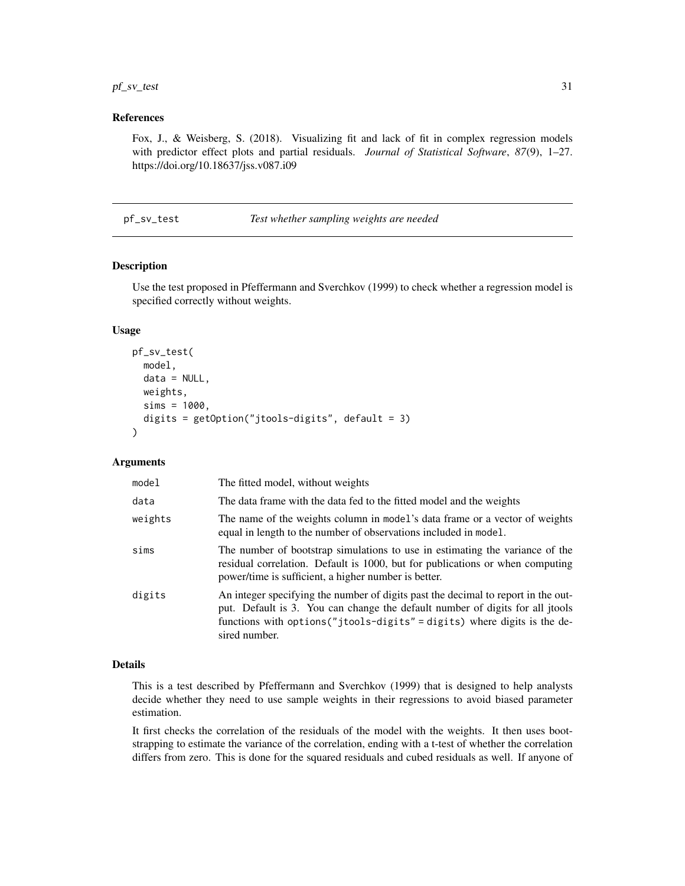# <span id="page-30-0"></span> $pf\_sv\_test$  31

#### References

Fox, J., & Weisberg, S. (2018). Visualizing fit and lack of fit in complex regression models with predictor effect plots and partial residuals. *Journal of Statistical Software*, *87*(9), 1–27. https://doi.org/10.18637/jss.v087.i09

pf\_sv\_test *Test whether sampling weights are needed*

# Description

Use the test proposed in Pfeffermann and Sverchkov (1999) to check whether a regression model is specified correctly without weights.

#### Usage

```
pf_sv_test(
 model,
  data = NULL,weights,
  sims = 1000,digits = getOption("jtools-digits", default = 3)
)
```
# Arguments

| model   | The fitted model, without weights                                                                                                                                                                                                                                |
|---------|------------------------------------------------------------------------------------------------------------------------------------------------------------------------------------------------------------------------------------------------------------------|
| data    | The data frame with the data fed to the fitted model and the weights                                                                                                                                                                                             |
| weights | The name of the weights column in model's data frame or a vector of weights<br>equal in length to the number of observations included in model.                                                                                                                  |
| sims    | The number of bootstrap simulations to use in estimating the variance of the<br>residual correlation. Default is 1000, but for publications or when computing<br>power/time is sufficient, a higher number is better.                                            |
| digits  | An integer specifying the number of digits past the decimal to report in the out-<br>put. Default is 3. You can change the default number of digits for all jtools<br>functions with options ("jtools-digits" = digits) where digits is the de-<br>sired number. |

#### Details

This is a test described by Pfeffermann and Sverchkov (1999) that is designed to help analysts decide whether they need to use sample weights in their regressions to avoid biased parameter estimation.

It first checks the correlation of the residuals of the model with the weights. It then uses bootstrapping to estimate the variance of the correlation, ending with a t-test of whether the correlation differs from zero. This is done for the squared residuals and cubed residuals as well. If anyone of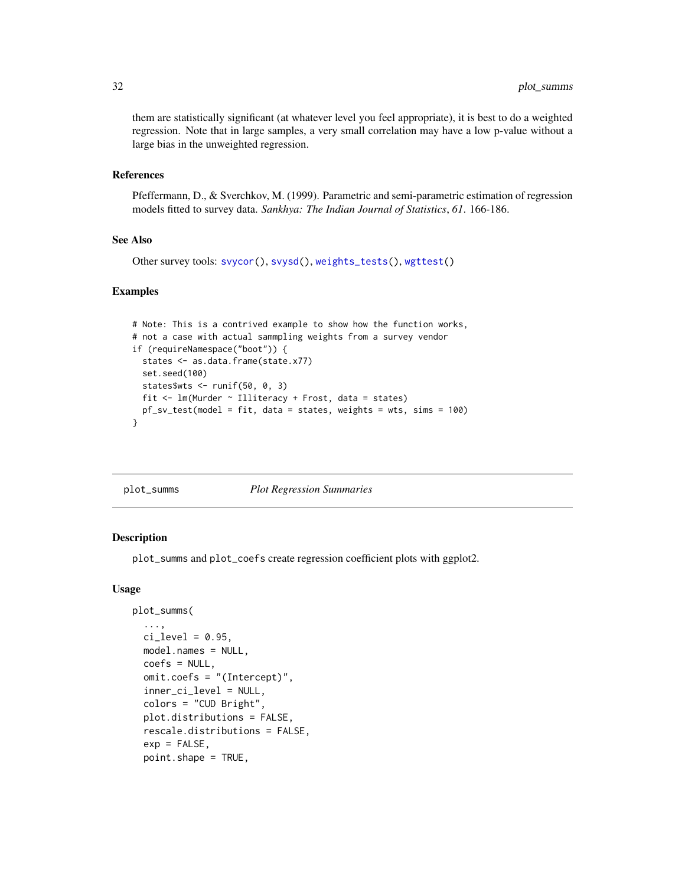them are statistically significant (at whatever level you feel appropriate), it is best to do a weighted regression. Note that in large samples, a very small correlation may have a low p-value without a large bias in the unweighted regression.

# References

Pfeffermann, D., & Sverchkov, M. (1999). Parametric and semi-parametric estimation of regression models fitted to survey data. *Sankhya: The Indian Journal of Statistics*, *61*. 166-186.

# See Also

Other survey tools: [svycor\(](#page-57-1)), [svysd\(](#page-59-1)), [weights\\_tests\(](#page-65-1)), [wgttest\(](#page-66-1))

## Examples

```
# Note: This is a contrived example to show how the function works,
# not a case with actual sammpling weights from a survey vendor
if (requireNamespace("boot")) {
  states <- as.data.frame(state.x77)
  set.seed(100)
  states$wts <- runif(50, 0, 3)
  fit <- lm(Murder ~ Illiteracy + Frost, data = states)
  pf_sv_test(model = fit, data = states, weights = wts, sims = 100)
}
```
plot\_summs *Plot Regression Summaries*

# **Description**

plot\_summs and plot\_coefs create regression coefficient plots with ggplot2.

# Usage

```
plot_summs(
  ...,
  ci\_level = 0.95,
  model.names = NULL,
  coefs = NULL,
  omit.coefs = "(Intercept)",
  inner_ci_level = NULL,
  colors = "CUD Bright",
  plot.distributions = FALSE,
  rescale.distributions = FALSE,
  exp = FALSE,point.shape = TRUE,
```
<span id="page-31-0"></span>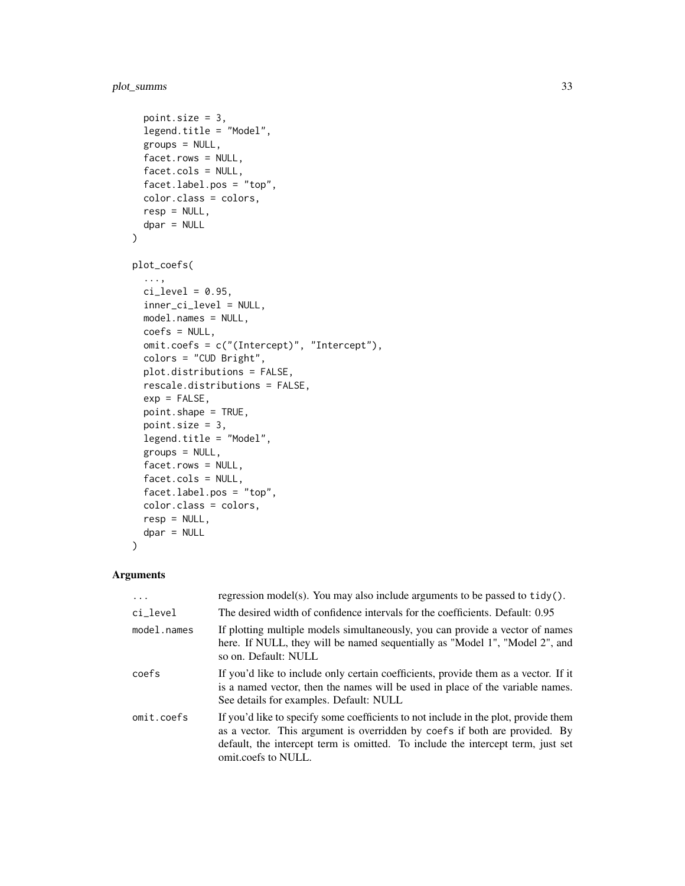# plot\_summs 33

```
point.size = 3,
  legend.title = "Model",
 groups = NULL,
 facet.rows = NULL,
  facet.cols = NULL,
 facet.label.pos = "top",
 color.class = colors,
 resp = NULL,dpar = NULL\mathcal{L}plot_coefs(
  ...,
 ci\_level = 0.95,
 inner_ci_level = NULL,
 model.names = NULL,
 coefs = NULL,
 omit.coefs = c("(Intercept)", "Intercept"),
 colors = "CUD Bright",
 plot.distributions = FALSE,
  rescale.distributions = FALSE,
  exp = FALSE,point.shape = TRUE,
  point.size = 3,
  legend.title = "Model",
 groups = NULL,facet.rows = NULL,
  facet.cols = NULL,
  facet.label.pos = "top",
 color.class = colors,
 resp = NULL,dpar = NULL
```
# $\mathcal{L}$

| $\cdot$     | regression model(s). You may also include arguments to be passed to $tidy()$ .                                                                                                                                                                                              |
|-------------|-----------------------------------------------------------------------------------------------------------------------------------------------------------------------------------------------------------------------------------------------------------------------------|
| ci_level    | The desired width of confidence intervals for the coefficients. Default: 0.95                                                                                                                                                                                               |
| model.names | If plotting multiple models simultaneously, you can provide a vector of names<br>here. If NULL, they will be named sequentially as "Model 1", "Model 2", and<br>so on. Default: NULL                                                                                        |
| coefs       | If you'd like to include only certain coefficients, provide them as a vector. If it<br>is a named vector, then the names will be used in place of the variable names.<br>See details for examples. Default: NULL                                                            |
| omit.coefs  | If you'd like to specify some coefficients to not include in the plot, provide them<br>as a vector. This argument is overridden by coefs if both are provided. By<br>default, the intercept term is omitted. To include the intercept term, just set<br>omit.coefs to NULL. |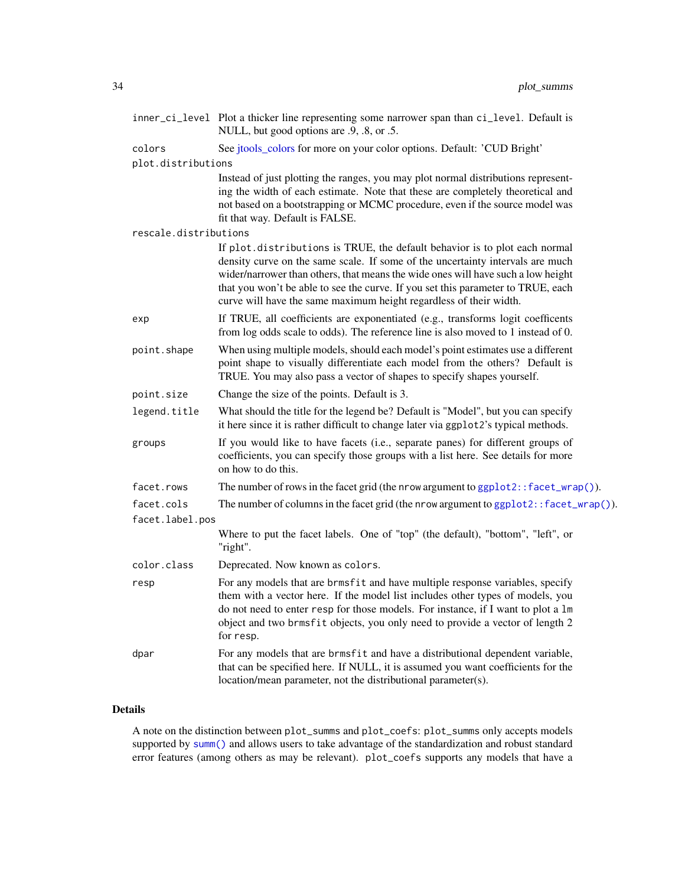|                       | inner_ci_level Plot a thicker line representing some narrower span than ci_level. Default is<br>NULL, but good options are .9, .8, or .5.                                                                                                                                                                                                                                                                  |  |
|-----------------------|------------------------------------------------------------------------------------------------------------------------------------------------------------------------------------------------------------------------------------------------------------------------------------------------------------------------------------------------------------------------------------------------------------|--|
| colors                | See jtools_colors for more on your color options. Default: 'CUD Bright'                                                                                                                                                                                                                                                                                                                                    |  |
| plot.distributions    |                                                                                                                                                                                                                                                                                                                                                                                                            |  |
|                       | Instead of just plotting the ranges, you may plot normal distributions represent-<br>ing the width of each estimate. Note that these are completely theoretical and<br>not based on a bootstrapping or MCMC procedure, even if the source model was<br>fit that way. Default is FALSE.                                                                                                                     |  |
| rescale.distributions |                                                                                                                                                                                                                                                                                                                                                                                                            |  |
|                       | If plot.distributions is TRUE, the default behavior is to plot each normal<br>density curve on the same scale. If some of the uncertainty intervals are much<br>wider/narrower than others, that means the wide ones will have such a low height<br>that you won't be able to see the curve. If you set this parameter to TRUE, each<br>curve will have the same maximum height regardless of their width. |  |
| exp                   | If TRUE, all coefficients are exponentiated (e.g., transforms logit coefficents<br>from log odds scale to odds). The reference line is also moved to 1 instead of 0.                                                                                                                                                                                                                                       |  |
| point.shape           | When using multiple models, should each model's point estimates use a different<br>point shape to visually differentiate each model from the others? Default is<br>TRUE. You may also pass a vector of shapes to specify shapes yourself.                                                                                                                                                                  |  |
| point.size            | Change the size of the points. Default is 3.                                                                                                                                                                                                                                                                                                                                                               |  |
| legend.title          | What should the title for the legend be? Default is "Model", but you can specify<br>it here since it is rather difficult to change later via ggplot2's typical methods.                                                                                                                                                                                                                                    |  |
| groups                | If you would like to have facets (i.e., separate panes) for different groups of<br>coefficients, you can specify those groups with a list here. See details for more<br>on how to do this.                                                                                                                                                                                                                 |  |
| facet.rows            | The number of rows in the facet grid (the nrow argument to ggplot2:: facet_wrap()).                                                                                                                                                                                                                                                                                                                        |  |
| facet.cols            | The number of columns in the facet grid (the nrow argument to $ggplot2$ : : facet_wrap()).                                                                                                                                                                                                                                                                                                                 |  |
| facet.label.pos       |                                                                                                                                                                                                                                                                                                                                                                                                            |  |
|                       | Where to put the facet labels. One of "top" (the default), "bottom", "left", or<br>"right".                                                                                                                                                                                                                                                                                                                |  |
| color.class           | Deprecated. Now known as colors.                                                                                                                                                                                                                                                                                                                                                                           |  |
| resp                  | For any models that are brmsfit and have multiple response variables, specify<br>them with a vector here. If the model list includes other types of models, you<br>do not need to enter resp for those models. For instance, if I want to plot a 1m<br>object and two brmsfit objects, you only need to provide a vector of length 2<br>for resp.                                                          |  |
| dpar                  | For any models that are brmsfit and have a distributional dependent variable,<br>that can be specified here. If NULL, it is assumed you want coefficients for the<br>location/mean parameter, not the distributional parameter(s).                                                                                                                                                                         |  |

# Details

A note on the distinction between plot\_summs and plot\_coefs: plot\_summs only accepts models supported by [summ\(\)](#page-41-1) and allows users to take advantage of the standardization and robust standard error features (among others as may be relevant). plot\_coefs supports any models that have a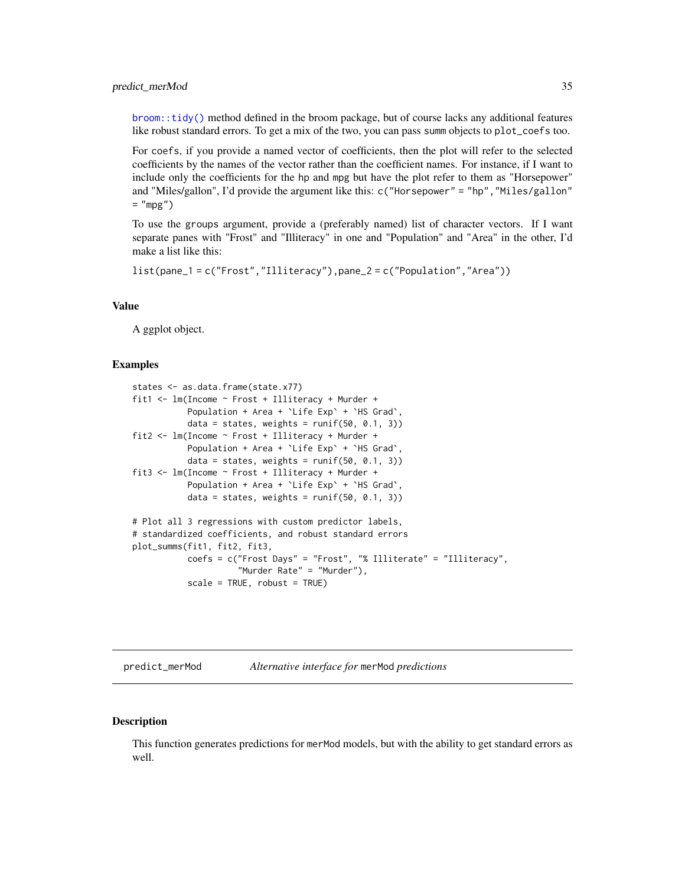#### <span id="page-34-0"></span>predict\_merMod 35

[broom::tidy\(\)](#page-0-0) method defined in the broom package, but of course lacks any additional features like robust standard errors. To get a mix of the two, you can pass summ objects to plot\_coefs too.

For coefs, if you provide a named vector of coefficients, then the plot will refer to the selected coefficients by the names of the vector rather than the coefficient names. For instance, if I want to include only the coefficients for the hp and mpg but have the plot refer to them as "Horsepower" and "Miles/gallon", I'd provide the argument like this: c("Horsepower" = "hp","Miles/gallon"  $=$  "mpg")

To use the groups argument, provide a (preferably named) list of character vectors. If I want separate panes with "Frost" and "Illiteracy" in one and "Population" and "Area" in the other, I'd make a list like this:

```
list(pane_1 = c("Frost","Illiteracy"),pane_2 = c("Population","Area"))
```
#### Value

A ggplot object.

#### Examples

```
states <- as.data.frame(state.x77)
fit1 <- lm(Income ~ Frost + Illiteracy + Murder +
          Population + Area + `Life Exp` + `HS Grad`,
          data = states, weights = runif(50, 0.1, 3))fit2 <- lm(Income ~ Frost + Illiteracy + Murder +
          Population + Area + `Life Exp` + `HS Grad`,
          data = states, weights = runif(50, 0.1, 3))fit3 <- lm(Income ~ Frost + Illiteracy + Murder +
          Population + Area + `Life Exp` + `HS Grad`,
          data = states, weights = runif(50, 0.1, 3))# Plot all 3 regressions with custom predictor labels,
# standardized coefficients, and robust standard errors
plot_summs(fit1, fit2, fit3,
          coefs = c("Frost Days" = "Frost", "% Illiterate" = "Illiteracy",
                     "Murder Rate" = "Murder"),
           scale = TRUE, robust = TRUE)
```
predict\_merMod *Alternative interface for* merMod *predictions*

#### **Description**

This function generates predictions for merMod models, but with the ability to get standard errors as well.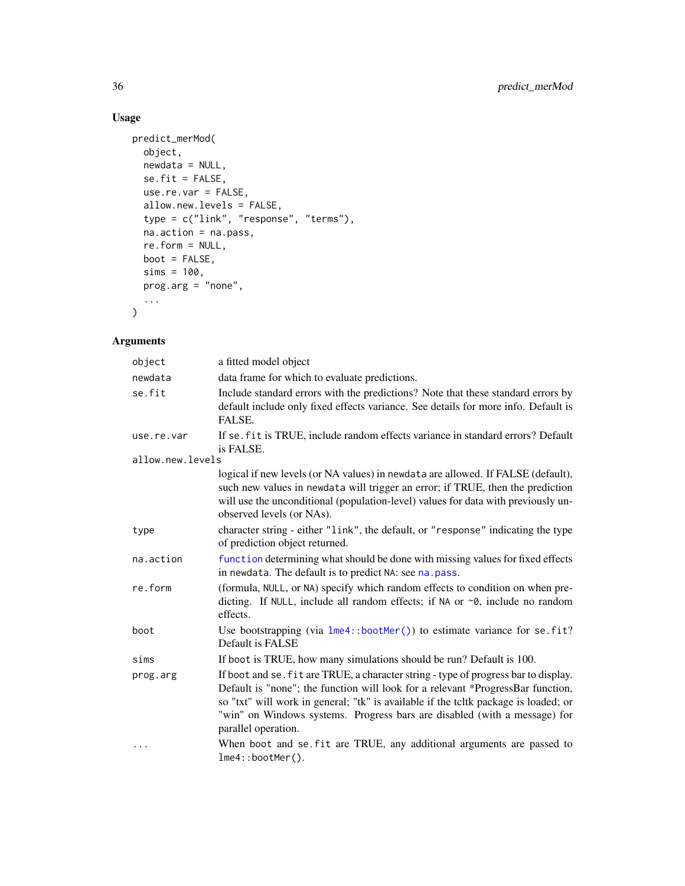# Usage

```
predict_merMod(
  object,
 newdata = NULL,se.fit = FALSE,
  use.re.var = FALSE,
  allow.new.levels = FALSE,
  type = c("link", "response", "terms"),
  na.action = na.pass,
  re.form = NULL,
  boot = FALSE,
  sims = 100,prog.arg = "none",
  ...
\mathcal{L}
```

| object                         | a fitted model object                                                                                                                                                                                                                                                                                                                                             |
|--------------------------------|-------------------------------------------------------------------------------------------------------------------------------------------------------------------------------------------------------------------------------------------------------------------------------------------------------------------------------------------------------------------|
| newdata                        | data frame for which to evaluate predictions.                                                                                                                                                                                                                                                                                                                     |
| se.fit                         | Include standard errors with the predictions? Note that these standard errors by<br>default include only fixed effects variance. See details for more info. Default is<br>FALSE.                                                                                                                                                                                  |
| use.re.var<br>allow.new.levels | If se. fit is TRUE, include random effects variance in standard errors? Default<br>is FALSE.                                                                                                                                                                                                                                                                      |
|                                | logical if new levels (or NA values) in newdata are allowed. If FALSE (default),<br>such new values in newdata will trigger an error; if TRUE, then the prediction<br>will use the unconditional (population-level) values for data with previously un-<br>observed levels (or NAs).                                                                              |
| type                           | character string - either "link", the default, or "response" indicating the type<br>of prediction object returned.                                                                                                                                                                                                                                                |
| na.action                      | function determining what should be done with missing values for fixed effects<br>in newdata. The default is to predict NA: see na. pass.                                                                                                                                                                                                                         |
| re.form                        | (formula, NULL, or NA) specify which random effects to condition on when pre-<br>dicting. If NULL, include all random effects; if NA or $\sim$ 0, include no random<br>effects.                                                                                                                                                                                   |
| boot                           | Use bootstrapping (via $l$ me4::bootMer()) to estimate variance for se.fit?<br>Default is FALSE                                                                                                                                                                                                                                                                   |
| sims                           | If boot is TRUE, how many simulations should be run? Default is 100.                                                                                                                                                                                                                                                                                              |
| prog.arg                       | If boot and se. fit are TRUE, a character string - type of progress bar to display.<br>Default is "none"; the function will look for a relevant *ProgressBar function,<br>so "txt" will work in general; "tk" is available if the toltk package is loaded; or<br>"win" on Windows systems. Progress bars are disabled (with a message) for<br>parallel operation. |
| .                              | When boot and se. fit are TRUE, any additional arguments are passed to<br>$lme4::bootMer()$ .                                                                                                                                                                                                                                                                     |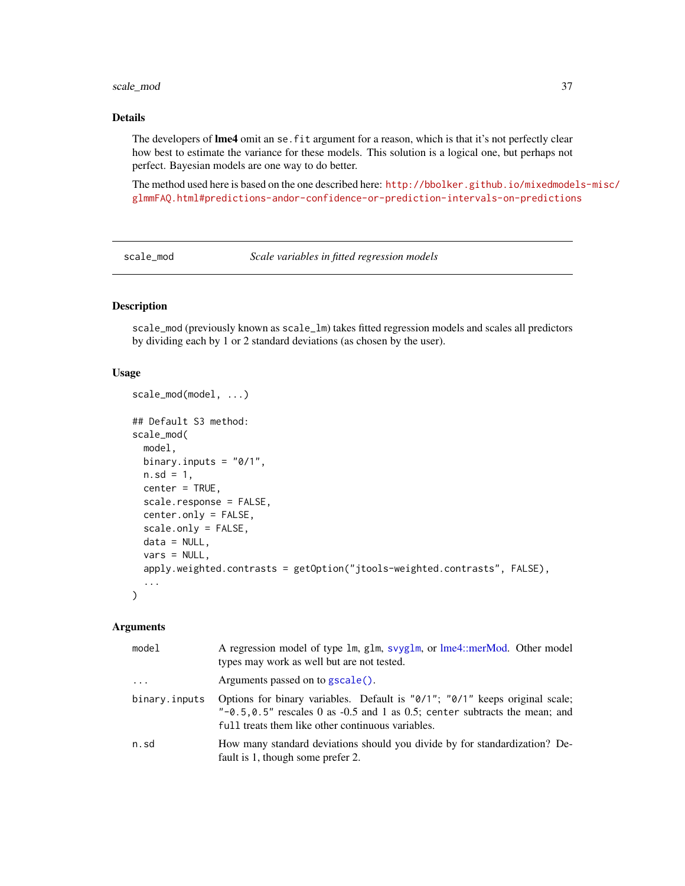# scale\_mod 37

# Details

The developers of **lme4** omit an se. fit argument for a reason, which is that it's not perfectly clear how best to estimate the variance for these models. This solution is a logical one, but perhaps not perfect. Bayesian models are one way to do better.

The method used here is based on the one described here: [http://bbolker.github.io/mixedmode](http://bbolker.github.io/mixedmodels-misc/glmmFAQ.html#predictions-andor-confidence-or-prediction-intervals-on-predictions)ls-misc/ [glmmFAQ.html#predictions-andor-confidence-or-prediction-intervals-on-predictions](http://bbolker.github.io/mixedmodels-misc/glmmFAQ.html#predictions-andor-confidence-or-prediction-intervals-on-predictions)

<span id="page-36-0"></span>scale\_mod *Scale variables in fitted regression models*

# Description

scale\_mod (previously known as scale\_lm) takes fitted regression models and scales all predictors by dividing each by 1 or 2 standard deviations (as chosen by the user).

# Usage

```
scale_mod(model, ...)
## Default S3 method:
scale_mod(
 model,
 binary.inputs = "0/1",n.sd = 1,center = TRUE,
  scale.response = FALSE,
  center.only = FALSE,
  scale.only = FALSE,
  data = NULL,
  vars = NULL,
  apply.weighted.contrasts = getOption("jtools-weighted.contrasts", FALSE),
  ...
)
```
# Arguments

| model                   | A regression model of type 1m, g1m, svyg1m, or lme4::merMod. Other model<br>types may work as well but are not tested.                                                                                                |
|-------------------------|-----------------------------------------------------------------------------------------------------------------------------------------------------------------------------------------------------------------------|
| $\cdot$ $\cdot$ $\cdot$ | Arguments passed on to gscale().                                                                                                                                                                                      |
| binary.inputs           | Options for binary variables. Default is "0/1"; "0/1" keeps original scale;<br>" $-0.5, 0.5$ " rescales 0 as $-0.5$ and 1 as 0.5; center subtracts the mean; and<br>full treats them like other continuous variables. |
| n.sd                    | How many standard deviations should you divide by for standardization? De-<br>fault is 1, though some prefer 2.                                                                                                       |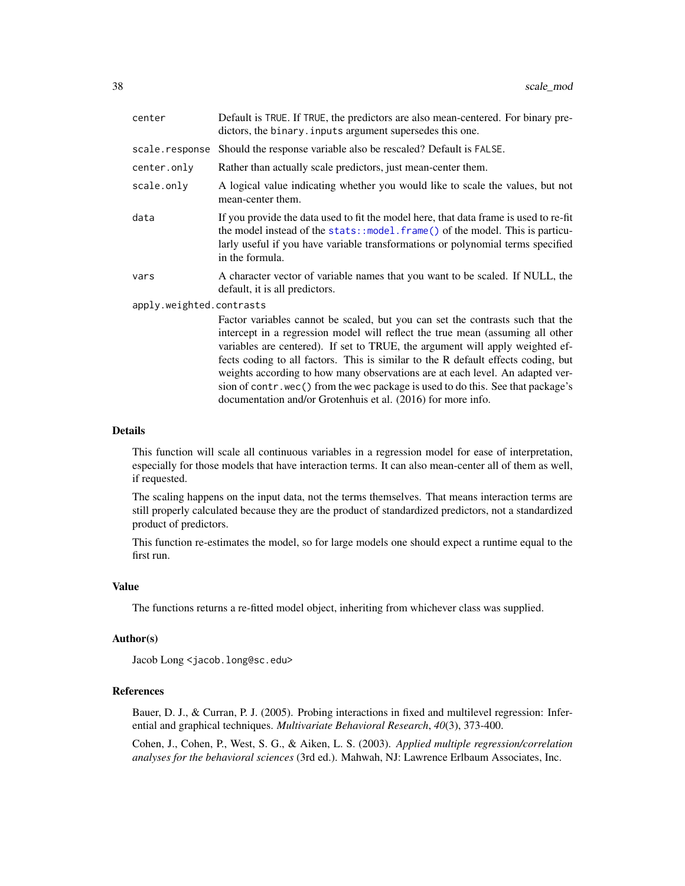| center                   | Default is TRUE. If TRUE, the predictors are also mean-centered. For binary pre-<br>dictors, the binary. inputs argument supersedes this one.                                                                                                                                                                                                                                                                                                                                                                                                                               |
|--------------------------|-----------------------------------------------------------------------------------------------------------------------------------------------------------------------------------------------------------------------------------------------------------------------------------------------------------------------------------------------------------------------------------------------------------------------------------------------------------------------------------------------------------------------------------------------------------------------------|
| scale.response           | Should the response variable also be rescaled? Default is FALSE.                                                                                                                                                                                                                                                                                                                                                                                                                                                                                                            |
| center.only              | Rather than actually scale predictors, just mean-center them.                                                                                                                                                                                                                                                                                                                                                                                                                                                                                                               |
| scale.only               | A logical value indicating whether you would like to scale the values, but not<br>mean-center them.                                                                                                                                                                                                                                                                                                                                                                                                                                                                         |
| data                     | If you provide the data used to fit the model here, that data frame is used to re-fit<br>the model instead of the stats::model.frame() of the model. This is particu-<br>larly useful if you have variable transformations or polynomial terms specified<br>in the formula.                                                                                                                                                                                                                                                                                                 |
| vars                     | A character vector of variable names that you want to be scaled. If NULL, the<br>default, it is all predictors.                                                                                                                                                                                                                                                                                                                                                                                                                                                             |
| apply.weighted.contrasts |                                                                                                                                                                                                                                                                                                                                                                                                                                                                                                                                                                             |
|                          | Factor variables cannot be scaled, but you can set the contrasts such that the<br>intercept in a regression model will reflect the true mean (assuming all other<br>variables are centered). If set to TRUE, the argument will apply weighted ef-<br>fects coding to all factors. This is similar to the R default effects coding, but<br>weights according to how many observations are at each level. An adapted ver-<br>sion of contr. wec() from the wec package is used to do this. See that package's<br>documentation and/or Grotenhuis et al. (2016) for more info. |

## Details

This function will scale all continuous variables in a regression model for ease of interpretation, especially for those models that have interaction terms. It can also mean-center all of them as well, if requested.

The scaling happens on the input data, not the terms themselves. That means interaction terms are still properly calculated because they are the product of standardized predictors, not a standardized product of predictors.

This function re-estimates the model, so for large models one should expect a runtime equal to the first run.

## Value

The functions returns a re-fitted model object, inheriting from whichever class was supplied.

# Author(s)

Jacob Long <jacob.long@sc.edu>

## References

Bauer, D. J., & Curran, P. J. (2005). Probing interactions in fixed and multilevel regression: Inferential and graphical techniques. *Multivariate Behavioral Research*, *40*(3), 373-400.

Cohen, J., Cohen, P., West, S. G., & Aiken, L. S. (2003). *Applied multiple regression/correlation analyses for the behavioral sciences* (3rd ed.). Mahwah, NJ: Lawrence Erlbaum Associates, Inc.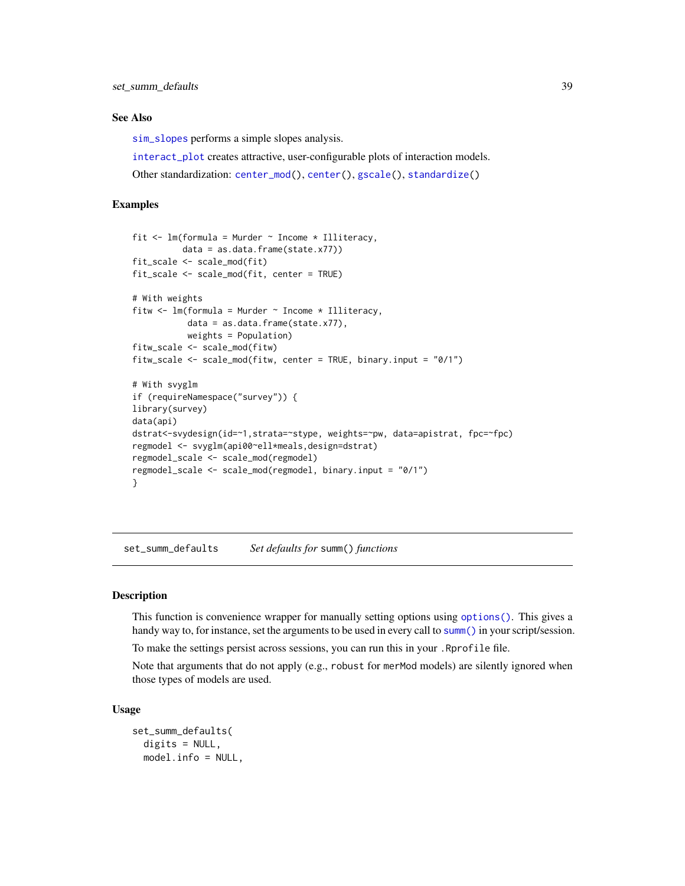## See Also

[sim\\_slopes](#page-20-0) performs a simple slopes analysis.

[interact\\_plot](#page-20-1) creates attractive, user-configurable plots of interaction models.

Other standardization: [center\\_mod\(](#page-3-0)), [center\(](#page-2-0)), [gscale\(](#page-17-0)), [standardize\(](#page-39-0))

# Examples

```
fit \leq lm(formula = Murder \sim Income * Illiteracy,
          data = as.data.frame(state.x77))
fit_scale <- scale_mod(fit)
fit_scale <- scale_mod(fit, center = TRUE)
# With weights
fitw \leq lm(formula = Murder \sim Income * Illiteracy,
           data = as.data.frame(state.x77),
           weights = Population)
fitw_scale <- scale_mod(fitw)
fitw_scale <- scale_mod(fitw, center = TRUE, binary.input = "0/1")
# With svyglm
if (requireNamespace("survey")) {
library(survey)
data(api)
dstrat<-svydesign(id=~1,strata=~stype, weights=~pw, data=apistrat, fpc=~fpc)
regmodel <- svyglm(api00~ell*meals,design=dstrat)
regmodel_scale <- scale_mod(regmodel)
regmodel_scale <- scale_mod(regmodel, binary.input = "0/1")
}
```
set\_summ\_defaults *Set defaults for* summ() *functions*

## Description

This function is convenience wrapper for manually setting options using [options\(\)](#page-0-0). This gives a handy way to, for instance, set the arguments to be used in every call to [summ\(\)](#page-41-0) in your script/session.

To make the settings persist across sessions, you can run this in your .Rprofile file.

Note that arguments that do not apply (e.g., robust for merMod models) are silently ignored when those types of models are used.

#### Usage

set\_summ\_defaults( digits = NULL, model.info = NULL,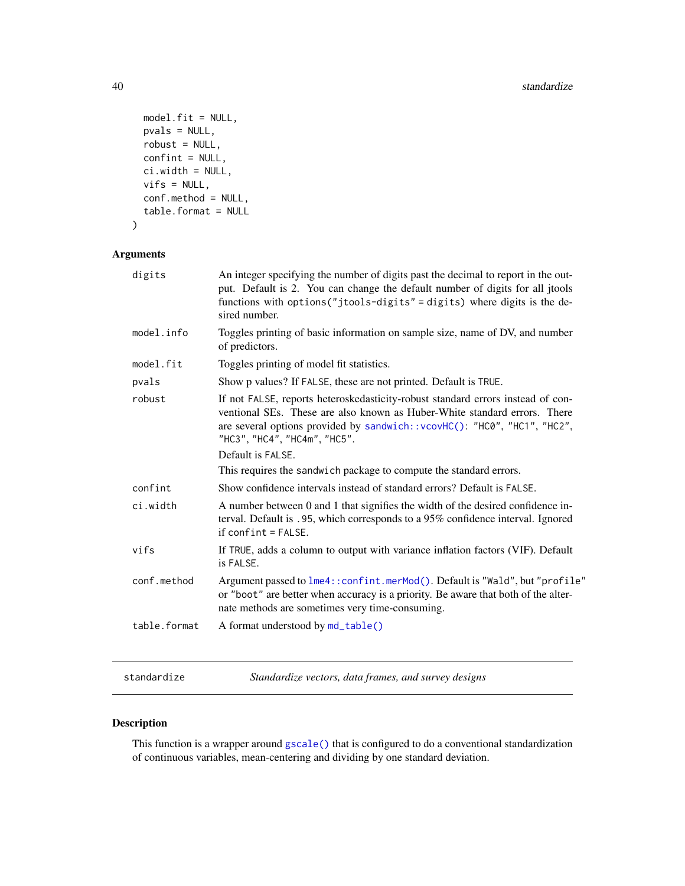```
model.fit = NULL,pvals = NULL,
 robust = NULL,
 confint = NULL,
 ci.width = NULL,vifs = NULL,
 conf.method = NULL,
  table.format = NULL
)
```
# Arguments

| digits       | An integer specifying the number of digits past the decimal to report in the out-<br>put. Default is 2. You can change the default number of digits for all jtools<br>functions with options ("jtools-digits" = digits) where digits is the de-<br>sired number.                               |
|--------------|------------------------------------------------------------------------------------------------------------------------------------------------------------------------------------------------------------------------------------------------------------------------------------------------|
| model.info   | Toggles printing of basic information on sample size, name of DV, and number<br>of predictors.                                                                                                                                                                                                 |
| model.fit    | Toggles printing of model fit statistics.                                                                                                                                                                                                                                                      |
| pvals        | Show p values? If FALSE, these are not printed. Default is TRUE.                                                                                                                                                                                                                               |
| robust       | If not FALSE, reports heteroskedasticity-robust standard errors instead of con-<br>ventional SEs. These are also known as Huber-White standard errors. There<br>are several options provided by sandwich:: vcovHC(): "HC0", "HC1", "HC2",<br>"HC3", "HC4", "HC4m", "HC5".<br>Default is FALSE. |
|              | This requires the sandwich package to compute the standard errors.                                                                                                                                                                                                                             |
| confint      | Show confidence intervals instead of standard errors? Default is FALSE.                                                                                                                                                                                                                        |
| ci.width     | A number between 0 and 1 that signifies the width of the desired confidence in-<br>terval. Default is .95, which corresponds to a 95% confidence interval. Ignored<br>$if conflict = FALSE.$                                                                                                   |
| vifs         | If TRUE, adds a column to output with variance inflation factors (VIF). Default<br>is FALSE.                                                                                                                                                                                                   |
| conf.method  | Argument passed to lme4:: confint.merMod(). Default is "Wald", but "profile"<br>or "boot" are better when accuracy is a priority. Be aware that both of the alter-<br>nate methods are sometimes very time-consuming.                                                                          |
| table.format | A format understood by md_table()                                                                                                                                                                                                                                                              |

<span id="page-39-0"></span>standardize *Standardize vectors, data frames, and survey designs*

# Description

This function is a wrapper around [gscale\(\)](#page-17-0) that is configured to do a conventional standardization of continuous variables, mean-centering and dividing by one standard deviation.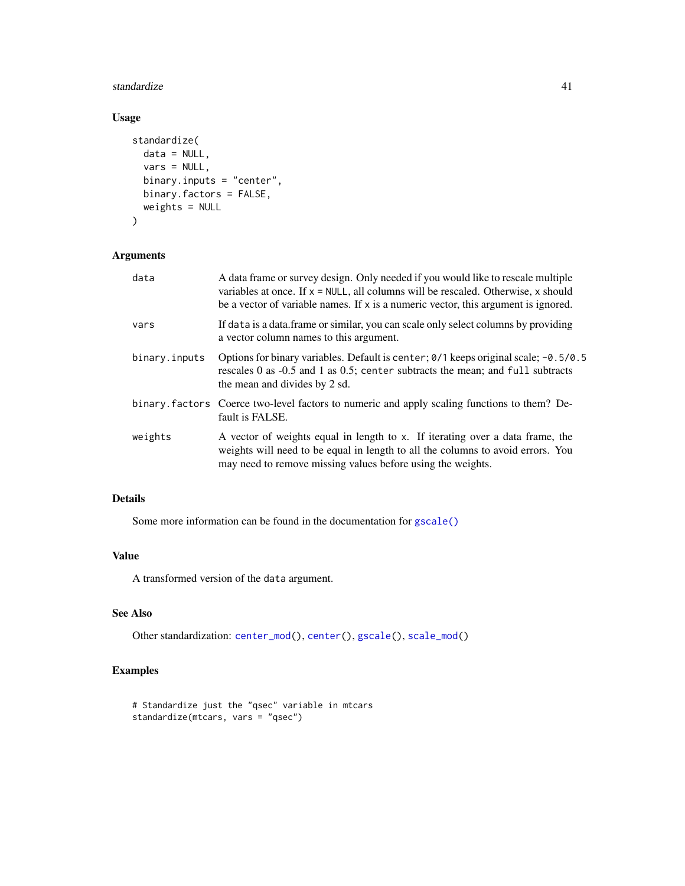#### standardize **41**

# Usage

```
standardize(
 data = NULL,
 vars = NULL,binary.inputs = "center",
 binary.factors = FALSE,
 weights = NULL
)
```
# Arguments

| data          | A data frame or survey design. Only needed if you would like to rescale multiple<br>variables at once. If $x = NULL$ , all columns will be rescaled. Otherwise, x should<br>be a vector of variable names. If x is a numeric vector, this argument is ignored. |
|---------------|----------------------------------------------------------------------------------------------------------------------------------------------------------------------------------------------------------------------------------------------------------------|
| vars          | If data is a data.frame or similar, you can scale only select columns by providing<br>a vector column names to this argument.                                                                                                                                  |
| binary.inputs | Options for binary variables. Default is center; $\theta/1$ keeps original scale; -0.5/0.5<br>rescales 0 as -0.5 and 1 as 0.5; center subtracts the mean; and full subtracts<br>the mean and divides by 2 sd.                                                  |
|               | binary factors Coerce two-level factors to numeric and apply scaling functions to them? De-<br>fault is FALSE.                                                                                                                                                 |
| weights       | A vector of weights equal in length to x. If iterating over a data frame, the<br>weights will need to be equal in length to all the columns to avoid errors. You<br>may need to remove missing values before using the weights.                                |

# Details

Some more information can be found in the documentation for [gscale\(\)](#page-17-0)

## Value

A transformed version of the data argument.

# See Also

Other standardization: [center\\_mod\(](#page-3-0)), [center\(](#page-2-0)), [gscale\(](#page-17-0)), [scale\\_mod\(](#page-36-0))

# Examples

```
# Standardize just the "qsec" variable in mtcars
standardize(mtcars, vars = "qsec")
```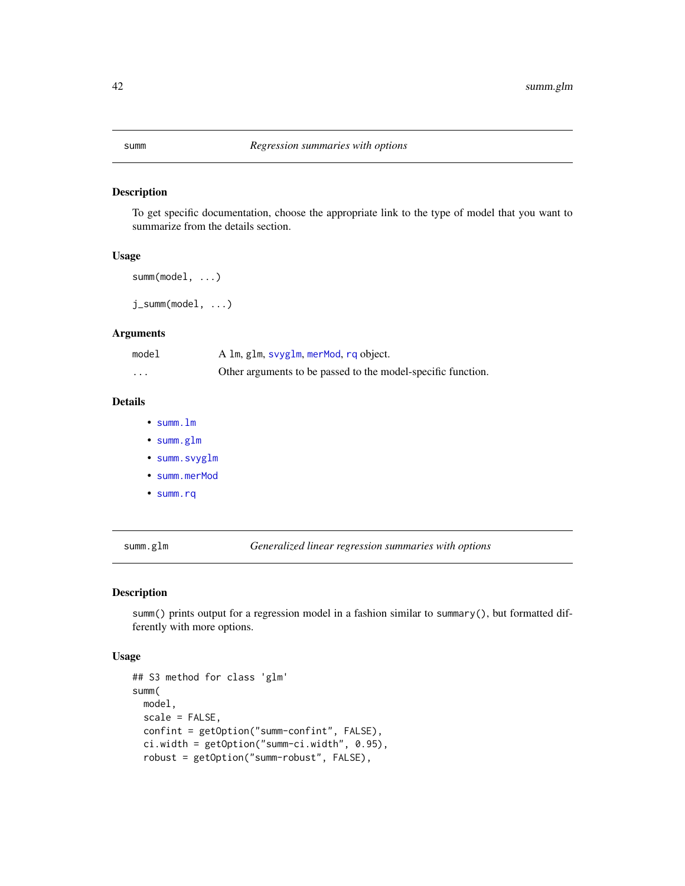<span id="page-41-0"></span>To get specific documentation, choose the appropriate link to the type of model that you want to summarize from the details section.

## Usage

```
summ(model, ...)
```
j\_summ(model, ...)

## Arguments

| model    | A 1m, g1m, svyg1m, merMod, rq object.                        |
|----------|--------------------------------------------------------------|
| $\cdots$ | Other arguments to be passed to the model-specific function. |

## Details

- [summ.lm](#page-45-0)
- [summ.glm](#page-41-1)
- [summ.svyglm](#page-55-0)
- [summ.merMod](#page-48-0)
- [summ.rq](#page-52-0)

<span id="page-41-1"></span>summ.glm *Generalized linear regression summaries with options*

## Description

summ() prints output for a regression model in a fashion similar to summary(), but formatted differently with more options.

```
## S3 method for class 'glm'
summ(
 model,
 scale = FALSE,
 confint = getOption("summ-confint", FALSE),
 ci.width = getOption("summ-ci.width", 0.95),
 robust = getOption("summ-robust", FALSE),
```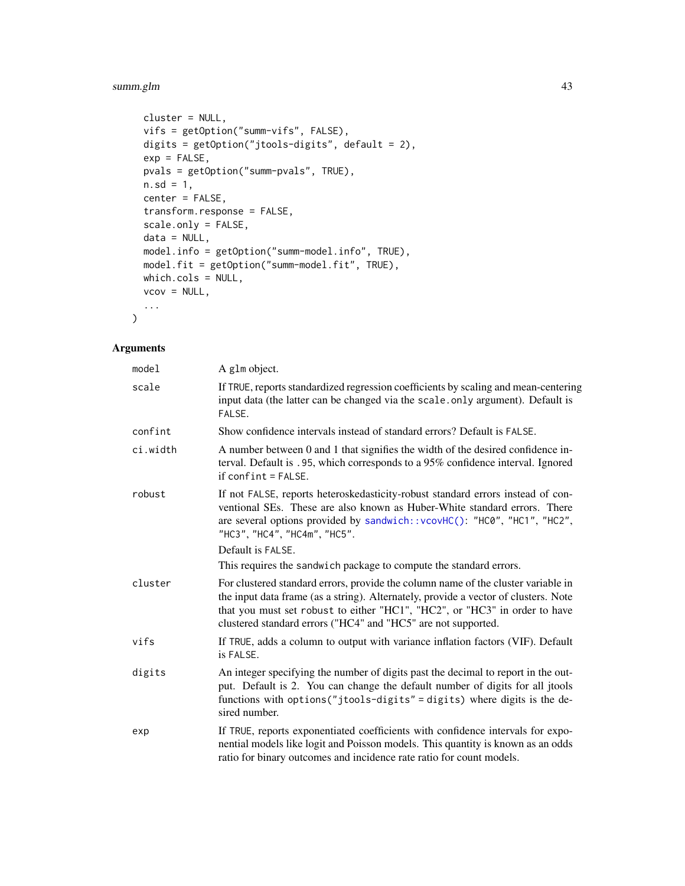# summ.glm 43

```
cluster = NULL,
vifs = getOption("summ-vifs", FALSE),
digits = getOption("jtools-digits", default = 2),
exp = FALSE,
pvals = getOption("summ-pvals", TRUE),
n.sd = 1,center = FALSE,
transform.response = FALSE,
scale.only = FALSE,
data = NULL,model.info = getOption("summ-model.info", TRUE),
model.fit = getOption("summ-model.fit", TRUE),
which.cols = NULL,
vcov = NULL,...
```
## Arguments

 $\mathcal{L}$ 

| model    | A glm object.                                                                                                                                                                                                                                                                                                           |
|----------|-------------------------------------------------------------------------------------------------------------------------------------------------------------------------------------------------------------------------------------------------------------------------------------------------------------------------|
| scale    | If TRUE, reports standardized regression coefficients by scaling and mean-centering<br>input data (the latter can be changed via the scale.only argument). Default is<br>FALSE.                                                                                                                                         |
| confint  | Show confidence intervals instead of standard errors? Default is FALSE.                                                                                                                                                                                                                                                 |
| ci.width | A number between 0 and 1 that signifies the width of the desired confidence in-<br>terval. Default is .95, which corresponds to a 95% confidence interval. Ignored<br>$if conflict = FALSE.$                                                                                                                            |
| robust   | If not FALSE, reports heteroskedasticity-robust standard errors instead of con-<br>ventional SEs. These are also known as Huber-White standard errors. There<br>are several options provided by sandwich:: vcovHC(): "HC0", "HC1", "HC2",<br>"HC3", "HC4", "HC4m", "HC5".                                               |
|          | Default is FALSE.                                                                                                                                                                                                                                                                                                       |
|          | This requires the sandwich package to compute the standard errors.                                                                                                                                                                                                                                                      |
| cluster  | For clustered standard errors, provide the column name of the cluster variable in<br>the input data frame (as a string). Alternately, provide a vector of clusters. Note<br>that you must set robust to either "HC1", "HC2", or "HC3" in order to have<br>clustered standard errors ("HC4" and "HC5" are not supported. |
| vifs     | If TRUE, adds a column to output with variance inflation factors (VIF). Default<br>is FALSE.                                                                                                                                                                                                                            |
| digits   | An integer specifying the number of digits past the decimal to report in the out-<br>put. Default is 2. You can change the default number of digits for all jtools<br>functions with options("jtools-digits" = digits) where digits is the de-<br>sired number.                                                         |
| exp      | If TRUE, reports exponentiated coefficients with confidence intervals for expo-<br>nential models like logit and Poisson models. This quantity is known as an odds<br>ratio for binary outcomes and incidence rate ratio for count models.                                                                              |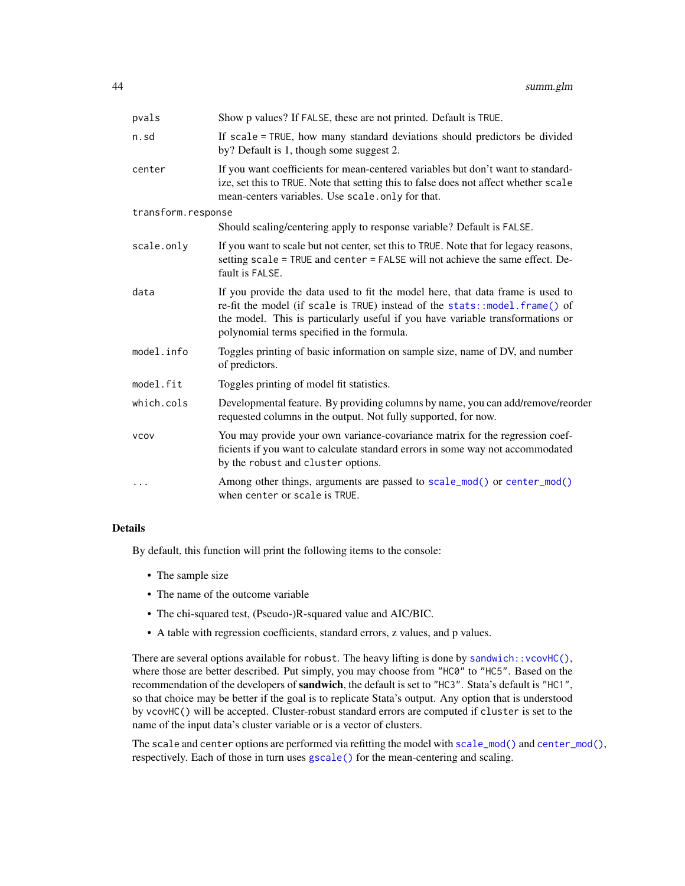| pvals              | Show p values? If FALSE, these are not printed. Default is TRUE.                                                                                                                                                                                                                             |
|--------------------|----------------------------------------------------------------------------------------------------------------------------------------------------------------------------------------------------------------------------------------------------------------------------------------------|
| n.sd               | If scale = TRUE, how many standard deviations should predictors be divided<br>by? Default is 1, though some suggest 2.                                                                                                                                                                       |
| center             | If you want coefficients for mean-centered variables but don't want to standard-<br>ize, set this to TRUE. Note that setting this to false does not affect whether scale<br>mean-centers variables. Use scale.only for that.                                                                 |
| transform.response |                                                                                                                                                                                                                                                                                              |
|                    | Should scaling/centering apply to response variable? Default is FALSE.                                                                                                                                                                                                                       |
| scale.only         | If you want to scale but not center, set this to TRUE. Note that for legacy reasons,<br>setting scale = TRUE and center = FALSE will not achieve the same effect. De-<br>fault is FALSE.                                                                                                     |
| data               | If you provide the data used to fit the model here, that data frame is used to<br>re-fit the model (if scale is TRUE) instead of the stats::model.frame() of<br>the model. This is particularly useful if you have variable transformations or<br>polynomial terms specified in the formula. |
| model.info         | Toggles printing of basic information on sample size, name of DV, and number<br>of predictors.                                                                                                                                                                                               |
| model.fit          | Toggles printing of model fit statistics.                                                                                                                                                                                                                                                    |
| which.cols         | Developmental feature. By providing columns by name, you can add/remove/reorder<br>requested columns in the output. Not fully supported, for now.                                                                                                                                            |
| <b>VCOV</b>        | You may provide your own variance-covariance matrix for the regression coef-<br>ficients if you want to calculate standard errors in some way not accommodated<br>by the robust and cluster options.                                                                                         |
|                    | Among other things, arguments are passed to scale_mod() or center_mod()<br>when center or scale is TRUE.                                                                                                                                                                                     |

## Details

By default, this function will print the following items to the console:

- The sample size
- The name of the outcome variable
- The chi-squared test, (Pseudo-)R-squared value and AIC/BIC.
- A table with regression coefficients, standard errors, z values, and p values.

There are several options available for robust. The heavy lifting is done by sandwich:: $vcovHC()$ , where those are better described. Put simply, you may choose from "HC0" to "HC5". Based on the recommendation of the developers of sandwich, the default is set to "HC3". Stata's default is "HC1", so that choice may be better if the goal is to replicate Stata's output. Any option that is understood by vcovHC() will be accepted. Cluster-robust standard errors are computed if cluster is set to the name of the input data's cluster variable or is a vector of clusters.

The scale and center options are performed via refitting the model with  $scale\_mod()$  and  $center\_mod()$ , respectively. Each of those in turn uses [gscale\(\)](#page-17-0) for the mean-centering and scaling.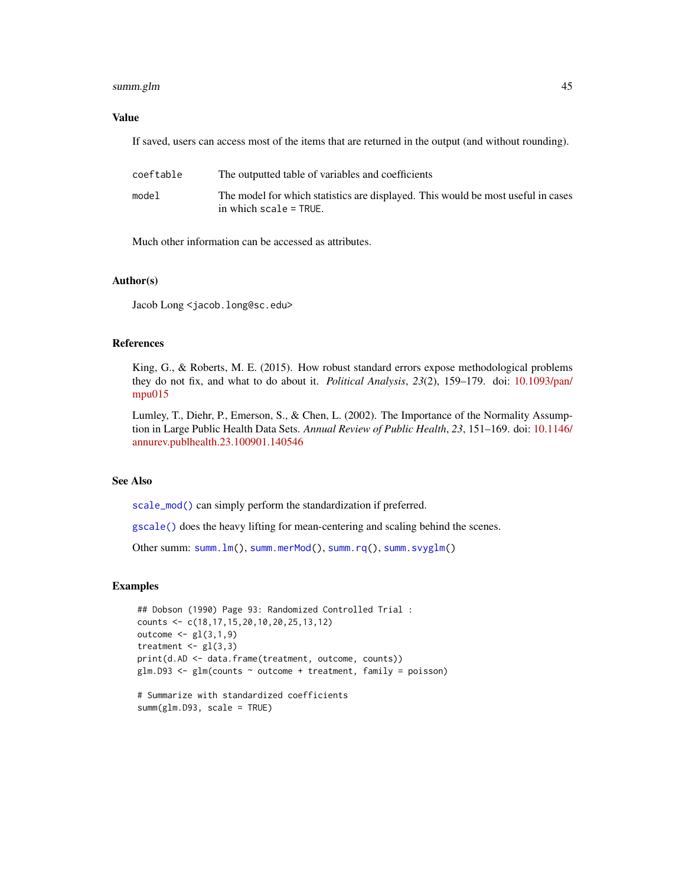# summ.glm  $45$

## Value

If saved, users can access most of the items that are returned in the output (and without rounding).

| coeftable | The outputted table of variables and coefficients                                                             |
|-----------|---------------------------------------------------------------------------------------------------------------|
| model     | The model for which statistics are displayed. This would be most useful in cases<br>in which $scale = TRUE$ . |

Much other information can be accessed as attributes.

## Author(s)

Jacob Long <jacob.long@sc.edu>

# References

King, G., & Roberts, M. E. (2015). How robust standard errors expose methodological problems they do not fix, and what to do about it. *Political Analysis*, *23*(2), 159–179. doi: [10.1093/pan/](https://doi.org/10.1093/pan/mpu015) [mpu015](https://doi.org/10.1093/pan/mpu015)

Lumley, T., Diehr, P., Emerson, S., & Chen, L. (2002). The Importance of the Normality Assumption in Large Public Health Data Sets. *Annual Review of Public Health*, *23*, 151–169. doi: [10.1146/](https://doi.org/10.1146/annurev.publhealth.23.100901.140546) [annurev.publhealth.23.100901.140546](https://doi.org/10.1146/annurev.publhealth.23.100901.140546)

## See Also

[scale\\_mod\(\)](#page-36-0) can simply perform the standardization if preferred.

[gscale\(\)](#page-17-0) does the heavy lifting for mean-centering and scaling behind the scenes.

Other summ: [summ.lm\(](#page-45-0)), [summ.merMod\(](#page-48-0)), [summ.rq\(](#page-52-0)), [summ.svyglm\(](#page-55-0))

# Examples

```
## Dobson (1990) Page 93: Randomized Controlled Trial :
counts <- c(18,17,15,20,10,20,25,13,12)
outcome \leq gl(3,1,9)
treatment \leq gl(3,3)
print(d.AD <- data.frame(treatment, outcome, counts))
glm.D93 \leq glm(counts \sim outcome + treatment, family = poisson)# Summarize with standardized coefficients
```

```
summ(glm.D93, scale = TRUE)
```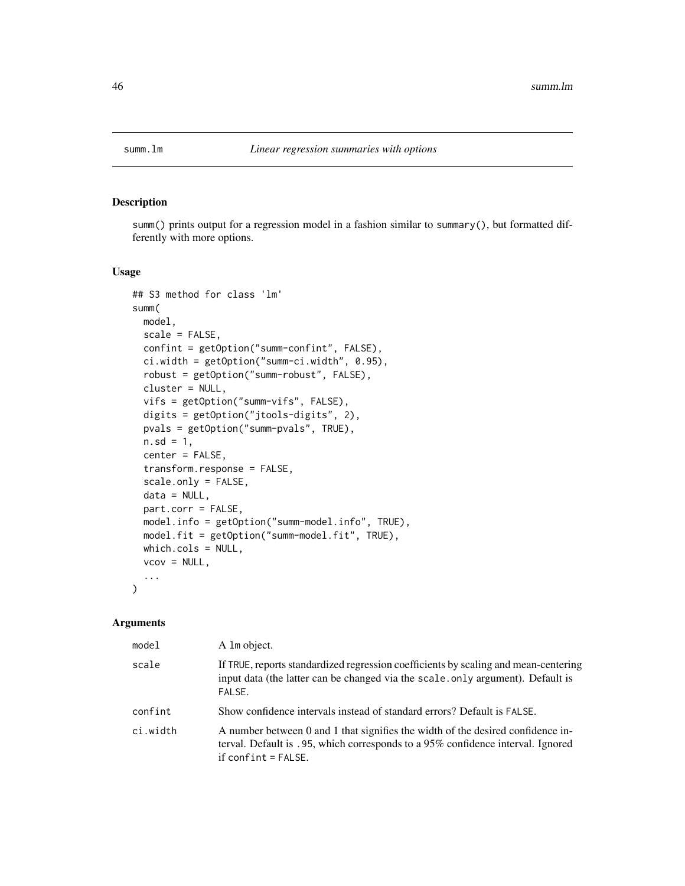<span id="page-45-0"></span>

summ() prints output for a regression model in a fashion similar to summary(), but formatted differently with more options.

# Usage

```
## S3 method for class 'lm'
summ(
 model,
  scale = FALSE,
  confint = getOption("summ-confint", FALSE),
  ci.width = getOption("summ-ci.width", 0.95),
  robust = getOption("summ-robust", FALSE),
  cluster = NULL,
  vifs = getOption("summ-vifs", FALSE),
  digits = getOption("jtools-digits", 2),
 pvals = getOption("summ-pvals", TRUE),
  n.sd = 1,center = FALSE,
  transform.response = FALSE,
  scale.only = FALSE,
  data = NULL,
  part.corr = FALSE,
 model.info = getOption("summ-model.info", TRUE),
 model.fit = getOption("summ-model.fit", TRUE),
  which.cols = NULL,
  vcov = NULL,...
)
```
#### Arguments

| mode1    | A 1m object.                                                                                                                                                                                |
|----------|---------------------------------------------------------------------------------------------------------------------------------------------------------------------------------------------|
| scale    | If TRUE, reports standardized regression coefficients by scaling and mean-centering<br>input data (the latter can be changed via the scale.only argument). Default is<br>FALSE.             |
| confint  | Show confidence intervals instead of standard errors? Default is FALSE.                                                                                                                     |
| ci.width | A number between 0 and 1 that signifies the width of the desired confidence in-<br>terval. Default is .95, which corresponds to a 95% confidence interval. Ignored<br>if confint $=$ FALSE. |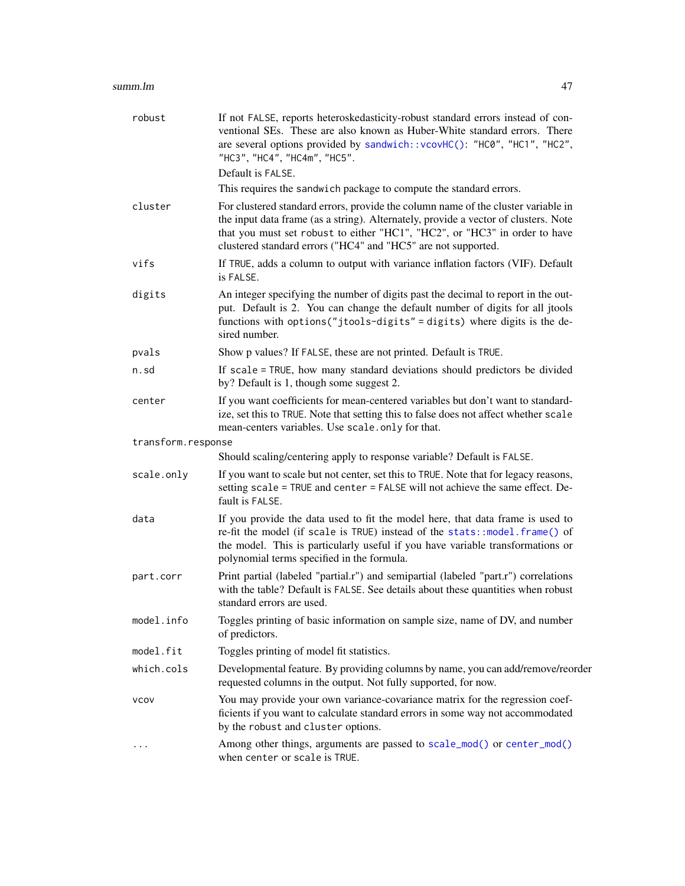| robust             | If not FALSE, reports heteroskedasticity-robust standard errors instead of con-<br>ventional SEs. These are also known as Huber-White standard errors. There<br>are several options provided by sandwich:: vcovHC(): "HC0", "HC1", "HC2",<br>"HC3", "HC4", "HC4m", "HC5".<br>Default is FALSE.                          |
|--------------------|-------------------------------------------------------------------------------------------------------------------------------------------------------------------------------------------------------------------------------------------------------------------------------------------------------------------------|
|                    | This requires the sandwich package to compute the standard errors.                                                                                                                                                                                                                                                      |
| cluster            | For clustered standard errors, provide the column name of the cluster variable in<br>the input data frame (as a string). Alternately, provide a vector of clusters. Note<br>that you must set robust to either "HC1", "HC2", or "HC3" in order to have<br>clustered standard errors ("HC4" and "HC5" are not supported. |
| vifs               | If TRUE, adds a column to output with variance inflation factors (VIF). Default<br>is FALSE.                                                                                                                                                                                                                            |
| digits             | An integer specifying the number of digits past the decimal to report in the out-<br>put. Default is 2. You can change the default number of digits for all jtools<br>functions with options("jtools-digits" = digits) where digits is the de-<br>sired number.                                                         |
| pvals              | Show p values? If FALSE, these are not printed. Default is TRUE.                                                                                                                                                                                                                                                        |
| n.sd               | If scale = TRUE, how many standard deviations should predictors be divided<br>by? Default is 1, though some suggest 2.                                                                                                                                                                                                  |
| center             | If you want coefficients for mean-centered variables but don't want to standard-<br>ize, set this to TRUE. Note that setting this to false does not affect whether scale<br>mean-centers variables. Use scale.only for that.                                                                                            |
| transform.response |                                                                                                                                                                                                                                                                                                                         |
|                    | Should scaling/centering apply to response variable? Default is FALSE.                                                                                                                                                                                                                                                  |
| scale.only         | If you want to scale but not center, set this to TRUE. Note that for legacy reasons,<br>setting scale = TRUE and center = FALSE will not achieve the same effect. De-<br>fault is FALSE.                                                                                                                                |
| data               | If you provide the data used to fit the model here, that data frame is used to<br>re-fit the model (if scale is TRUE) instead of the stats::model.frame() of<br>the model. This is particularly useful if you have variable transformations or<br>polynomial terms specified in the formula.                            |
| part.corr          | Print partial (labeled "partial.r") and semipartial (labeled "part.r") correlations<br>with the table? Default is FALSE. See details about these quantities when robust<br>standard errors are used.                                                                                                                    |
| model.info         | Toggles printing of basic information on sample size, name of DV, and number<br>of predictors.                                                                                                                                                                                                                          |
| model.fit          | Toggles printing of model fit statistics.                                                                                                                                                                                                                                                                               |
| which.cols         | Developmental feature. By providing columns by name, you can add/remove/reorder<br>requested columns in the output. Not fully supported, for now.                                                                                                                                                                       |
| <b>VCOV</b>        | You may provide your own variance-covariance matrix for the regression coef-<br>ficients if you want to calculate standard errors in some way not accommodated<br>by the robust and cluster options.                                                                                                                    |
|                    | Among other things, arguments are passed to scale_mod() or center_mod()<br>when center or scale is TRUE.                                                                                                                                                                                                                |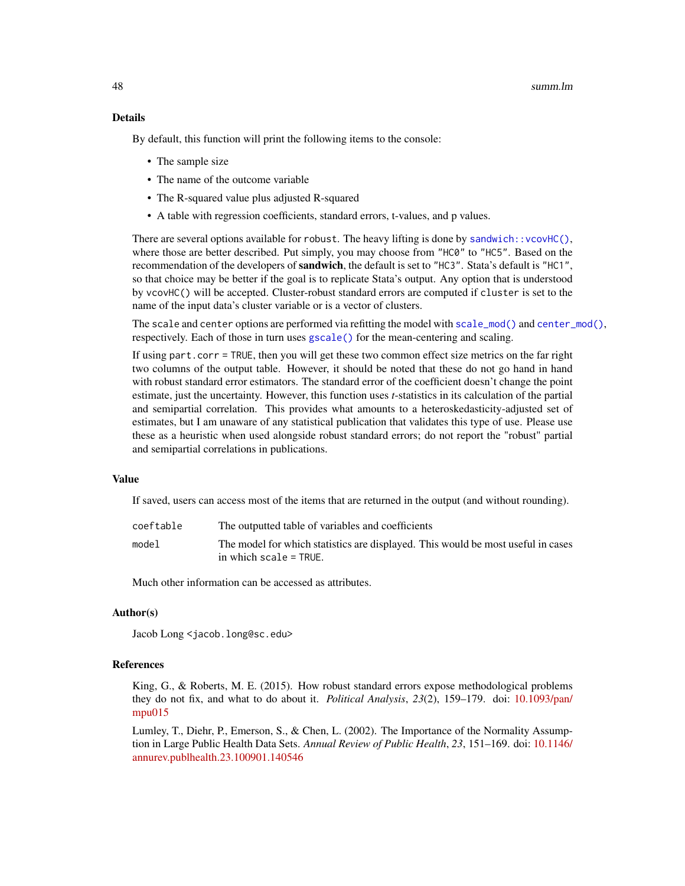## Details

By default, this function will print the following items to the console:

- The sample size
- The name of the outcome variable
- The R-squared value plus adjusted R-squared
- A table with regression coefficients, standard errors, t-values, and p values.

There are several options available for robust. The heavy lifting is done by sandwich:: $vcovHC()$ , where those are better described. Put simply, you may choose from "HC0" to "HC5". Based on the recommendation of the developers of **sandwich**, the default is set to "HC3". Stata's default is "HC1", so that choice may be better if the goal is to replicate Stata's output. Any option that is understood by vcovHC() will be accepted. Cluster-robust standard errors are computed if cluster is set to the name of the input data's cluster variable or is a vector of clusters.

The scale and center options are performed via refitting the model with [scale\\_mod\(\)](#page-36-0) and [center\\_mod\(\)](#page-3-0), respectively. Each of those in turn uses [gscale\(\)](#page-17-0) for the mean-centering and scaling.

If using part.corr = TRUE, then you will get these two common effect size metrics on the far right two columns of the output table. However, it should be noted that these do not go hand in hand with robust standard error estimators. The standard error of the coefficient doesn't change the point estimate, just the uncertainty. However, this function uses *t*-statistics in its calculation of the partial and semipartial correlation. This provides what amounts to a heteroskedasticity-adjusted set of estimates, but I am unaware of any statistical publication that validates this type of use. Please use these as a heuristic when used alongside robust standard errors; do not report the "robust" partial and semipartial correlations in publications.

# Value

If saved, users can access most of the items that are returned in the output (and without rounding).

| coeftable | The outputted table of variables and coefficients                                                          |
|-----------|------------------------------------------------------------------------------------------------------------|
| model     | The model for which statistics are displayed. This would be most useful in cases<br>in which scale = TRUE. |

Much other information can be accessed as attributes.

#### Author(s)

Jacob Long <jacob.long@sc.edu>

## References

King, G., & Roberts, M. E. (2015). How robust standard errors expose methodological problems they do not fix, and what to do about it. *Political Analysis*, *23*(2), 159–179. doi: [10.1093/pan/](https://doi.org/10.1093/pan/mpu015) [mpu015](https://doi.org/10.1093/pan/mpu015)

Lumley, T., Diehr, P., Emerson, S., & Chen, L. (2002). The Importance of the Normality Assumption in Large Public Health Data Sets. *Annual Review of Public Health*, *23*, 151–169. doi: [10.1146/](https://doi.org/10.1146/annurev.publhealth.23.100901.140546) [annurev.publhealth.23.100901.140546](https://doi.org/10.1146/annurev.publhealth.23.100901.140546)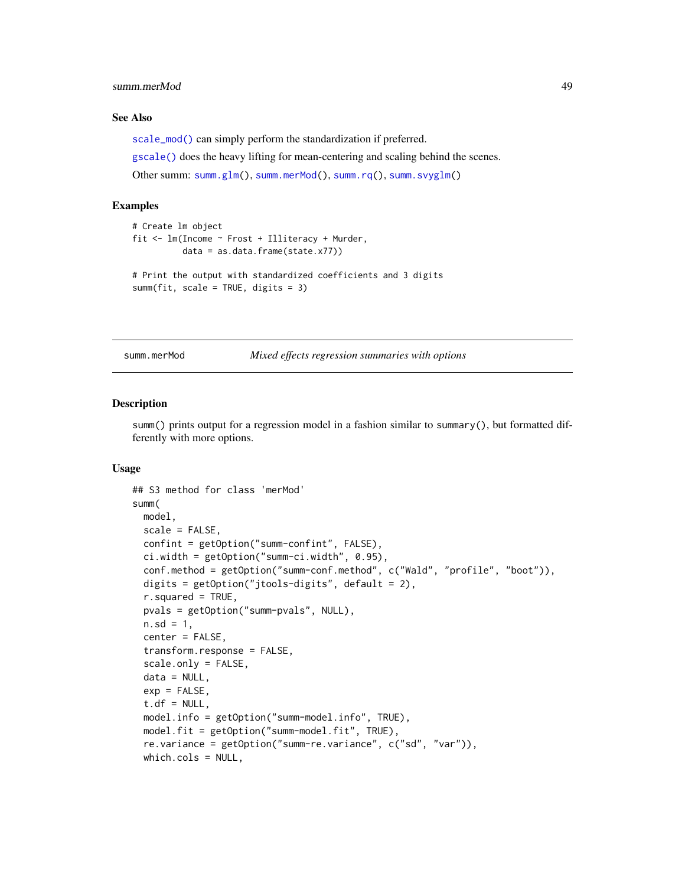## summ.merMod 49

## See Also

[scale\\_mod\(\)](#page-36-0) can simply perform the standardization if preferred.

[gscale\(\)](#page-17-0) does the heavy lifting for mean-centering and scaling behind the scenes.

Other summ: [summ.glm\(](#page-41-1)), [summ.merMod\(](#page-48-0)), [summ.rq\(](#page-52-0)), [summ.svyglm\(](#page-55-0))

## Examples

```
# Create lm object
fit <- lm(Income ~ Frost + Illiteracy + Murder,
         data = as.data.frame(state.x77))
# Print the output with standardized coefficients and 3 digits
summ(fit, scale = TRUE, digits = 3)
```
<span id="page-48-0"></span>summ.merMod *Mixed effects regression summaries with options*

## Description

summ() prints output for a regression model in a fashion similar to summary(), but formatted differently with more options.

```
## S3 method for class 'merMod'
summ(
 model,
  scale = FALSE,
  confint = getOption("summ-confint", FALSE),
 ci.width = getOption("summ-ci.width", 0.95),
  conf.method = getOption("summ-conf.method", c("Wald", "profile", "boot")),
  digits = getOption("jtools-digits", default = 2),
  r.squared = TRUE,
 pvals = getOption("summ-pvals", NULL),
 n.sd = 1,center = FALSE,
  transform.response = FALSE,
  scale.only = FALSE,
  data = NULL,
  exp = FALSE,
  t.df = NULL,model.info = getOption("summ-model.info", TRUE),
 model.fit = getOption("summ-model.fit", TRUE),
  re.variance = getOption("summ-re.variance", c("sd", "var")),
 which.cols = NULL,
```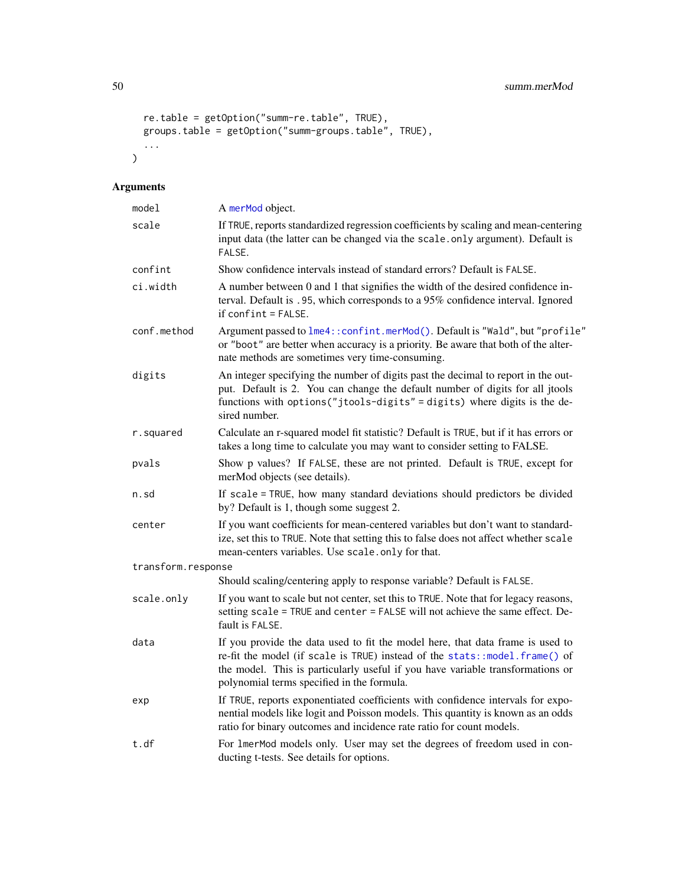50 summ.merMod

```
re.table = getOption("summ-re.table", TRUE),
groups.table = getOption("summ-groups.table", TRUE),
...
```
# Arguments

 $\mathcal{L}$ 

| model              | A merMod object.                                                                                                                                                                                                                                                                             |
|--------------------|----------------------------------------------------------------------------------------------------------------------------------------------------------------------------------------------------------------------------------------------------------------------------------------------|
| scale              | If TRUE, reports standardized regression coefficients by scaling and mean-centering<br>input data (the latter can be changed via the scale.only argument). Default is<br>FALSE.                                                                                                              |
| confint            | Show confidence intervals instead of standard errors? Default is FALSE.                                                                                                                                                                                                                      |
| ci.width           | A number between 0 and 1 that signifies the width of the desired confidence in-<br>terval. Default is .95, which corresponds to a 95% confidence interval. Ignored<br>$if$ confint = FALSE.                                                                                                  |
| conf.method        | Argument passed to lme4:: confint.merMod(). Default is "Wald", but "profile"<br>or "boot" are better when accuracy is a priority. Be aware that both of the alter-<br>nate methods are sometimes very time-consuming.                                                                        |
| digits             | An integer specifying the number of digits past the decimal to report in the out-<br>put. Default is 2. You can change the default number of digits for all jtools<br>functions with options("jtools-digits" = digits) where digits is the de-<br>sired number.                              |
| r.squared          | Calculate an r-squared model fit statistic? Default is TRUE, but if it has errors or<br>takes a long time to calculate you may want to consider setting to FALSE.                                                                                                                            |
| pvals              | Show p values? If FALSE, these are not printed. Default is TRUE, except for<br>merMod objects (see details).                                                                                                                                                                                 |
| n.sd               | If scale = TRUE, how many standard deviations should predictors be divided<br>by? Default is 1, though some suggest 2.                                                                                                                                                                       |
| center             | If you want coefficients for mean-centered variables but don't want to standard-<br>ize, set this to TRUE. Note that setting this to false does not affect whether scale<br>mean-centers variables. Use scale.only for that.                                                                 |
| transform.response |                                                                                                                                                                                                                                                                                              |
|                    | Should scaling/centering apply to response variable? Default is FALSE.                                                                                                                                                                                                                       |
| scale.only         | If you want to scale but not center, set this to TRUE. Note that for legacy reasons,<br>setting scale = TRUE and center = FALSE will not achieve the same effect. De-<br>fault is FALSE.                                                                                                     |
| data               | If you provide the data used to fit the model here, that data frame is used to<br>re-fit the model (if scale is TRUE) instead of the stats::model.frame() of<br>the model. This is particularly useful if you have variable transformations or<br>polynomial terms specified in the formula. |
| exp                | If TRUE, reports exponentiated coefficients with confidence intervals for expo-<br>nential models like logit and Poisson models. This quantity is known as an odds<br>ratio for binary outcomes and incidence rate ratio for count models.                                                   |
| t.df               | For 1merMod models only. User may set the degrees of freedom used in con-<br>ducting t-tests. See details for options.                                                                                                                                                                       |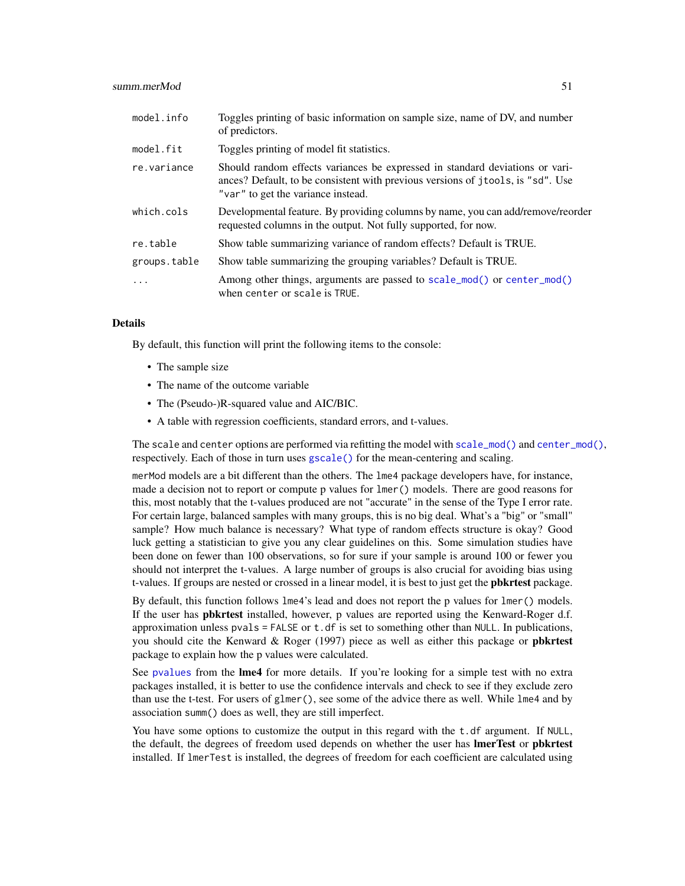| model.info   | Toggles printing of basic information on sample size, name of DV, and number<br>of predictors.                                                                                                        |
|--------------|-------------------------------------------------------------------------------------------------------------------------------------------------------------------------------------------------------|
| model.fit    | Toggles printing of model fit statistics.                                                                                                                                                             |
| re.variance  | Should random effects variances be expressed in standard deviations or vari-<br>ances? Default, to be consistent with previous versions of jtools, is "sd". Use<br>"var" to get the variance instead. |
| which.cols   | Developmental feature. By providing columns by name, you can add/remove/reorder<br>requested columns in the output. Not fully supported, for now.                                                     |
| re.table     | Show table summarizing variance of random effects? Default is TRUE.                                                                                                                                   |
| groups.table | Show table summarizing the grouping variables? Default is TRUE.                                                                                                                                       |
| .            | Among other things, arguments are passed to scale_mod() or center_mod()<br>when center or scale is TRUE.                                                                                              |

## Details

By default, this function will print the following items to the console:

- The sample size
- The name of the outcome variable
- The (Pseudo-)R-squared value and AIC/BIC.
- A table with regression coefficients, standard errors, and t-values.

The scale and center options are performed via refitting the model with [scale\\_mod\(\)](#page-36-0) and [center\\_mod\(\)](#page-3-0), respectively. Each of those in turn uses [gscale\(\)](#page-17-0) for the mean-centering and scaling.

merMod models are a bit different than the others. The lme4 package developers have, for instance, made a decision not to report or compute p values for lmer() models. There are good reasons for this, most notably that the t-values produced are not "accurate" in the sense of the Type I error rate. For certain large, balanced samples with many groups, this is no big deal. What's a "big" or "small" sample? How much balance is necessary? What type of random effects structure is okay? Good luck getting a statistician to give you any clear guidelines on this. Some simulation studies have been done on fewer than 100 observations, so for sure if your sample is around 100 or fewer you should not interpret the t-values. A large number of groups is also crucial for avoiding bias using t-values. If groups are nested or crossed in a linear model, it is best to just get the **pbkrtest** package.

By default, this function follows lme4's lead and does not report the p values for lmer() models. If the user has **pbkrtest** installed, however, p values are reported using the Kenward-Roger d.f. approximation unless pvals = FALSE or t.df is set to something other than NULL. In publications, you should cite the Kenward  $& Roger (1997)$  piece as well as either this package or **pbkrtest** package to explain how the p values were calculated.

See [pvalues](#page-0-0) from the **lme4** for more details. If you're looking for a simple test with no extra packages installed, it is better to use the confidence intervals and check to see if they exclude zero than use the t-test. For users of glmer(), see some of the advice there as well. While lme4 and by association summ() does as well, they are still imperfect.

You have some options to customize the output in this regard with the t.df argument. If NULL, the default, the degrees of freedom used depends on whether the user has **lmerTest** or **pbkrtest** installed. If lmerTest is installed, the degrees of freedom for each coefficient are calculated using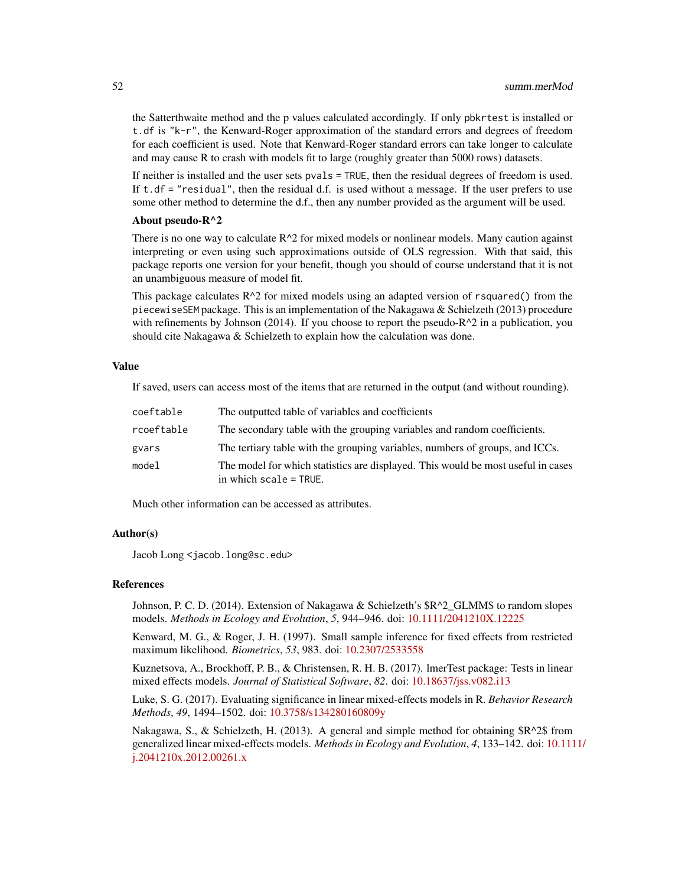the Satterthwaite method and the p values calculated accordingly. If only pbkrtest is installed or t.df is "k-r", the Kenward-Roger approximation of the standard errors and degrees of freedom for each coefficient is used. Note that Kenward-Roger standard errors can take longer to calculate and may cause R to crash with models fit to large (roughly greater than 5000 rows) datasets.

If neither is installed and the user sets pvals = TRUE, then the residual degrees of freedom is used. If  $t$ .df = "residual", then the residual d.f. is used without a message. If the user prefers to use some other method to determine the d.f., then any number provided as the argument will be used.

## About pseudo-R^2

There is no one way to calculate  $R^2$  for mixed models or nonlinear models. Many caution against interpreting or even using such approximations outside of OLS regression. With that said, this package reports one version for your benefit, though you should of course understand that it is not an unambiguous measure of model fit.

This package calculates  $R^2$  for mixed models using an adapted version of rsquared() from the piecewiseSEM package. This is an implementation of the Nakagawa & Schielzeth (2013) procedure with refinements by Johnson (2014). If you choose to report the pseudo- $R^2$  in a publication, you should cite Nakagawa & Schielzeth to explain how the calculation was done.

## Value

If saved, users can access most of the items that are returned in the output (and without rounding).

| coeftable  | The outputted table of variables and coefficients                                                          |
|------------|------------------------------------------------------------------------------------------------------------|
| rcoeftable | The secondary table with the grouping variables and random coefficients.                                   |
| gvars      | The tertiary table with the grouping variables, numbers of groups, and ICCs.                               |
| model      | The model for which statistics are displayed. This would be most useful in cases<br>in which scale = TRUE. |

Much other information can be accessed as attributes.

## Author(s)

Jacob Long <jacob.long@sc.edu>

## References

Johnson, P. C. D. (2014). Extension of Nakagawa & Schielzeth's  $R^2$  GLMM\$ to random slopes models. *Methods in Ecology and Evolution*, *5*, 944–946. doi: [10.1111/2041210X.12225](https://doi.org/10.1111/2041-210X.12225)

Kenward, M. G., & Roger, J. H. (1997). Small sample inference for fixed effects from restricted maximum likelihood. *Biometrics*, *53*, 983. doi: [10.2307/2533558](https://doi.org/10.2307/2533558)

Kuznetsova, A., Brockhoff, P. B., & Christensen, R. H. B. (2017). lmerTest package: Tests in linear mixed effects models. *Journal of Statistical Software*, *82*. doi: [10.18637/jss.v082.i13](https://doi.org/10.18637/jss.v082.i13)

Luke, S. G. (2017). Evaluating significance in linear mixed-effects models in R. *Behavior Research Methods*, *49*, 1494–1502. doi: [10.3758/s134280160809y](https://doi.org/10.3758/s13428-016-0809-y)

Nakagawa, S., & Schielzeth, H. (2013). A general and simple method for obtaining \$R^2\$ from generalized linear mixed-effects models. *Methods in Ecology and Evolution*, *4*, 133–142. doi: [10.111](https://doi.org/10.1111/j.2041-210x.2012.00261.x)1/ [j.2041210x.2012.00261.x](https://doi.org/10.1111/j.2041-210x.2012.00261.x)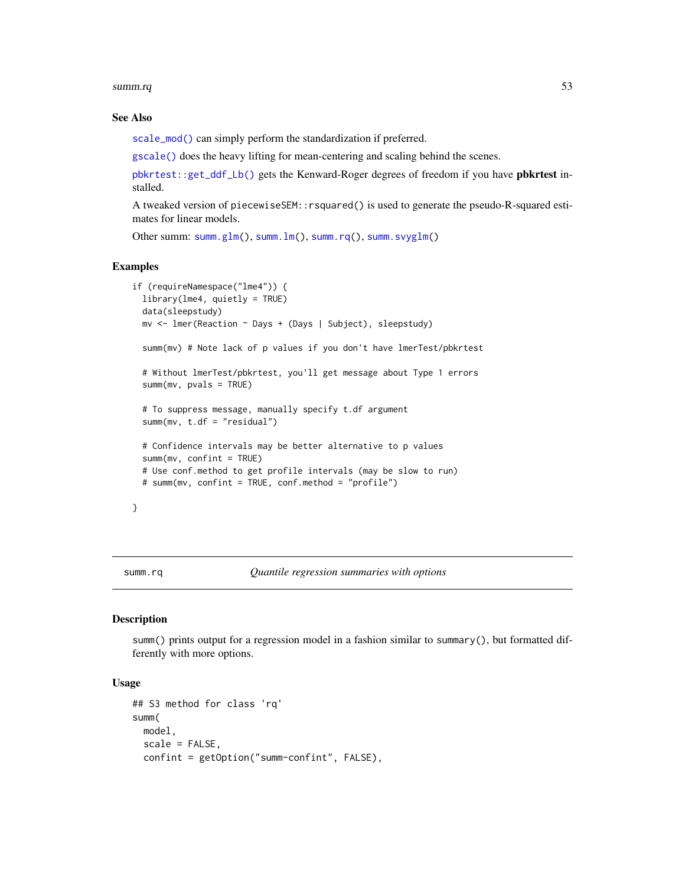summ.rq 53

## See Also

[scale\\_mod\(\)](#page-36-0) can simply perform the standardization if preferred.

[gscale\(\)](#page-17-0) does the heavy lifting for mean-centering and scaling behind the scenes.

[pbkrtest::get\\_ddf\\_Lb\(\)](#page-0-0) gets the Kenward-Roger degrees of freedom if you have pbkrtest installed.

A tweaked version of piecewiseSEM::rsquared() is used to generate the pseudo-R-squared estimates for linear models.

Other summ: [summ.glm\(](#page-41-1)), [summ.lm\(](#page-45-0)), [summ.rq\(](#page-52-0)), [summ.svyglm\(](#page-55-0))

## Examples

```
if (requireNamespace("lme4")) {
 library(lme4, quietly = TRUE)
 data(sleepstudy)
 mv <- lmer(Reaction ~ Days + (Days | Subject), sleepstudy)
 summ(mv) # Note lack of p values if you don't have lmerTest/pbkrtest
 # Without lmerTest/pbkrtest, you'll get message about Type 1 errors
 summ(mv, pvals = TRUE)
 # To suppress message, manually specify t.df argument
 summ(mv, t.df = "residual")
 # Confidence intervals may be better alternative to p values
 summ(mv, confint = TRUE)
 # Use conf.method to get profile intervals (may be slow to run)
 # summ(mv, confint = TRUE, conf.method = "profile")
}
```
<span id="page-52-0"></span>summ.rq *Quantile regression summaries with options*

## **Description**

summ() prints output for a regression model in a fashion similar to summary(), but formatted differently with more options.

```
## S3 method for class 'rq'
summ(
 model,
  scale = FALSE,
  confint = getOption("summ-confint", FALSE),
```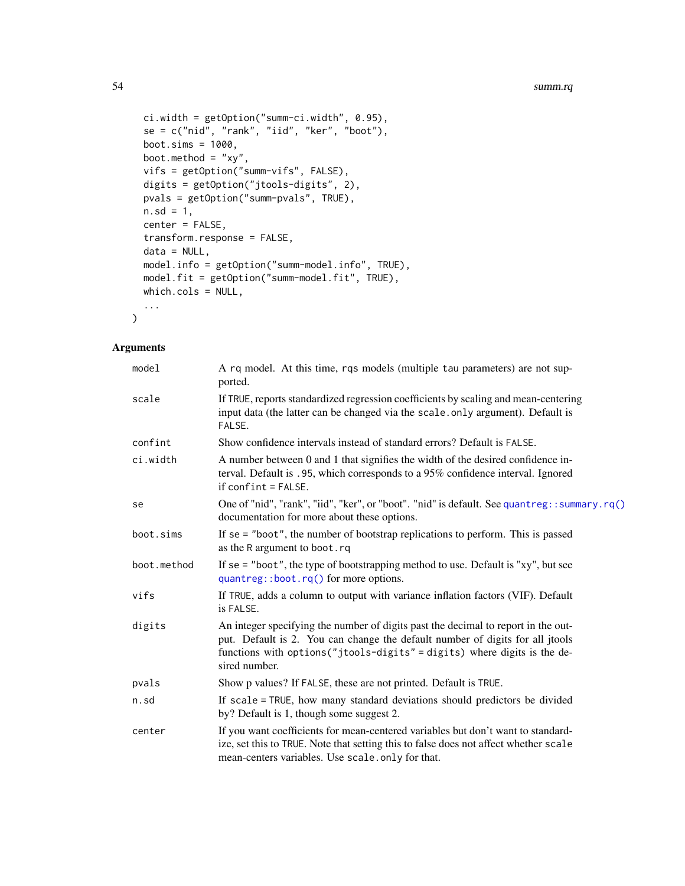```
ci.width = getOption("summ-ci.width", 0.95),
se = c("nid", "rank", "iid", "ker", "boot"),boot.sims = 1000,
boot.method = "xy",
vifs = getOption("summ-vifs", FALSE),
digits = getOption("jtools-digits", 2),
pvals = getOption("summ-pvals", TRUE),
n.sd = 1,center = FALSE,
transform.response = FALSE,
data = NULL,model.info = getOption("summ-model.info", TRUE),
model.fit = getOption("summ-model.fit", TRUE),
which.cols = NULL,
...
```
# Arguments

 $\mathcal{L}$ 

| model       | A rq model. At this time, rqs models (multiple tau parameters) are not sup-<br>ported.                                                                                                                                                                          |
|-------------|-----------------------------------------------------------------------------------------------------------------------------------------------------------------------------------------------------------------------------------------------------------------|
| scale       | If TRUE, reports standardized regression coefficients by scaling and mean-centering<br>input data (the latter can be changed via the scale.only argument). Default is<br>FALSE.                                                                                 |
| confint     | Show confidence intervals instead of standard errors? Default is FALSE.                                                                                                                                                                                         |
| ci.width    | A number between 0 and 1 that signifies the width of the desired confidence in-<br>terval. Default is .95, which corresponds to a 95% confidence interval. Ignored<br>$if conflict = FALSE.$                                                                    |
| se          | One of "nid", "rank", "iid", "ker", or "boot". "nid" is default. See quantreg::summary.rq()<br>documentation for more about these options.                                                                                                                      |
| boot.sims   | If $se = "boot",$ the number of bootstrap replications to perform. This is passed<br>as the R argument to boot.rq                                                                                                                                               |
| boot.method | If se = "boot", the type of bootstrapping method to use. Default is " $xy$ ", but see<br>$quantreg::boot.rq()$ for more options.                                                                                                                                |
| vifs        | If TRUE, adds a column to output with variance inflation factors (VIF). Default<br>is FALSE.                                                                                                                                                                    |
| digits      | An integer specifying the number of digits past the decimal to report in the out-<br>put. Default is 2. You can change the default number of digits for all jtools<br>functions with options("jtools-digits" = digits) where digits is the de-<br>sired number. |
| pvals       | Show p values? If FALSE, these are not printed. Default is TRUE.                                                                                                                                                                                                |
| n.sd        | If scale = TRUE, how many standard deviations should predictors be divided<br>by? Default is 1, though some suggest 2.                                                                                                                                          |
| center      | If you want coefficients for mean-centered variables but don't want to standard-<br>ize, set this to TRUE. Note that setting this to false does not affect whether scale<br>mean-centers variables. Use scale.only for that.                                    |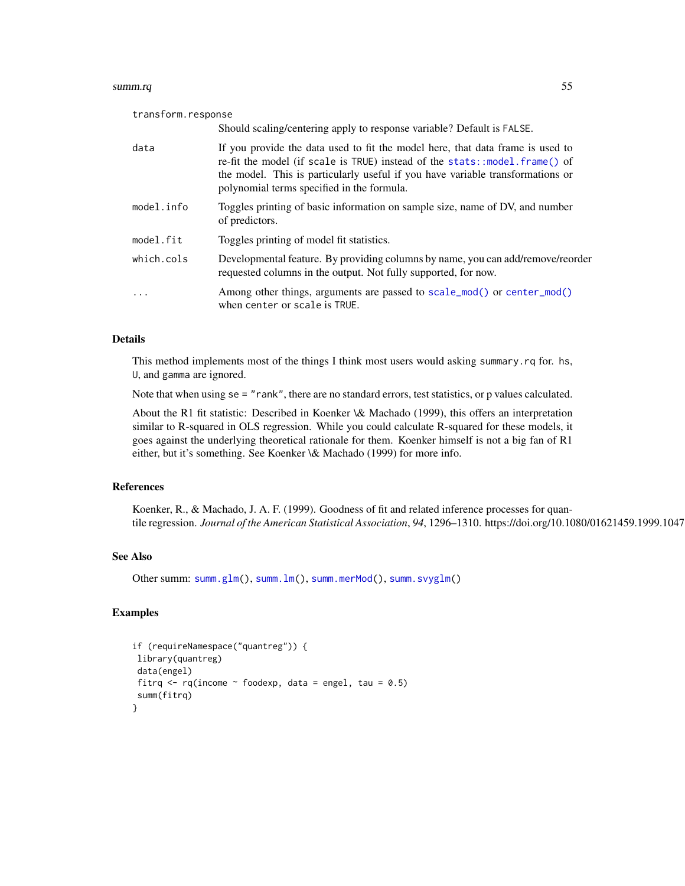#### summ.rq 55

transform.response

|            | Should scaling/centering apply to response variable? Default is FALSE.                                                                                                                                                                                                                       |
|------------|----------------------------------------------------------------------------------------------------------------------------------------------------------------------------------------------------------------------------------------------------------------------------------------------|
| data       | If you provide the data used to fit the model here, that data frame is used to<br>re-fit the model (if scale is TRUE) instead of the stats::model.frame() of<br>the model. This is particularly useful if you have variable transformations or<br>polynomial terms specified in the formula. |
| model.info | Toggles printing of basic information on sample size, name of DV, and number<br>of predictors.                                                                                                                                                                                               |
| model.fit  | Toggles printing of model fit statistics.                                                                                                                                                                                                                                                    |
| which.cols | Developmental feature. By providing columns by name, you can add/remove/reorder<br>requested columns in the output. Not fully supported, for now.                                                                                                                                            |
| $\cdots$   | Among other things, arguments are passed to scale_mod() or center_mod()<br>when center or scale is TRUE.                                                                                                                                                                                     |

# Details

This method implements most of the things I think most users would asking summary.rq for. hs, U, and gamma are ignored.

Note that when using se = "rank", there are no standard errors, test statistics, or p values calculated.

About the R1 fit statistic: Described in Koenker \& Machado (1999), this offers an interpretation similar to R-squared in OLS regression. While you could calculate R-squared for these models, it goes against the underlying theoretical rationale for them. Koenker himself is not a big fan of R1 either, but it's something. See Koenker \& Machado (1999) for more info.

## References

Koenker, R., & Machado, J. A. F. (1999). Goodness of fit and related inference processes for quantile regression. *Journal of the American Statistical Association*, 94, 1296–1310. https://doi.org/10.1080/01621459.1999.1047

## See Also

Other summ: [summ.glm\(](#page-41-1)), [summ.lm\(](#page-45-0)), [summ.merMod\(](#page-48-0)), [summ.svyglm\(](#page-55-0))

# Examples

```
if (requireNamespace("quantreg")) {
library(quantreg)
data(engel)
fitrq \leq rq(income \sim foodexp, data = engel, tau = 0.5)
summ(fitrq)
}
```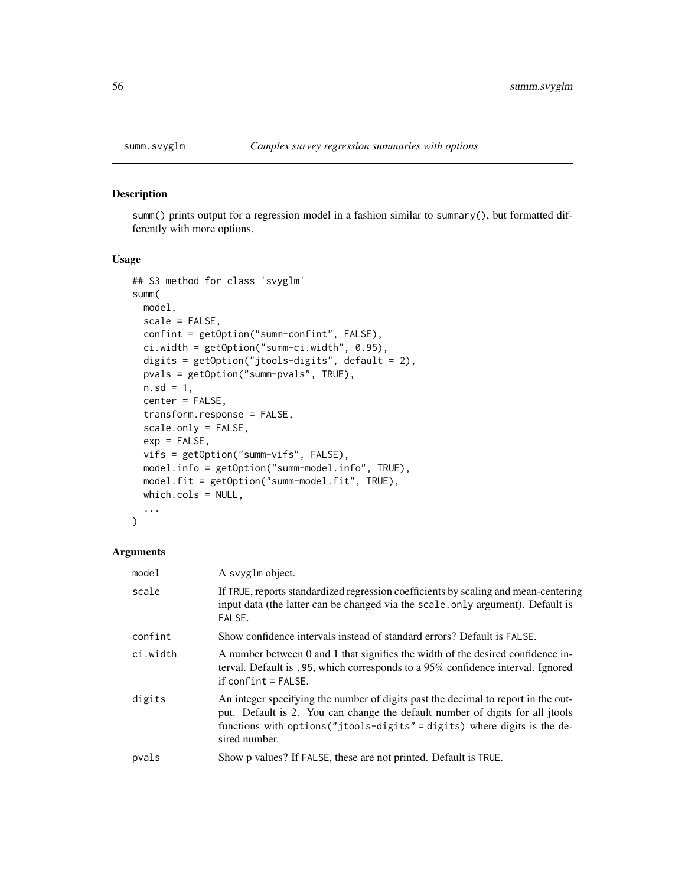<span id="page-55-0"></span>

summ() prints output for a regression model in a fashion similar to summary(), but formatted differently with more options.

# Usage

```
## S3 method for class 'svyglm'
summ(
 model,
 scale = FALSE,
 confint = getOption("summ-confint", FALSE),
 ci.width = getOption("summ-ci.width", 0.95),
 digits = getOption("jtools-digits", default = 2),
 pvals = getOption("summ-pvals", TRUE),
 n.sd = 1,center = FALSE,
 transform.response = FALSE,
 scale.only = FALSE,
 exp = FALSE,vifs = getOption("summ-vifs", FALSE),
 model.info = getOption("summ-model.info", TRUE),
 model.fit = getOption("summ-model.fit", TRUE),
 which.cols = NULL,
  ...
)
```
## Arguments

| model    | A svyglm object.                                                                                                                                                                                                                                                 |
|----------|------------------------------------------------------------------------------------------------------------------------------------------------------------------------------------------------------------------------------------------------------------------|
| scale    | If TRUE, reports standardized regression coefficients by scaling and mean-centering<br>input data (the latter can be changed via the scale.only argument). Default is<br>FALSE.                                                                                  |
| confint  | Show confidence intervals instead of standard errors? Default is FALSE.                                                                                                                                                                                          |
| ci.width | A number between 0 and 1 that signifies the width of the desired confidence in-<br>terval. Default is .95, which corresponds to a 95% confidence interval. Ignored<br>$if conflict = FALSE.$                                                                     |
| digits   | An integer specifying the number of digits past the decimal to report in the out-<br>put. Default is 2. You can change the default number of digits for all jtools<br>functions with options ("jtools-digits" = digits) where digits is the de-<br>sired number. |
| pvals    | Show p values? If FALSE, these are not printed. Default is TRUE.                                                                                                                                                                                                 |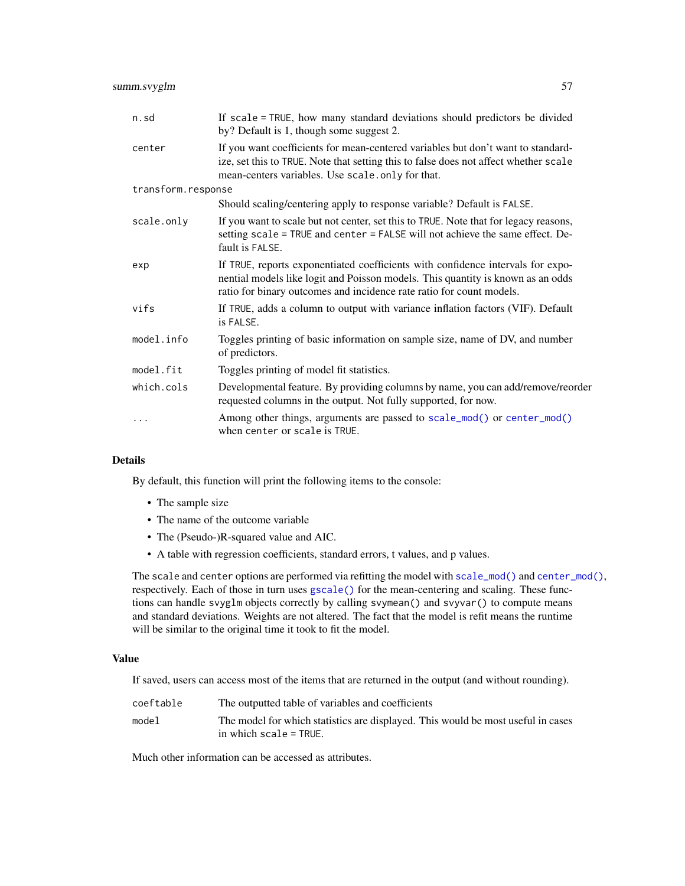| n.sd               | If scale = TRUE, how many standard deviations should predictors be divided<br>by? Default is 1, though some suggest 2.                                                                                                                     |
|--------------------|--------------------------------------------------------------------------------------------------------------------------------------------------------------------------------------------------------------------------------------------|
| center             | If you want coefficients for mean-centered variables but don't want to standard-<br>ize, set this to TRUE. Note that setting this to false does not affect whether scale<br>mean-centers variables. Use scale.only for that.               |
| transform.response |                                                                                                                                                                                                                                            |
|                    | Should scaling/centering apply to response variable? Default is FALSE.                                                                                                                                                                     |
| scale.only         | If you want to scale but not center, set this to TRUE. Note that for legacy reasons,<br>setting scale = TRUE and center = FALSE will not achieve the same effect. De-<br>fault is FALSE.                                                   |
| exp                | If TRUE, reports exponentiated coefficients with confidence intervals for expo-<br>nential models like logit and Poisson models. This quantity is known as an odds<br>ratio for binary outcomes and incidence rate ratio for count models. |
| vifs               | If TRUE, adds a column to output with variance inflation factors (VIF). Default<br>is FALSE.                                                                                                                                               |
| model.info         | Toggles printing of basic information on sample size, name of DV, and number<br>of predictors.                                                                                                                                             |
| model.fit          | Toggles printing of model fit statistics.                                                                                                                                                                                                  |
| which.cols         | Developmental feature. By providing columns by name, you can add/remove/reorder<br>requested columns in the output. Not fully supported, for now.                                                                                          |
|                    | Among other things, arguments are passed to scale_mod() or center_mod()<br>when center or scale is TRUE.                                                                                                                                   |

# Details

By default, this function will print the following items to the console:

- The sample size
- The name of the outcome variable
- The (Pseudo-)R-squared value and AIC.
- A table with regression coefficients, standard errors, t values, and p values.

The scale and center options are performed via refitting the model with [scale\\_mod\(\)](#page-36-0) and [center\\_mod\(\)](#page-3-0), respectively. Each of those in turn uses [gscale\(\)](#page-17-0) for the mean-centering and scaling. These functions can handle svyglm objects correctly by calling svymean() and svyvar() to compute means and standard deviations. Weights are not altered. The fact that the model is refit means the runtime will be similar to the original time it took to fit the model.

# Value

If saved, users can access most of the items that are returned in the output (and without rounding).

| coeftable | The outputted table of variables and coefficients                                                          |
|-----------|------------------------------------------------------------------------------------------------------------|
| model     | The model for which statistics are displayed. This would be most useful in cases<br>in which scale = TRUE. |

Much other information can be accessed as attributes.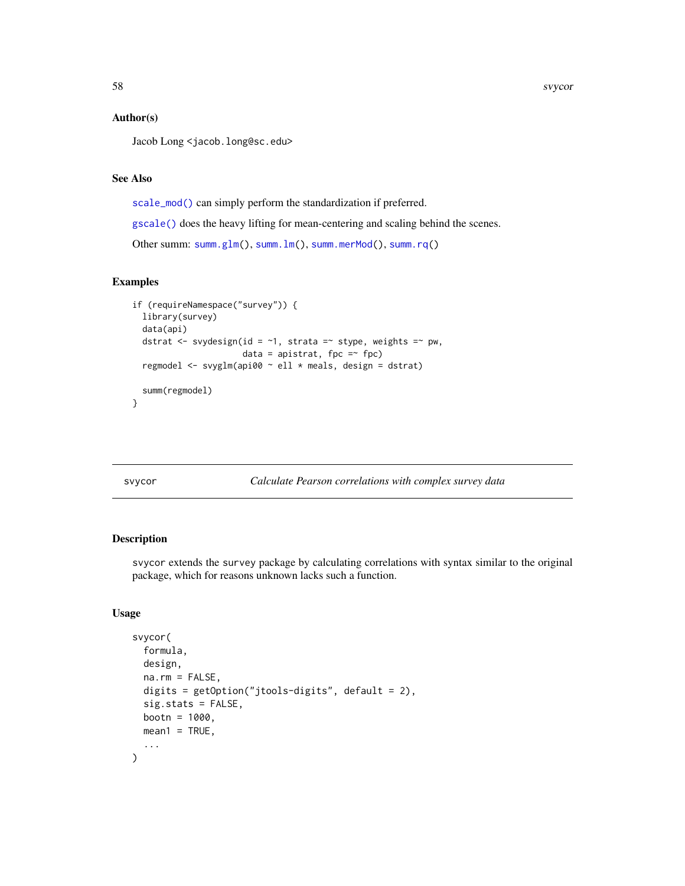## Author(s)

Jacob Long <jacob.long@sc.edu>

# See Also

[scale\\_mod\(\)](#page-36-0) can simply perform the standardization if preferred.

[gscale\(\)](#page-17-0) does the heavy lifting for mean-centering and scaling behind the scenes.

Other summ: [summ.glm\(](#page-41-1)), [summ.lm\(](#page-45-0)), [summ.merMod\(](#page-48-0)), [summ.rq\(](#page-52-0))

## Examples

```
if (requireNamespace("survey")) {
 library(survey)
 data(api)
 dstrat \leq svydesign(id = \sim1, strata =\sim stype, weights =\sim pw,
                       data = apistrat, fpc =\sim fpc)
 regmodel <- svyglm(api00 ~ ell * meals, design = dstrat)
 summ(regmodel)
}
```
<span id="page-57-0"></span>svycor *Calculate Pearson correlations with complex survey data*

# Description

svycor extends the survey package by calculating correlations with syntax similar to the original package, which for reasons unknown lacks such a function.

```
svycor(
  formula,
 design,
 na.rm = FALSE,digits = getOption("jtools-digits", default = 2),
 sig.stats = FALSE,
 bootn = 1000.
 mean1 = TRUE,...
)
```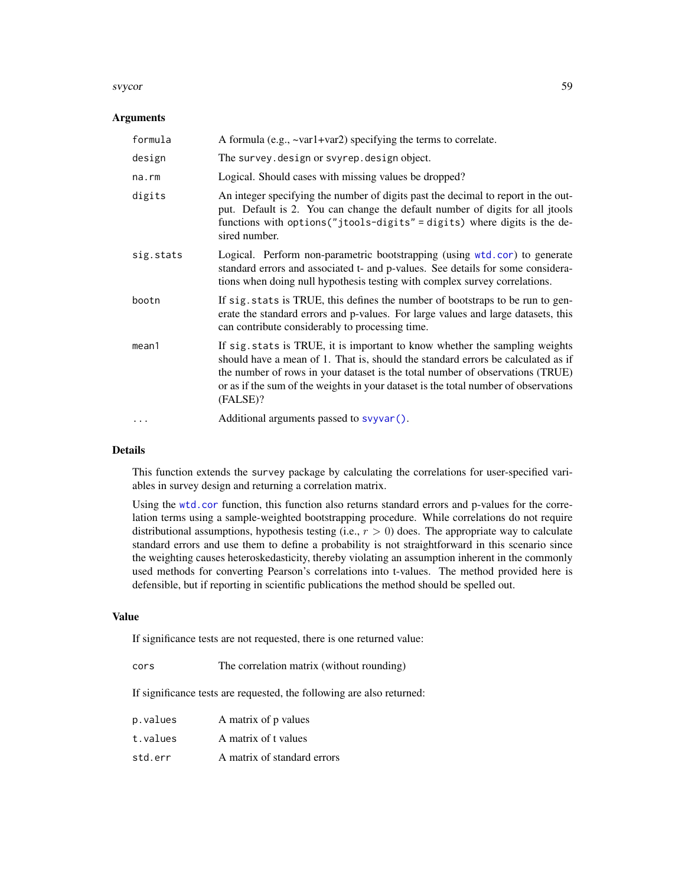#### svycor 59

## Arguments

| formula   | A formula (e.g., $\sim$ var1+var2) specifying the terms to correlate.                                                                                                                                                                                                                                                                               |
|-----------|-----------------------------------------------------------------------------------------------------------------------------------------------------------------------------------------------------------------------------------------------------------------------------------------------------------------------------------------------------|
| design    | The survey. design or svyrep. design object.                                                                                                                                                                                                                                                                                                        |
| na.rm     | Logical. Should cases with missing values be dropped?                                                                                                                                                                                                                                                                                               |
| digits    | An integer specifying the number of digits past the decimal to report in the out-<br>put. Default is 2. You can change the default number of digits for all jtools<br>functions with options ("jtools-digits" = digits) where digits is the de-<br>sired number.                                                                                    |
| sig.stats | Logical. Perform non-parametric bootstrapping (using wtd.cor) to generate<br>standard errors and associated t- and p-values. See details for some considera-<br>tions when doing null hypothesis testing with complex survey correlations.                                                                                                          |
| bootn     | If sig. stats is TRUE, this defines the number of bootstraps to be run to gen-<br>erate the standard errors and p-values. For large values and large datasets, this<br>can contribute considerably to processing time.                                                                                                                              |
| mean1     | If sig. stats is TRUE, it is important to know whether the sampling weights<br>should have a mean of 1. That is, should the standard errors be calculated as if<br>the number of rows in your dataset is the total number of observations (TRUE)<br>or as if the sum of the weights in your dataset is the total number of observations<br>(FALSE)? |
| .         | Additional arguments passed to svyvar().                                                                                                                                                                                                                                                                                                            |

# Details

This function extends the survey package by calculating the correlations for user-specified variables in survey design and returning a correlation matrix.

Using the [wtd.cor](#page-0-0) function, this function also returns standard errors and p-values for the correlation terms using a sample-weighted bootstrapping procedure. While correlations do not require distributional assumptions, hypothesis testing (i.e.,  $r > 0$ ) does. The appropriate way to calculate standard errors and use them to define a probability is not straightforward in this scenario since the weighting causes heteroskedasticity, thereby violating an assumption inherent in the commonly used methods for converting Pearson's correlations into t-values. The method provided here is defensible, but if reporting in scientific publications the method should be spelled out.

## Value

If significance tests are not requested, there is one returned value:

| cors | The correlation matrix (without rounding) |  |  |  |
|------|-------------------------------------------|--|--|--|
|------|-------------------------------------------|--|--|--|

If significance tests are requested, the following are also returned:

| p.values | A matrix of p values        |
|----------|-----------------------------|
| t.values | A matrix of t values        |
| std.err  | A matrix of standard errors |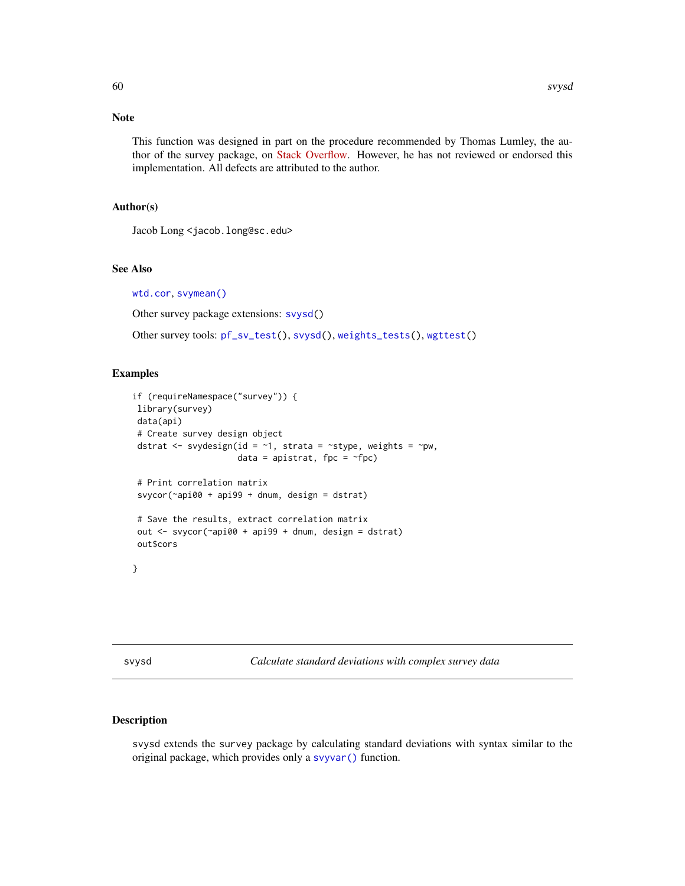# Note

This function was designed in part on the procedure recommended by Thomas Lumley, the author of the survey package, on [Stack Overflow.](https://stackoverflow.com/questions/34418822/pearson-correlation-coefficient-in-rs-survey-package#41031088) However, he has not reviewed or endorsed this implementation. All defects are attributed to the author.

## Author(s)

Jacob Long <jacob.long@sc.edu>

## See Also

[wtd.cor](#page-0-0), [svymean\(\)](#page-0-0)

Other survey package extensions: [svysd\(](#page-59-0))

Other survey tools: [pf\\_sv\\_test\(](#page-30-0)), [svysd\(](#page-59-0)), [weights\\_tests\(](#page-65-0)), [wgttest\(](#page-66-0))

# Examples

```
if (requireNamespace("survey")) {
library(survey)
data(api)
# Create survey design object
dstrat \leq svydesign(id = \sim1, strata = \simstype, weights = \simpw,
                      data = apistrat, fpc = \simfpc)
# Print correlation matrix
svycor(~api00 + api99 + dnum, design = dstrat)
# Save the results, extract correlation matrix
out \leq svycor(\approxapi00 + api99 + dnum, design = dstrat)
out$cors
}
```
<span id="page-59-0"></span>svysd *Calculate standard deviations with complex survey data*

# Description

svysd extends the survey package by calculating standard deviations with syntax similar to the original package, which provides only a [svyvar\(\)](#page-0-0) function.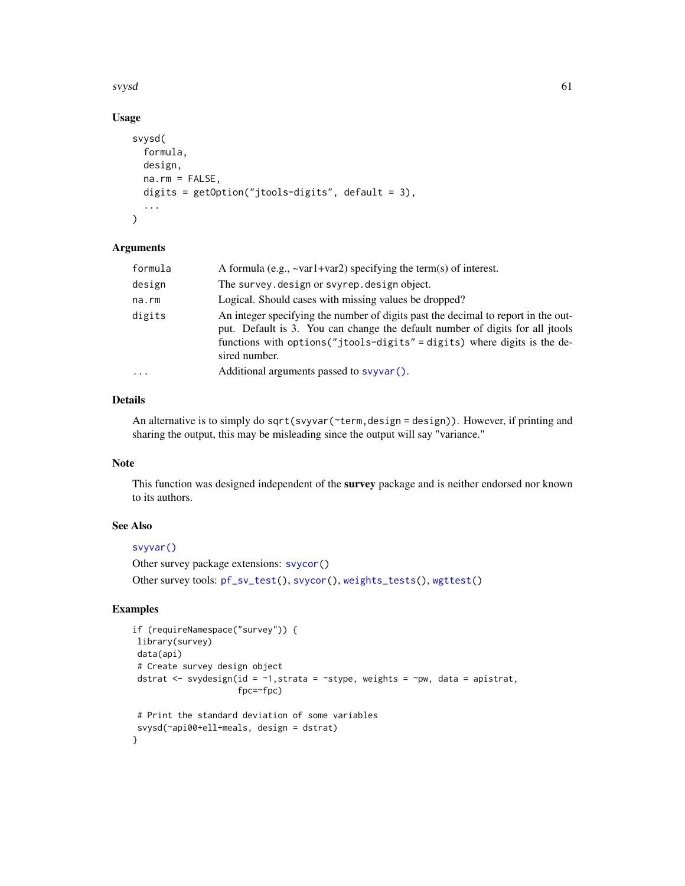svysd 61

# Usage

```
svysd(
  formula,
  design,
 na.rm = FALSE,
  digits = getOption("jtools-digits", default = 3),
  ...
\lambda
```
## Arguments

| formula | A formula (e.g., $\sim$ var1+var2) specifying the term(s) of interest.                                                                                                                                                                                           |
|---------|------------------------------------------------------------------------------------------------------------------------------------------------------------------------------------------------------------------------------------------------------------------|
| design  | The survey. design or svyrep. design object.                                                                                                                                                                                                                     |
| na.rm   | Logical. Should cases with missing values be dropped?                                                                                                                                                                                                            |
| digits  | An integer specifying the number of digits past the decimal to report in the out-<br>put. Default is 3. You can change the default number of digits for all jtools<br>functions with options ("jtools-digits" = digits) where digits is the de-<br>sired number. |
| .       | Additional arguments passed to svyvar().                                                                                                                                                                                                                         |
|         |                                                                                                                                                                                                                                                                  |

# Details

An alternative is to simply do sqrt(svyvar(~term,design = design)). However, if printing and sharing the output, this may be misleading since the output will say "variance."

# Note

This function was designed independent of the survey package and is neither endorsed nor known to its authors.

# See Also

# [svyvar\(\)](#page-0-0)

```
Other survey package extensions: svycor()
Other survey tools: pf_sv_test(), svycor(), weights_tests(), wgttest()
```
# Examples

```
if (requireNamespace("survey")) {
library(survey)
data(api)
# Create survey design object
dstrat \leq svydesign(id = \leq1, strata = \leqstype, weights = \simpw, data = apistrat,
                      fpc=~fpc)
# Print the standard deviation of some variables
svysd(~api00+ell+meals, design = dstrat)
}
```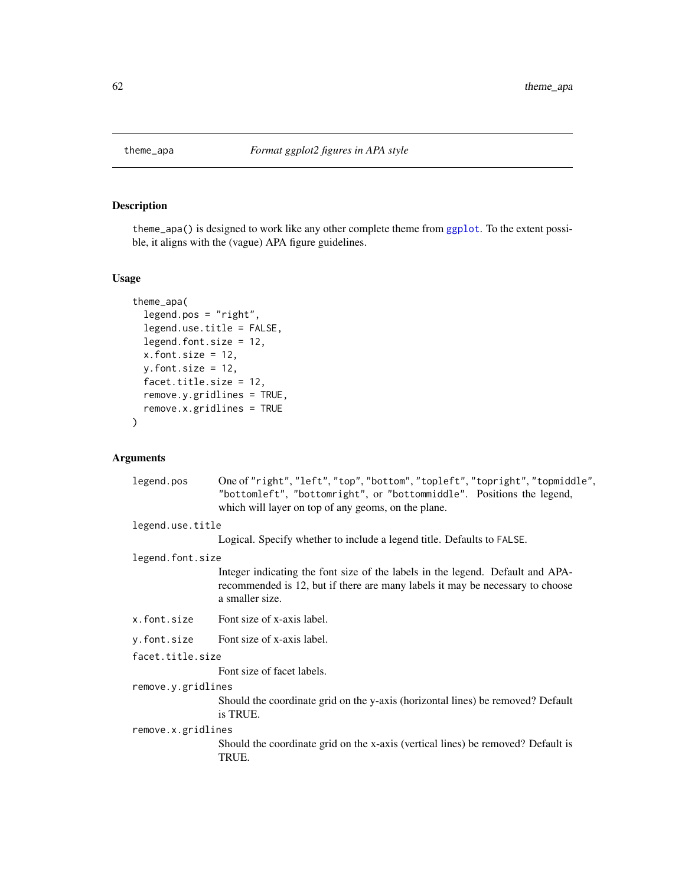theme\_apa() is designed to work like any other complete theme from [ggplot](#page-0-0). To the extent possible, it aligns with the (vague) APA figure guidelines.

# Usage

```
theme_apa(
  legend.pos = "right",
  legend.use.title = FALSE,
 legend.font.size = 12,
 x.font.size = 12,
 y.font.size = 12,
 facet.title.size = 12,
  remove.y.gridlines = TRUE,
 remove.x.gridlines = TRUE
)
```
# Arguments

| legend.pos         | One of "right", "left", "top", "bottom", "topleft", "topright", "topmiddle",<br>"bottomleft", "bottomright", or "bottommiddle". Positions the legend,<br>which will layer on top of any geoms, on the plane. |
|--------------------|--------------------------------------------------------------------------------------------------------------------------------------------------------------------------------------------------------------|
| legend.use.title   |                                                                                                                                                                                                              |
|                    | Logical. Specify whether to include a legend title. Defaults to FALSE.                                                                                                                                       |
| legend.font.size   |                                                                                                                                                                                                              |
|                    | Integer indicating the font size of the labels in the legend. Default and APA-<br>recommended is 12, but if there are many labels it may be necessary to choose<br>a smaller size.                           |
| x.font.size        | Font size of x-axis label.                                                                                                                                                                                   |
| y.font.size        | Font size of x-axis label.                                                                                                                                                                                   |
| facet.title.size   |                                                                                                                                                                                                              |
|                    | Font size of facet labels.                                                                                                                                                                                   |
| remove.y.gridlines |                                                                                                                                                                                                              |
|                    | Should the coordinate grid on the y-axis (horizontal lines) be removed? Default<br>is TRUE.                                                                                                                  |
| remove.x.gridlines |                                                                                                                                                                                                              |
|                    | Should the coordinate grid on the x-axis (vertical lines) be removed? Default is<br>TRUE.                                                                                                                    |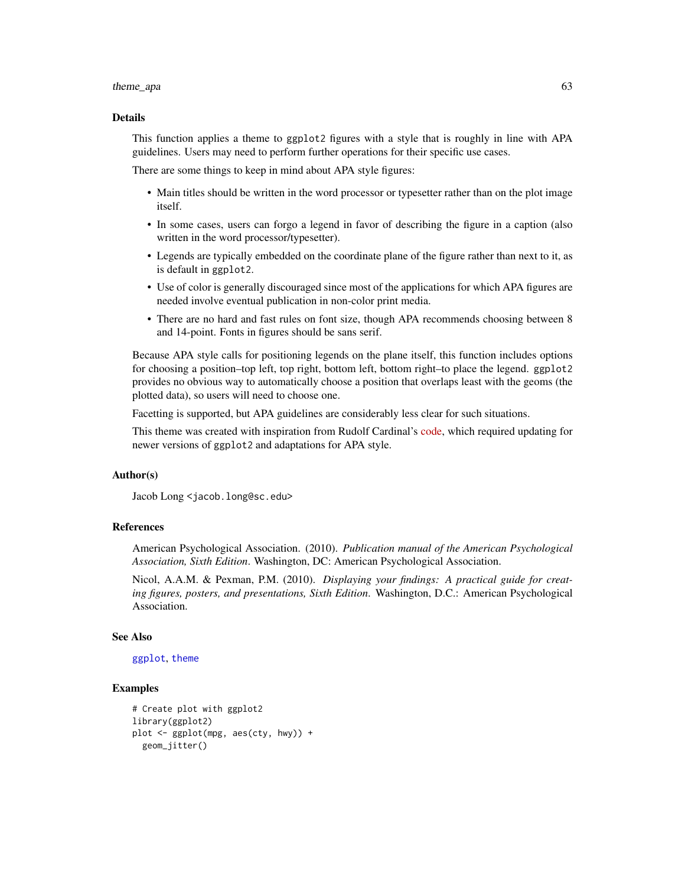#### theme\_apa 63

#### Details

This function applies a theme to ggplot2 figures with a style that is roughly in line with APA guidelines. Users may need to perform further operations for their specific use cases.

There are some things to keep in mind about APA style figures:

- Main titles should be written in the word processor or typesetter rather than on the plot image itself.
- In some cases, users can forgo a legend in favor of describing the figure in a caption (also written in the word processor/typesetter).
- Legends are typically embedded on the coordinate plane of the figure rather than next to it, as is default in ggplot2.
- Use of color is generally discouraged since most of the applications for which APA figures are needed involve eventual publication in non-color print media.
- There are no hard and fast rules on font size, though APA recommends choosing between 8 and 14-point. Fonts in figures should be sans serif.

Because APA style calls for positioning legends on the plane itself, this function includes options for choosing a position–top left, top right, bottom left, bottom right–to place the legend. ggplot2 provides no obvious way to automatically choose a position that overlaps least with the geoms (the plotted data), so users will need to choose one.

Facetting is supported, but APA guidelines are considerably less clear for such situations.

This theme was created with inspiration from Rudolf Cardinal's [code,](http://egret.psychol.cam.ac.uk/statistics/R/graphs2.html) which required updating for newer versions of ggplot2 and adaptations for APA style.

# Author(s)

Jacob Long <jacob.long@sc.edu>

## References

American Psychological Association. (2010). *Publication manual of the American Psychological Association, Sixth Edition*. Washington, DC: American Psychological Association.

Nicol, A.A.M. & Pexman, P.M. (2010). *Displaying your findings: A practical guide for creating figures, posters, and presentations, Sixth Edition*. Washington, D.C.: American Psychological Association.

## See Also

[ggplot](#page-0-0), [theme](#page-0-0)

# Examples

```
# Create plot with ggplot2
library(ggplot2)
plot <- ggplot(mpg, aes(cty, hwy)) +
 geom_jitter()
```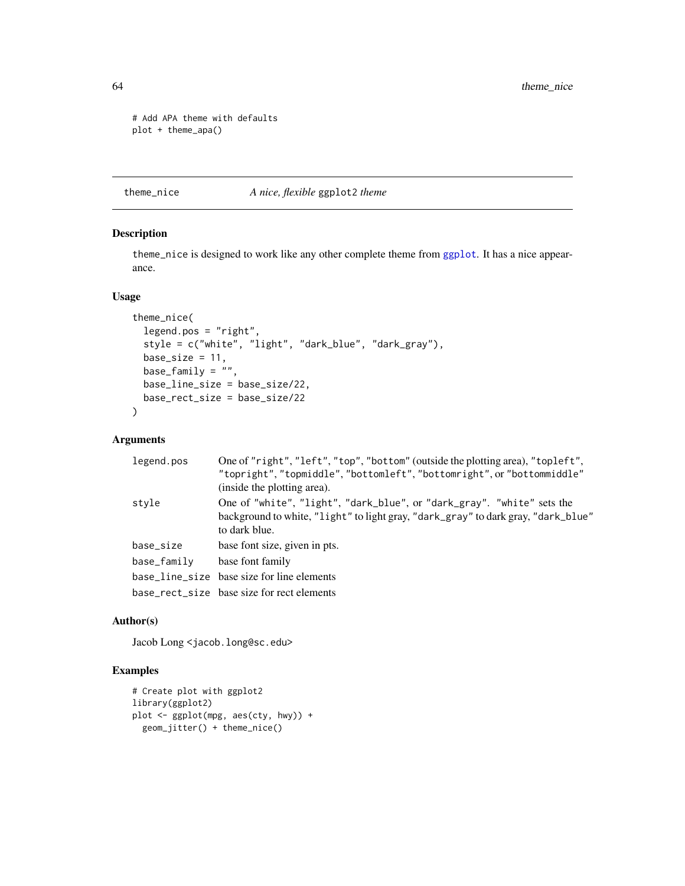```
# Add APA theme with defaults
plot + theme_apa()
```
theme\_nice *A nice, flexible* ggplot2 *theme*

# Description

theme\_nice is designed to work like any other complete theme from [ggplot](#page-0-0). It has a nice appearance.

# Usage

```
theme_nice(
  legend.pos = "right",
  style = c("white", "light", "dark_blue", "dark_gray"),
 base_size = 11,
 base_family = ",
 base_line_size = base_size/22,
 base_rect_size = base_size/22
\lambda
```
## Arguments

| legend.pos  | One of "right", "left", "top", "bottom" (outside the plotting area), "topleft",<br>"topright", "topmiddle", "bottomleft", "bottomright", or "bottommiddle"<br>(inside the plotting area). |
|-------------|-------------------------------------------------------------------------------------------------------------------------------------------------------------------------------------------|
| style       | One of "white", "light", "dark_blue", or "dark_gray". "white" sets the<br>background to white, "light" to light gray, "dark_gray" to dark gray, "dark_blue"<br>to dark blue.              |
| base_size   | base font size, given in pts.                                                                                                                                                             |
| base_family | base font family                                                                                                                                                                          |
|             | base_line_size base size for line elements                                                                                                                                                |
|             | base_rect_size base size for rect elements                                                                                                                                                |

# Author(s)

Jacob Long <jacob.long@sc.edu>

# Examples

```
# Create plot with ggplot2
library(ggplot2)
plot <- ggplot(mpg, aes(cty, hwy)) +
  geom_jitter() + theme_nice()
```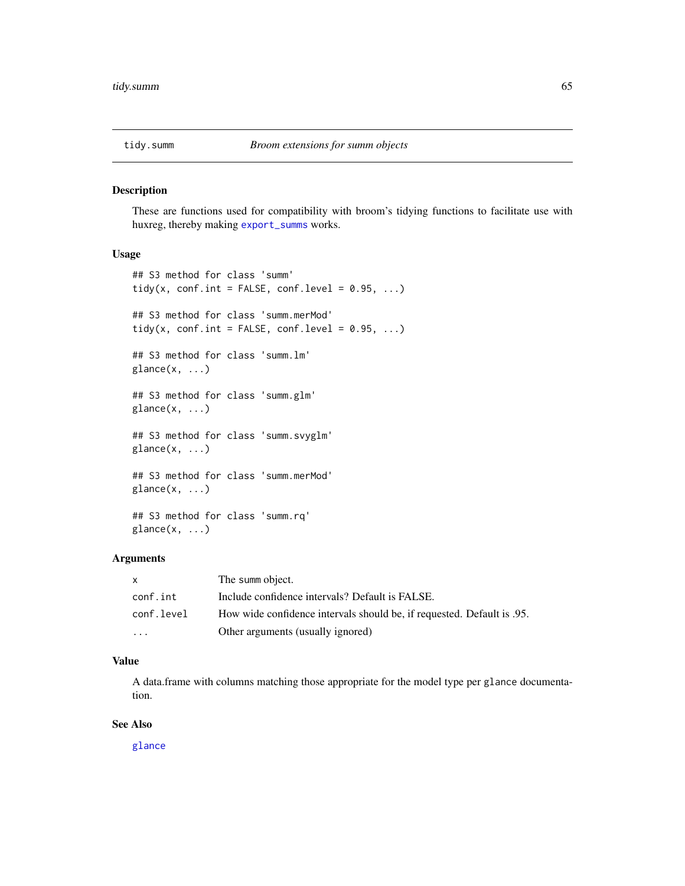These are functions used for compatibility with broom's tidying functions to facilitate use with huxreg, thereby making [export\\_summs](#page-10-0) works.

## Usage

```
## S3 method for class 'summ'
tidy(x, conf.int = FALSE, conf.level = 0.95, ...)
## S3 method for class 'summ.merMod'
tidy(x, conf.int = FALSE, conf.level = 0.95, ...)
## S3 method for class 'summ.lm'
glance(x, ...)
## S3 method for class 'summ.glm'
glance(x, \ldots)## S3 method for class 'summ.svyglm'
glance(x, \ldots)## S3 method for class 'summ.merMod'
\text{glance}(x, \ldots)## S3 method for class 'summ.rq'
\text{glance}(x, \ldots)
```
## Arguments

| $\mathsf{x}$ | The summ object.                                                        |
|--------------|-------------------------------------------------------------------------|
| conf.int     | Include confidence intervals? Default is FALSE.                         |
| conf.level   | How wide confidence intervals should be, if requested. Default is 0.95. |
| .            | Other arguments (usually ignored)                                       |

#### Value

A data.frame with columns matching those appropriate for the model type per glance documentation.

## See Also

[glance](#page-0-0)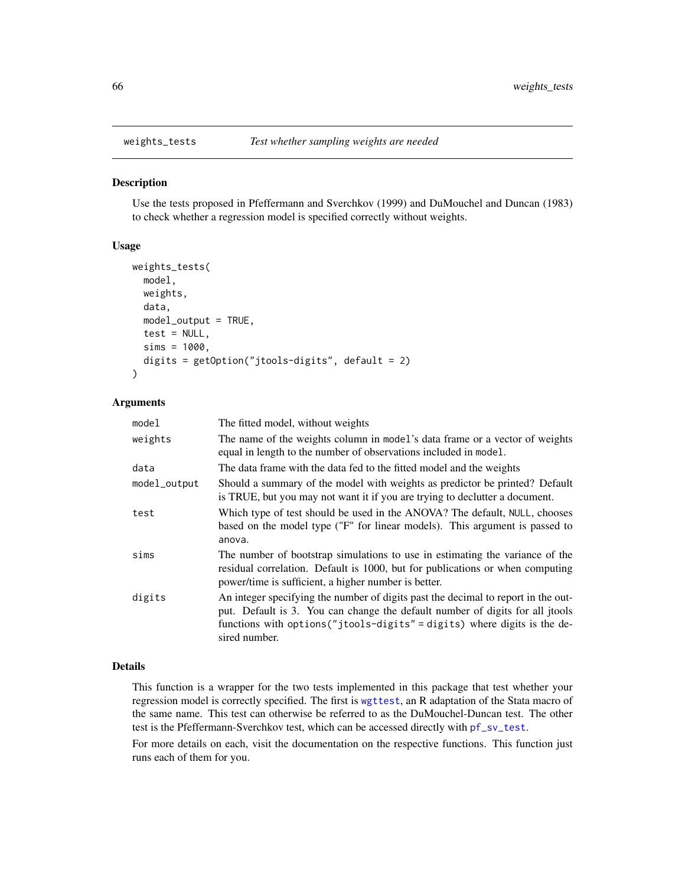<span id="page-65-0"></span>

Use the tests proposed in Pfeffermann and Sverchkov (1999) and DuMouchel and Duncan (1983) to check whether a regression model is specified correctly without weights.

# Usage

```
weights_tests(
  model,
 weights,
  data,
  model_output = TRUE,
  test = NULL,
  sims = 1000,digits = getOption("jtools-digits", default = 2)
)
```
## Arguments

| model        | The fitted model, without weights                                                                                                                                                                                                                                |  |
|--------------|------------------------------------------------------------------------------------------------------------------------------------------------------------------------------------------------------------------------------------------------------------------|--|
| weights      | The name of the weights column in model's data frame or a vector of weights<br>equal in length to the number of observations included in model.                                                                                                                  |  |
| data         | The data frame with the data fed to the fitted model and the weights                                                                                                                                                                                             |  |
| model_output | Should a summary of the model with weights as predictor be printed? Default<br>is TRUE, but you may not want it if you are trying to declutter a document.                                                                                                       |  |
| test         | Which type of test should be used in the ANOVA? The default, NULL, chooses<br>based on the model type ("F" for linear models). This argument is passed to<br>anova.                                                                                              |  |
| sims         | The number of bootstrap simulations to use in estimating the variance of the<br>residual correlation. Default is 1000, but for publications or when computing<br>power/time is sufficient, a higher number is better.                                            |  |
| digits       | An integer specifying the number of digits past the decimal to report in the out-<br>put. Default is 3. You can change the default number of digits for all jtools<br>functions with options ("jtools-digits" = digits) where digits is the de-<br>sired number. |  |

## Details

This function is a wrapper for the two tests implemented in this package that test whether your regression model is correctly specified. The first is [wgttest](#page-66-0), an R adaptation of the Stata macro of the same name. This test can otherwise be referred to as the DuMouchel-Duncan test. The other test is the Pfeffermann-Sverchkov test, which can be accessed directly with [pf\\_sv\\_test](#page-30-0).

For more details on each, visit the documentation on the respective functions. This function just runs each of them for you.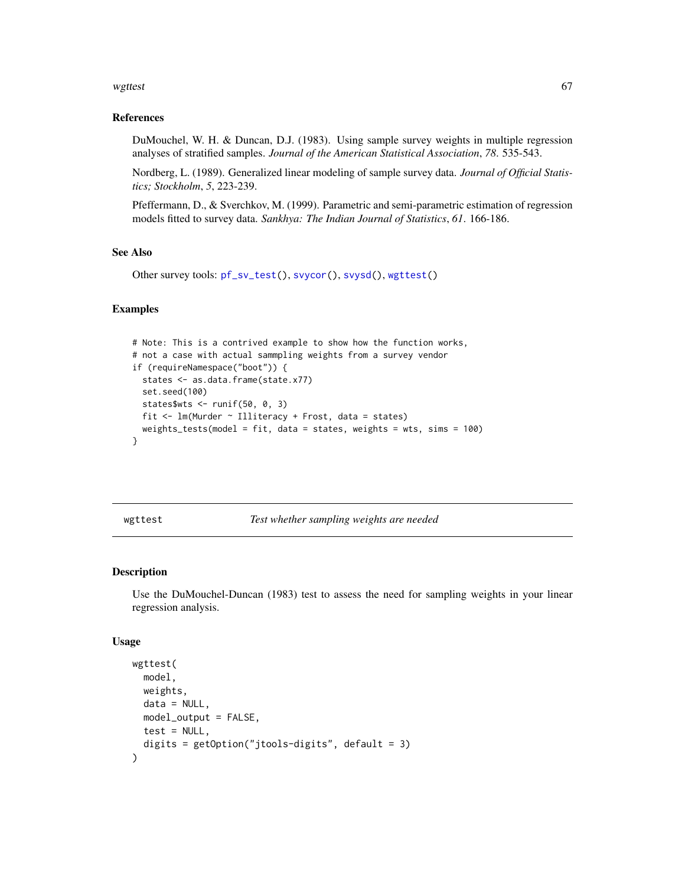#### wgttest 67

## References

DuMouchel, W. H. & Duncan, D.J. (1983). Using sample survey weights in multiple regression analyses of stratified samples. *Journal of the American Statistical Association*, *78*. 535-543.

Nordberg, L. (1989). Generalized linear modeling of sample survey data. *Journal of Official Statistics; Stockholm*, *5*, 223-239.

Pfeffermann, D., & Sverchkov, M. (1999). Parametric and semi-parametric estimation of regression models fitted to survey data. *Sankhya: The Indian Journal of Statistics*, *61*. 166-186.

# See Also

```
Other survey tools: pf_sv_test(), svycor(), svysd(), wgttest()
```
## Examples

```
# Note: This is a contrived example to show how the function works,
# not a case with actual sammpling weights from a survey vendor
if (requireNamespace("boot")) {
  states <- as.data.frame(state.x77)
  set.seed(100)
  states$wts <- runif(50, 0, 3)
  fit \leq lm(Murder \sim Illiteracy + Frost, data = states)
  weights_tests(model = fit, data = states, weights = wts, sims = 100)
}
```
<span id="page-66-0"></span>wgttest *Test whether sampling weights are needed*

# Description

Use the DuMouchel-Duncan (1983) test to assess the need for sampling weights in your linear regression analysis.

```
wgttest(
 model,
 weights,
 data = NULL,
 model_output = FALSE,
 test = NULL,
  digits = getOption("jtools-digits", default = 3)
)
```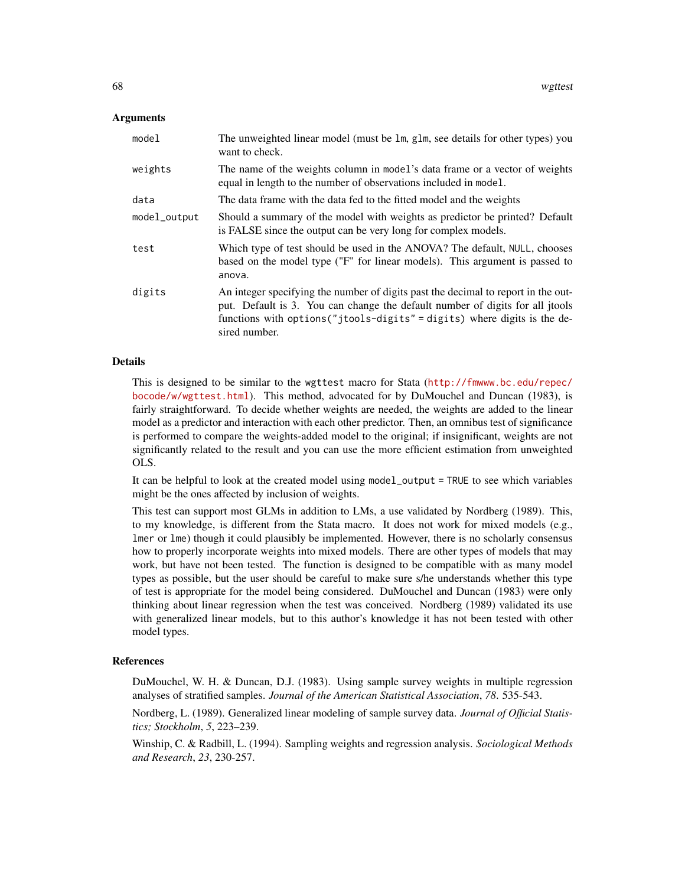## Arguments

| model        | The unweighted linear model (must be 1m, g1m, see details for other types) you<br>want to check.                                                                                                                                                                 |
|--------------|------------------------------------------------------------------------------------------------------------------------------------------------------------------------------------------------------------------------------------------------------------------|
| weights      | The name of the weights column in model's data frame or a vector of weights<br>equal in length to the number of observations included in model.                                                                                                                  |
| data         | The data frame with the data fed to the fitted model and the weights                                                                                                                                                                                             |
| model_output | Should a summary of the model with weights as predictor be printed? Default<br>is FALSE since the output can be very long for complex models.                                                                                                                    |
| test         | Which type of test should be used in the ANOVA? The default, NULL, chooses<br>based on the model type ("F" for linear models). This argument is passed to<br>anova.                                                                                              |
| digits       | An integer specifying the number of digits past the decimal to report in the out-<br>put. Default is 3. You can change the default number of digits for all jtools<br>functions with options ("jtools-digits" = digits) where digits is the de-<br>sired number. |

#### Details

This is designed to be similar to the wgttest macro for Stata ([http://fmwww.bc.edu/repec/](http://fmwww.bc.edu/repec/bocode/w/wgttest.html) [bocode/w/wgttest.html](http://fmwww.bc.edu/repec/bocode/w/wgttest.html)). This method, advocated for by DuMouchel and Duncan (1983), is fairly straightforward. To decide whether weights are needed, the weights are added to the linear model as a predictor and interaction with each other predictor. Then, an omnibus test of significance is performed to compare the weights-added model to the original; if insignificant, weights are not significantly related to the result and you can use the more efficient estimation from unweighted OLS.

It can be helpful to look at the created model using model\_output = TRUE to see which variables might be the ones affected by inclusion of weights.

This test can support most GLMs in addition to LMs, a use validated by Nordberg (1989). This, to my knowledge, is different from the Stata macro. It does not work for mixed models (e.g., lmer or lme) though it could plausibly be implemented. However, there is no scholarly consensus how to properly incorporate weights into mixed models. There are other types of models that may work, but have not been tested. The function is designed to be compatible with as many model types as possible, but the user should be careful to make sure s/he understands whether this type of test is appropriate for the model being considered. DuMouchel and Duncan (1983) were only thinking about linear regression when the test was conceived. Nordberg (1989) validated its use with generalized linear models, but to this author's knowledge it has not been tested with other model types.

#### **References**

DuMouchel, W. H. & Duncan, D.J. (1983). Using sample survey weights in multiple regression analyses of stratified samples. *Journal of the American Statistical Association*, *78*. 535-543.

Nordberg, L. (1989). Generalized linear modeling of sample survey data. *Journal of Official Statistics; Stockholm*, *5*, 223–239.

Winship, C. & Radbill, L. (1994). Sampling weights and regression analysis. *Sociological Methods and Research*, *23*, 230-257.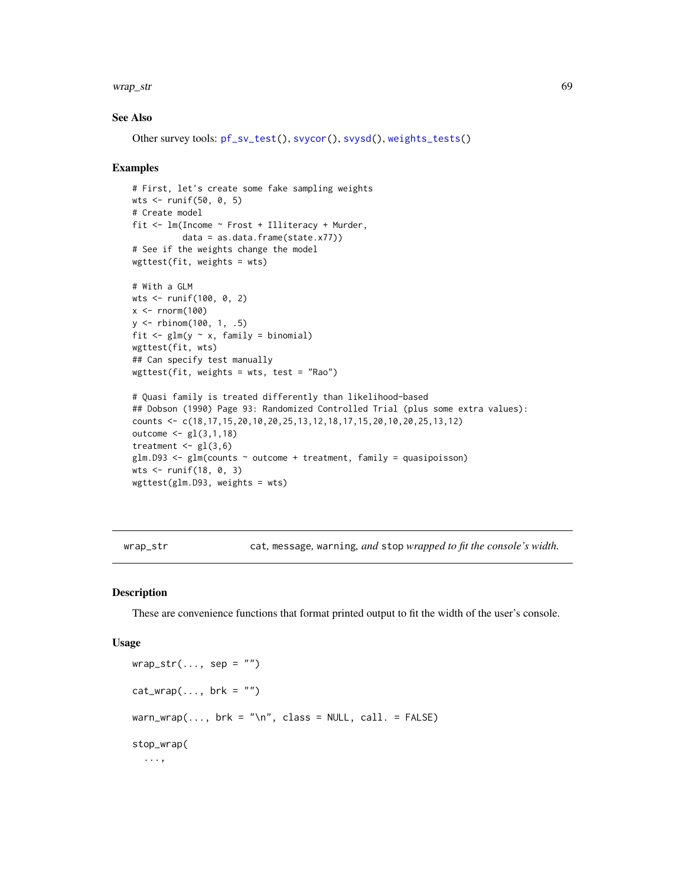#### wrap\_str 69

## See Also

Other survey tools: [pf\\_sv\\_test\(](#page-30-0)), [svycor\(](#page-57-0)), [svysd\(](#page-59-0)), [weights\\_tests\(](#page-65-0))

#### Examples

```
# First, let's create some fake sampling weights
wts <- runif(50, 0, 5)
# Create model
fit <- lm(Income ~ Frost + Illiteracy + Murder,
          data = as.data.frame(state.x77))
# See if the weights change the model
wgttest(fit, weights = wts)
# With a GLM
wts <- runif(100, 0, 2)
x \le- rnorm(100)
y <- rbinom(100, 1, .5)
fit \leq glm(y \sim x, family = binomial)
wgttest(fit, wts)
## Can specify test manually
wgttest(fit, weights = wts, test = "Rao")
# Quasi family is treated differently than likelihood-based
## Dobson (1990) Page 93: Randomized Controlled Trial (plus some extra values):
counts <- c(18,17,15,20,10,20,25,13,12,18,17,15,20,10,20,25,13,12)
outcome <- gl(3,1,18)
treatment \leq gl(3,6)
glm.D93 < - glm(counts ~outcome ~+ treatment, family = quasipoisson)wts \le runif(18, 0, 3)
wgttest(glm.D93, weights = wts)
```
wrap\_str cat*,* message*,* warning*, and* stop *wrapped to fit the console's width.*

#### Description

These are convenience functions that format printed output to fit the width of the user's console.

```
wrap\_str(..., sep = "")cat_{wrap(..., brk = "")}warn_wrap(..., \text{ brk} = "n", \text{ class} = \text{NULL}, \text{ call.} = \text{FALSE}stop_wrap(
   ...,
```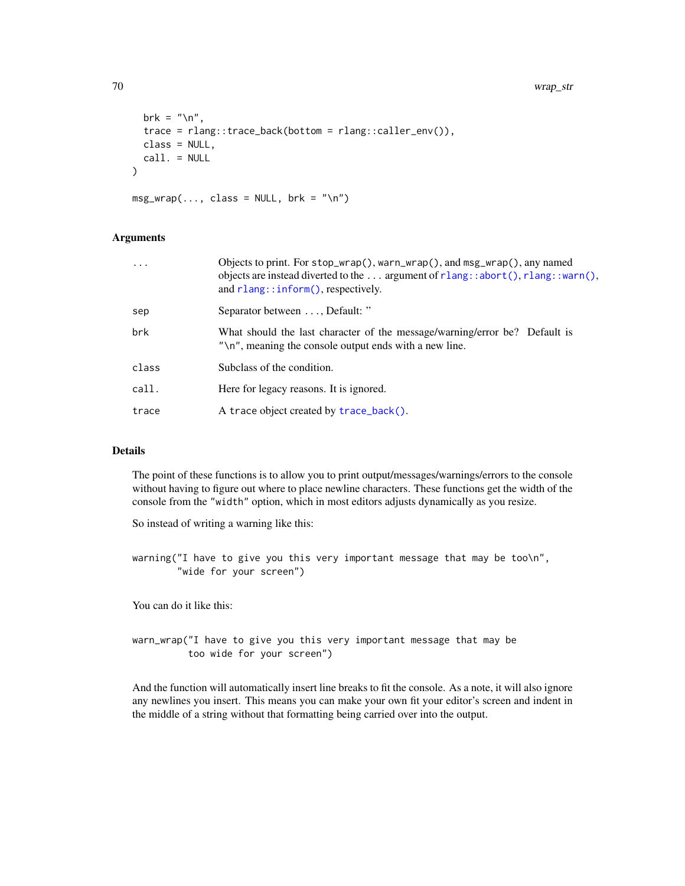```
brk = " \n\rangle n",
  trace = rlang::trace_back(bottom = rlang::caller_env()),
  class = NULL,
  call. = NULL
)
msg\_wrap(..., class = NULL, brk = "\\n")
```
## Arguments

| .     | Objects to print. For stop_wrap(), warn_wrap(), and msg_wrap(), any named<br>objects are instead diverted to the  argument of $rlang::abort()$ , $rlang::warm()$ ,<br>and $r$ lang::inform(), respectively. |
|-------|-------------------------------------------------------------------------------------------------------------------------------------------------------------------------------------------------------------|
| sep   | Separator between , Default: "                                                                                                                                                                              |
| brk   | What should the last character of the message/warning/error be? Default is<br>" $\n\times$ ", meaning the console output ends with a new line.                                                              |
| class | Subclass of the condition.                                                                                                                                                                                  |
| call. | Here for legacy reasons. It is ignored.                                                                                                                                                                     |
| trace | A trace object created by trace_back().                                                                                                                                                                     |
|       |                                                                                                                                                                                                             |

# Details

The point of these functions is to allow you to print output/messages/warnings/errors to the console without having to figure out where to place newline characters. These functions get the width of the console from the "width" option, which in most editors adjusts dynamically as you resize.

So instead of writing a warning like this:

warning("I have to give you this very important message that may be too\n", "wide for your screen")

You can do it like this:

warn\_wrap("I have to give you this very important message that may be too wide for your screen")

And the function will automatically insert line breaks to fit the console. As a note, it will also ignore any newlines you insert. This means you can make your own fit your editor's screen and indent in the middle of a string without that formatting being carried over into the output.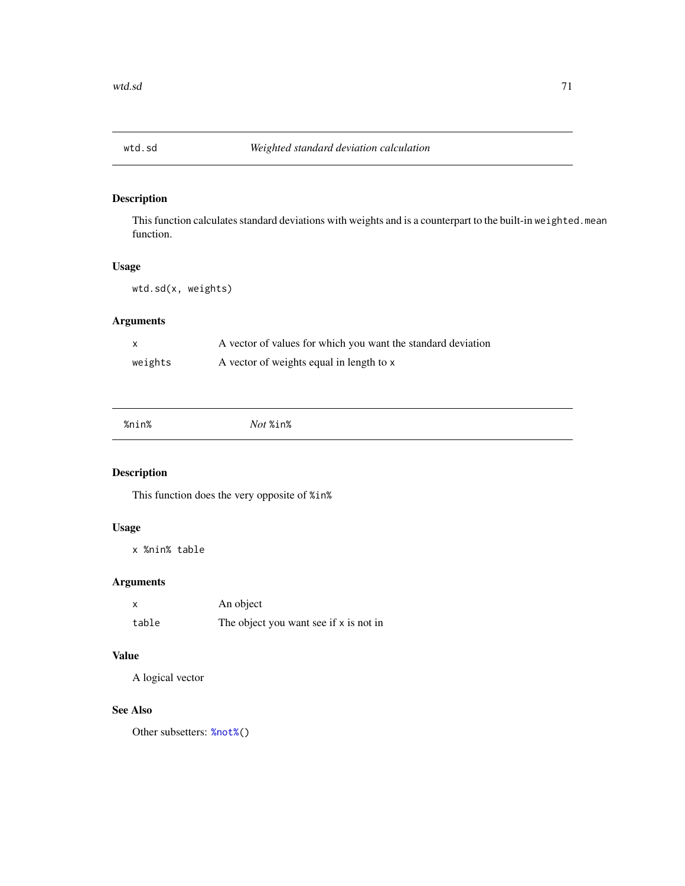This function calculates standard deviations with weights and is a counterpart to the built-in weighted.mean function.

# Usage

wtd.sd(x, weights)

# Arguments

|         | A vector of values for which you want the standard deviation |
|---------|--------------------------------------------------------------|
| weights | A vector of weights equal in length to x                     |

# Description

This function does the very opposite of %in%

# Usage

x %nin% table

# Arguments

|       | An object                              |
|-------|----------------------------------------|
| table | The object you want see if x is not in |

# Value

A logical vector

# See Also

Other subsetters: [%not%\(](#page-71-0))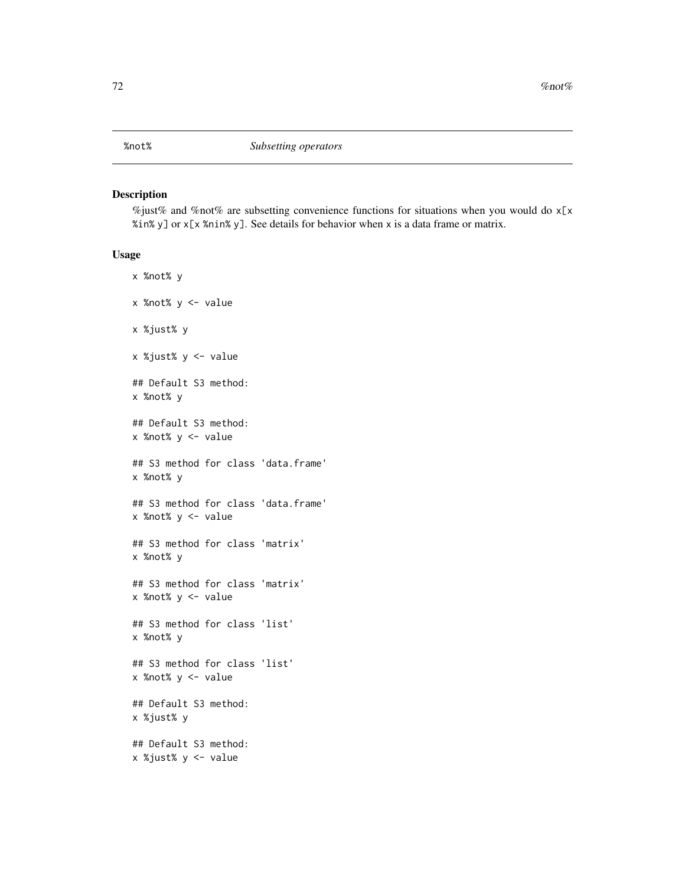<span id="page-71-0"></span>%just% and %not% are subsetting convenience functions for situations when you would do  $x[x]$ %in% y] or x[x %nin% y]. See details for behavior when x is a data frame or matrix.

```
x %not% y
x %not% y <- value
x %just% y
x %just% y <- value
## Default S3 method:
x %not% y
## Default S3 method:
x %not% y <- value
## S3 method for class 'data.frame'
x %not% y
## S3 method for class 'data.frame'
x %not% y <- value
## S3 method for class 'matrix'
x %not% y
## S3 method for class 'matrix'
x %not% y <- value
## S3 method for class 'list'
x %not% y
## S3 method for class 'list'
x %not% y <- value
## Default S3 method:
x %just% y
## Default S3 method:
x %just% y <- value
```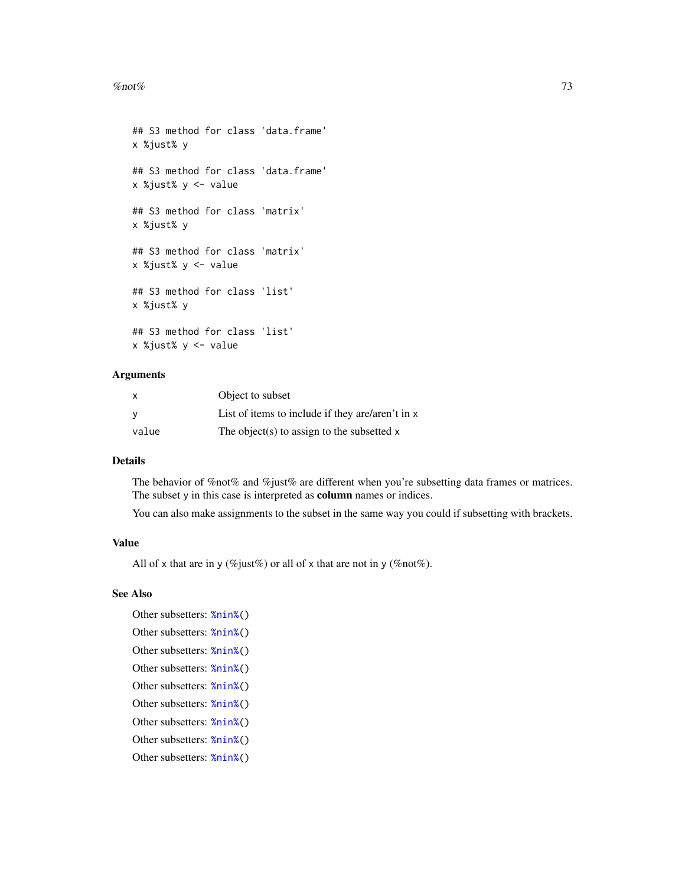#### <span id="page-72-0"></span>% $\sim$  73

```
## S3 method for class 'data.frame'
x %just% y
## S3 method for class 'data.frame'
x %just% y <- value
## S3 method for class 'matrix'
x %just% y
## S3 method for class 'matrix'
x %just% y <- value
## S3 method for class 'list'
x %just% y
## S3 method for class 'list'
x %just% y <- value
```
# Arguments

| X.    | Object to subset                                 |
|-------|--------------------------------------------------|
|       | List of items to include if they are/aren't in x |
| value | The object(s) to assign to the subsetted $x$     |

## Details

The behavior of  $\%$ not $\%$  and  $\%$ just $\%$  are different when you're subsetting data frames or matrices. The subset y in this case is interpreted as column names or indices.

You can also make assignments to the subset in the same way you could if subsetting with brackets.

# Value

All of x that are in y (%just%) or all of x that are not in y (%not%).

#### See Also

Other subsetters: [%nin%\(](#page-70-0)) Other subsetters: [%nin%\(](#page-70-0)) Other subsetters: [%nin%\(](#page-70-0)) Other subsetters: [%nin%\(](#page-70-0)) Other subsetters: [%nin%\(](#page-70-0)) Other subsetters: [%nin%\(](#page-70-0)) Other subsetters: [%nin%\(](#page-70-0)) Other subsetters: [%nin%\(](#page-70-0)) Other subsetters: [%nin%\(](#page-70-0))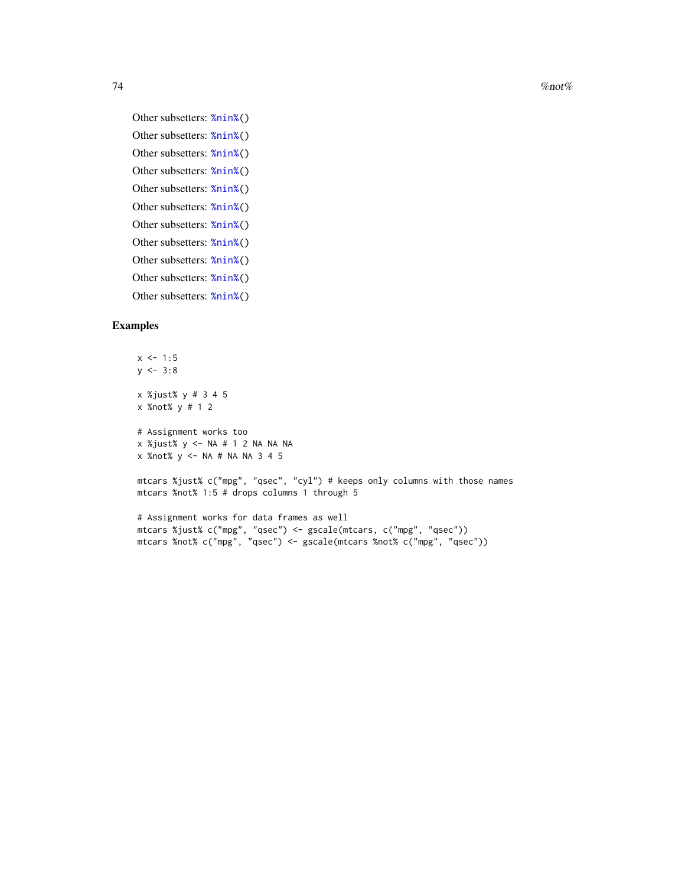$74$  %not%

```
Other subsetters: %nin%()
Other subsetters: %nin%()
Other subsetters: %nin%()
Other subsetters: %nin%()
Other subsetters: %nin%()
Other subsetters: %nin%()
Other subsetters: %nin%()
Other subsetters: %nin%()
Other subsetters: %nin%()
Other subsetters: %nin%()
Other subsetters: %nin%()
```
### Examples

```
x \le -1:5y \le -3:8x %just% y # 3 4 5
x %not% y # 1 2
# Assignment works too
x %just% y <- NA # 1 2 NA NA NA
x %not% y <- NA # NA NA 3 4 5
mtcars %just% c("mpg", "qsec", "cyl") # keeps only columns with those names
mtcars %not% 1:5 # drops columns 1 through 5
# Assignment works for data frames as well
mtcars %just% c("mpg", "qsec") <- gscale(mtcars, c("mpg", "qsec"))
mtcars %not% c("mpg", "qsec") <- gscale(mtcars %not% c("mpg", "qsec"))
```
<span id="page-73-0"></span>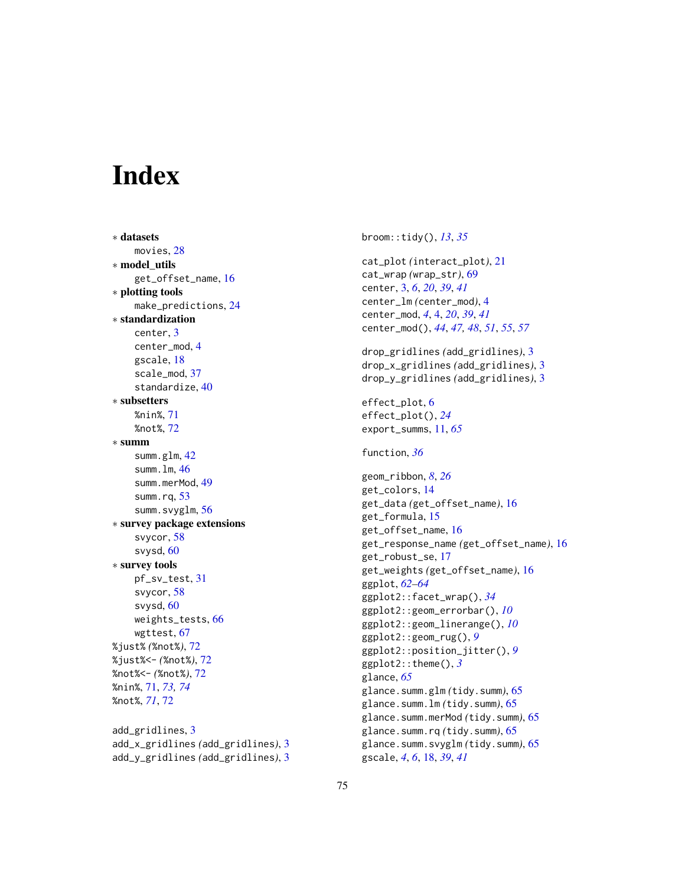# **Index**

∗ datasets movies, [28](#page-27-0) ∗ model\_utils get\_offset\_name, [16](#page-15-0) ∗ plotting tools make\_predictions, [24](#page-23-0) ∗ standardization center, [3](#page-2-0) center\_mod, [4](#page-3-0) gscale, [18](#page-17-0) scale\_mod, [37](#page-36-0) standardize, [40](#page-39-0) ∗ subsetters %nin%, [71](#page-70-1) %not%, [72](#page-71-0) ∗ summ summ.glm, [42](#page-41-0) summ.lm, [46](#page-45-0) summ.merMod, [49](#page-48-0) summ.rq,  $53$ summ.svyglm, [56](#page-55-0) ∗ survey package extensions svycor, [58](#page-57-0) svysd, [60](#page-59-0) ∗ survey tools pf\_sv\_test, [31](#page-30-0) svycor, [58](#page-57-0) svysd, [60](#page-59-0) weights\_tests, [66](#page-65-0) wgttest, [67](#page-66-0) %just% *(*%not%*)*, [72](#page-71-0) %just%<- *(*%not%*)*, [72](#page-71-0) %not%<- *(*%not%*)*, [72](#page-71-0) %nin%, [71,](#page-70-1) *[73,](#page-72-0) [74](#page-73-0)* %not%, *[71](#page-70-1)*, [72](#page-71-0) add\_gridlines, [3](#page-2-0)

add\_x\_gridlines *(*add\_gridlines*)*, [3](#page-2-0) add\_y\_gridlines *(*add\_gridlines*)*, [3](#page-2-0) broom::tidy(), *[13](#page-12-0)*, *[35](#page-34-0)* cat\_plot *(*interact\_plot*)*, [21](#page-20-0) cat\_wrap *(*wrap\_str*)*, [69](#page-68-0) center, [3,](#page-2-0) *[6](#page-5-0)*, *[20](#page-19-0)*, *[39](#page-38-0)*, *[41](#page-40-0)* center\_lm *(*center\_mod*)*, [4](#page-3-0) center\_mod, *[4](#page-3-0)*, [4,](#page-3-0) *[20](#page-19-0)*, *[39](#page-38-0)*, *[41](#page-40-0)* center\_mod(), *[44](#page-43-0)*, *[47,](#page-46-0) [48](#page-47-0)*, *[51](#page-50-0)*, *[55](#page-54-0)*, *[57](#page-56-0)* drop\_gridlines *(*add\_gridlines*)*, [3](#page-2-0) drop\_x\_gridlines *(*add\_gridlines*)*, [3](#page-2-0) drop\_y\_gridlines *(*add\_gridlines*)*, [3](#page-2-0) effect\_plot, [6](#page-5-0) effect\_plot(), *[24](#page-23-0)* export\_summs, [11,](#page-10-0) *[65](#page-64-0)* function, *[36](#page-35-0)* geom\_ribbon, *[8](#page-7-0)*, *[26](#page-25-0)* get\_colors, [14](#page-13-0) get\_data *(*get\_offset\_name*)*, [16](#page-15-0) get\_formula, [15](#page-14-0) get\_offset\_name, [16](#page-15-0) get\_response\_name *(*get\_offset\_name*)*, [16](#page-15-0) get\_robust\_se, [17](#page-16-0) get\_weights *(*get\_offset\_name*)*, [16](#page-15-0) ggplot, *[62](#page-61-0)[–64](#page-63-0)* ggplot2::facet\_wrap(), *[34](#page-33-0)* ggplot2::geom\_errorbar(), *[10](#page-9-0)* ggplot2::geom\_linerange(), *[10](#page-9-0)* ggplot2::geom\_rug(), *[9](#page-8-0)* ggplot2::position\_jitter(), *[9](#page-8-0)* ggplot2::theme(), *[3](#page-2-0)* glance, *[65](#page-64-0)* glance.summ.glm *(*tidy.summ*)*, [65](#page-64-0) glance.summ.lm *(*tidy.summ*)*, [65](#page-64-0) glance.summ.merMod *(*tidy.summ*)*, [65](#page-64-0) glance.summ.rq *(*tidy.summ*)*, [65](#page-64-0) glance.summ.svyglm *(*tidy.summ*)*, [65](#page-64-0) gscale, *[4](#page-3-0)*, *[6](#page-5-0)*, [18,](#page-17-0) *[39](#page-38-0)*, *[41](#page-40-0)*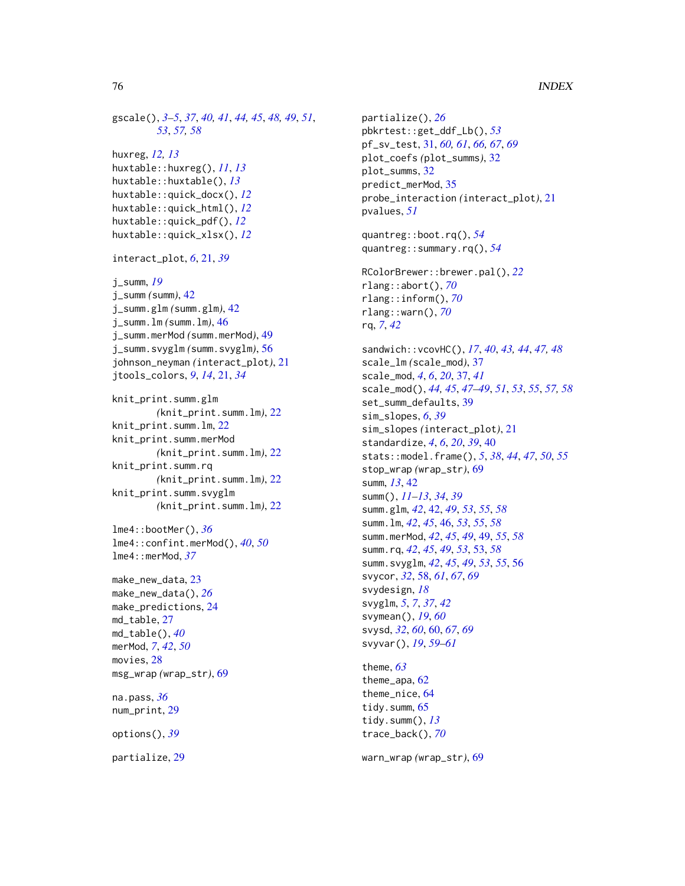```
gscale(), 3–5, 37, 40, 41, 44, 45, 48, 49, 51,
        53, 57, 58
huxreg, 12, 13
huxtable::huxreg(), 11, 13
huxtable::huxtable(), 13
huxtable::quick_docx(), 12
huxtable::quick_html(), 12
huxtable::quick_pdf(), 12
huxtable::quick_xlsx(), 12
interact_plot, 6, 21, 39
j_summ, 19
j_summ (summ), 42
j_summ.glm (summ.glm), 42
j_summ.lm (summ.lm), 46
j_summ.merMod (summ.merMod), 49
j_summ.svyglm (summ.svyglm), 56
johnson_neyman (interact_plot), 21
jtools_colors, 9, 14, 21, 34
knit_print.summ.glm
        (knit_print.summ.lm), 22
knit_print.summ.lm, 22
knit_print.summ.merMod
        (knit_print.summ.lm), 22
knit_print.summ.rq
        (knit_print.summ.lm), 22
knit_print.summ.svyglm
        (knit_print.summ.lm), 22
lme4::bootMer(), 36
lme4::confint.merMod(), 40, 50
lme4::merMod, 37
make_new_data, 23
make_new_data(), 26
make_predictions, 24
md_table, 27
md_table(), 40
merMod, 7, 42, 50
movies, 28
msg_wrap (wrap_str), 69
na.pass, 36
num_print, 29
options(), 39
```
partialize, [29](#page-28-0)

```
partialize(), 26
pbkrtest::get_ddf_Lb(), 53
pf_sv_test, 31, 60, 61, 66, 67, 69
plot_coefs (plot_summs), 32
plot_summs, 32
predict_merMod, 35
probe_interaction (interact_plot), 21
pvalues, 51
quantreg::boot.rq(), 54
quantreg::summary.rq(), 54
RColorBrewer::brewer.pal(), 22
rlang::abort(), 70
rlang::inform(), 70
rlang::warn(), 70
rq, 7, 42
sandwich::vcovHC(), 17, 40, 43, 44, 47, 48
scale_lm (scale_mod), 37
scale_mod, 4, 6, 20, 37, 41
scale_mod(), 44, 45, 47–49, 51, 53, 55, 57, 58
set_summ_defaults, 39
sim_slopes, 6, 39
sim_slopes (interact_plot), 21
standardize, 4, 6, 20, 39, 40
stats::model.frame(), 5, 38, 44, 47, 50, 55
stop_wrap (wrap_str), 69
summ, 13, 42
summ(), 11–13, 34, 39
summ.glm, 42, 42, 49, 53, 55, 58
summ.lm, 42, 45, 46, 53, 55, 58
summ.merMod, 42, 45, 49, 49, 55, 58
summ.rq, 42, 45, 49, 53, 53, 58
summ.svyglm, 42, 45, 49, 53, 55, 56
svycor, 32, 58, 61, 67, 69
svydesign, 18
svyglm, 5, 7, 37, 42
svymean(), 19, 60
svysd, 32, 60, 60, 67, 69
svyvar(), 19, 59–61
theme, 63
```
theme\_apa, [62](#page-61-0) theme\_nice, [64](#page-63-0) tidy.summ, [65](#page-64-0) tidy.summ(), *[13](#page-12-0)* trace\_back(), *[70](#page-69-0)*

warn\_wrap *(*wrap\_str*)*, [69](#page-68-0)